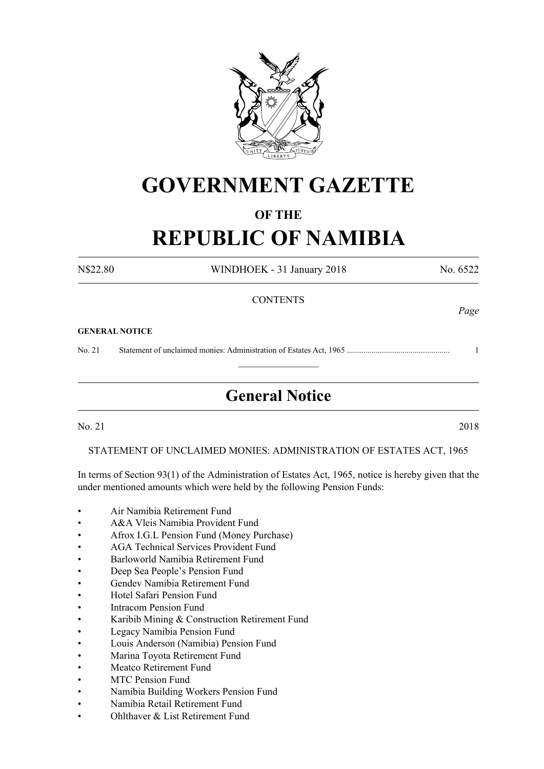

## **GOVERNMENT GAZETTE**

## **OF THE**

## **REPUBLIC OF NAMIBIA**

N\$22.80 WINDHOEK - 31 January 2018 No. 6522 **CONTENTS** *Page* **GENERAL NOTICE** No. 21 Statement of unclaimed monies: Administration of Estates Act, 1965 .................................................. 1  $\overline{\phantom{a}}$  , where  $\overline{\phantom{a}}$ **General Notice**

No. 21 2018

STATEMENT OF UNCLAIMED MONIES: Administration of Estates Act, 1965

In terms of Section 93(1) of the Administration of Estates Act, 1965, notice is hereby given that the under mentioned amounts which were held by the following Pension Funds:

- Air Namibia Retirement Fund
- A&A Vleis Namibia Provident Fund
- Afrox I.G.L Pension Fund (Money Purchase)
- AGA Technical Services Provident Fund
- Barloworld Namibia Retirement Fund
- Deep Sea People's Pension Fund
- Gendev Namibia Retirement Fund
- Hotel Safari Pension Fund
- **Intracom Pension Fund**
- Karibib Mining & Construction Retirement Fund
- Legacy Namibia Pension Fund
- Louis Anderson (Namibia) Pension Fund
- Marina Toyota Retirement Fund
- Meatco Retirement Fund
- **MTC Pension Fund**
- Namibia Building Workers Pension Fund
- • Namibia Retail Retirement Fund
- Ohlthaver  $&$  List Retirement Fund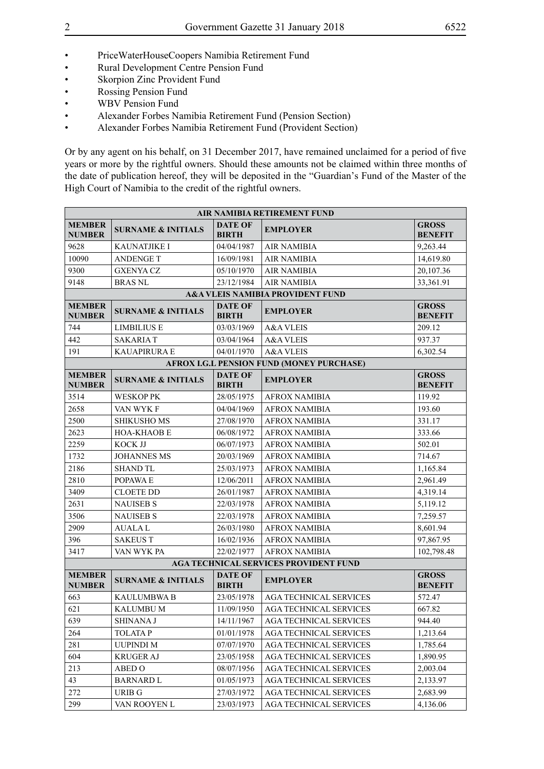- • Rural Development Centre Pension Fund
- Skorpion Zinc Provident Fund
- • Rossing Pension Fund
- • WBV Pension Fund
- Alexander Forbes Namibia Retirement Fund (Pension Section)<br>• Alexander Forbes Namibia Retirement Fund (Provident Section
- Alexander Forbes Namibia Retirement Fund (Provident Section)

Or by any agent on his behalf, on 31 December 2017, have remained unclaimed for a period of five years or more by the rightful owners. Should these amounts not be claimed within three months of the date of publication hereof, they will be deposited in the "Guardian's Fund of the Master of the High Court of Namibia to the credit of the rightful owners.

| AIR NAMIBIA RETIREMENT FUND                 |                               |                                |                                                  |                                |  |
|---------------------------------------------|-------------------------------|--------------------------------|--------------------------------------------------|--------------------------------|--|
| <b>MEMBER</b><br><b>NUMBER</b>              | <b>SURNAME &amp; INITIALS</b> | <b>DATE OF</b><br><b>BIRTH</b> | <b>EMPLOYER</b>                                  | <b>GROSS</b><br><b>BENEFIT</b> |  |
| 9628                                        | KAUNATJIKE I                  | 04/04/1987                     | <b>AIR NAMIBIA</b>                               | 9,263.44                       |  |
| 10090                                       | <b>ANDENGE T</b>              | 16/09/1981                     | <b>AIR NAMIBIA</b>                               | 14,619.80                      |  |
| 9300                                        | <b>GXENYA CZ</b>              | 05/10/1970                     | <b>AIR NAMIBIA</b>                               | 20,107.36                      |  |
| 9148                                        | <b>BRAS NL</b>                | 23/12/1984                     | <b>AIR NAMIBIA</b>                               | 33,361.91                      |  |
| <b>A&amp;A VLEIS NAMIBIA PROVIDENT FUND</b> |                               |                                |                                                  |                                |  |
| <b>MEMBER</b><br><b>NUMBER</b>              | <b>SURNAME &amp; INITIALS</b> | <b>DATE OF</b><br><b>BIRTH</b> | <b>EMPLOYER</b>                                  | <b>GROSS</b><br><b>BENEFIT</b> |  |
| 744                                         | <b>LIMBILIUS E</b>            | 03/03/1969                     | <b>A&amp;A VLEIS</b>                             | 209.12                         |  |
| 442                                         | <b>SAKARIAT</b>               | 03/04/1964                     | A&A VLEIS                                        | 937.37                         |  |
| 191                                         | <b>KAUAPIRURA E</b>           | 04/01/1970                     | <b>A&amp;A VLEIS</b>                             | 6,302.54                       |  |
|                                             |                               |                                | <b>AFROX I.G.L PENSION FUND (MONEY PURCHASE)</b> |                                |  |
| <b>MEMBER</b><br><b>NUMBER</b>              | <b>SURNAME &amp; INITIALS</b> | <b>DATE OF</b><br><b>BIRTH</b> | <b>EMPLOYER</b>                                  | <b>GROSS</b><br><b>BENEFIT</b> |  |
| 3514                                        | <b>WESKOP PK</b>              | 28/05/1975                     | <b>AFROX NAMIBIA</b>                             | 119.92                         |  |
| 2658                                        | VAN WYK F                     | 04/04/1969                     | <b>AFROX NAMIBIA</b>                             | 193.60                         |  |
| 2500                                        | <b>SHIKUSHO MS</b>            | 27/08/1970                     | <b>AFROX NAMIBIA</b>                             | 331.17                         |  |
| 2623                                        | <b>HOA-KHAOB E</b>            | 06/08/1972                     | <b>AFROX NAMIBIA</b>                             | 333.66                         |  |
| 2259                                        | KOCK JJ                       | 06/07/1973                     | <b>AFROX NAMIBIA</b>                             | 502.01                         |  |
| 1732                                        | <b>JOHANNES MS</b>            | 20/03/1969                     | <b>AFROX NAMIBIA</b>                             | 714.67                         |  |
| 2186                                        | <b>SHAND TL</b>               | 25/03/1973                     | <b>AFROX NAMIBIA</b>                             | 1,165.84                       |  |
| 2810                                        | POPAWA E                      | 12/06/2011                     | <b>AFROX NAMIBIA</b>                             | 2,961.49                       |  |
| 3409                                        | <b>CLOETE DD</b>              | 26/01/1987                     | <b>AFROX NAMIBIA</b>                             | 4,319.14                       |  |
| 2631                                        | <b>NAUISEB S</b>              | 22/03/1978                     | <b>AFROX NAMIBIA</b>                             | 5,119.12                       |  |
| 3506                                        | <b>NAUISEB S</b>              | 22/03/1978                     | <b>AFROX NAMIBIA</b>                             | 7,259.57                       |  |
| 2909                                        | <b>AUALAL</b>                 | 26/03/1980                     | <b>AFROX NAMIBIA</b>                             | 8,601.94                       |  |
| 396                                         | <b>SAKEUS T</b>               | 16/02/1936                     | <b>AFROX NAMIBIA</b>                             | 97,867.95                      |  |
| 3417                                        | VAN WYK PA                    | 22/02/1977                     | <b>AFROX NAMIBIA</b>                             | 102,798.48                     |  |
|                                             |                               |                                | <b>AGA TECHNICAL SERVICES PROVIDENT FUND</b>     |                                |  |
| <b>MEMBER</b><br><b>NUMBER</b>              | <b>SURNAME &amp; INITIALS</b> | <b>DATE OF</b><br><b>BIRTH</b> | <b>EMPLOYER</b>                                  | <b>GROSS</b><br><b>BENEFIT</b> |  |
| 663                                         | KAULUMBWA B                   | 23/05/1978                     | <b>AGA TECHNICAL SERVICES</b>                    | 572.47                         |  |
| 621                                         | <b>KALUMBU M</b>              | 11/09/1950                     | <b>AGA TECHNICAL SERVICES</b>                    | 667.82                         |  |
| 639                                         | SHINANA J                     | 14/11/1967                     | AGA TECHNICAL SERVICES                           | 944.40                         |  |
| 264                                         | <b>TOLATAP</b>                | 01/01/1978                     | <b>AGA TECHNICAL SERVICES</b>                    | 1,213.64                       |  |
| 281                                         | <b>UUPINDI M</b>              | 07/07/1970                     | <b>AGA TECHNICAL SERVICES</b>                    | 1,785.64                       |  |
| 604                                         | <b>KRUGER AJ</b>              | 23/05/1958                     | AGA TECHNICAL SERVICES                           | 1,890.95                       |  |
| 213                                         | ABED O                        | 08/07/1956                     | AGA TECHNICAL SERVICES                           | 2,003.04                       |  |
| 43                                          | <b>BARNARD L</b>              | 01/05/1973                     | AGA TECHNICAL SERVICES                           | 2,133.97                       |  |
| 272                                         | URIB G                        | 27/03/1972                     | AGA TECHNICAL SERVICES                           | 2,683.99                       |  |
| 299                                         | VAN ROOYEN L                  | 23/03/1973                     | AGA TECHNICAL SERVICES                           | 4,136.06                       |  |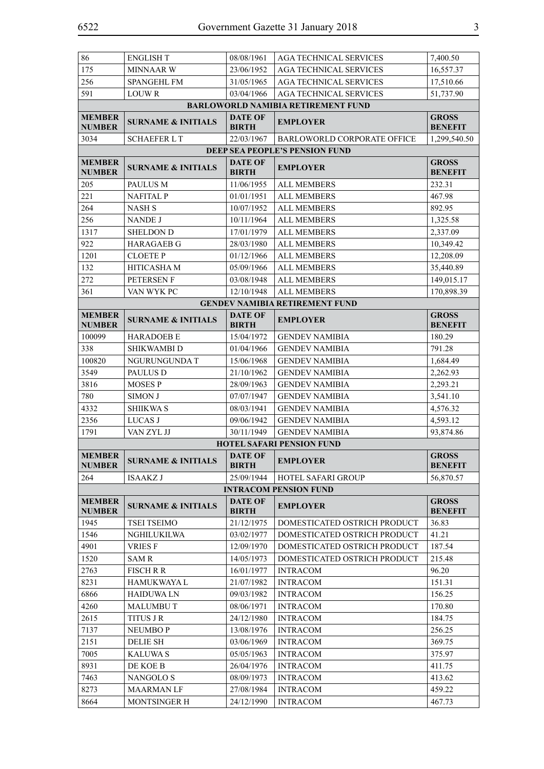| 86                             | <b>ENGLISH T</b>              | 08/08/1961                     | <b>AGA TECHNICAL SERVICES</b>             | 7,400.50                       |
|--------------------------------|-------------------------------|--------------------------------|-------------------------------------------|--------------------------------|
| 175                            | <b>MINNAAR W</b>              | 23/06/1952                     | <b>AGA TECHNICAL SERVICES</b>             | 16,557.37                      |
| 256                            | <b>SPANGEHL FM</b>            | 31/05/1965                     | <b>AGA TECHNICAL SERVICES</b>             | 17,510.66                      |
| 591                            | <b>LOUWR</b>                  | 03/04/1966                     | <b>AGA TECHNICAL SERVICES</b>             | 51,737.90                      |
|                                |                               |                                | <b>BARLOWORLD NAMIBIA RETIREMENT FUND</b> |                                |
| <b>MEMBER</b><br><b>NUMBER</b> | <b>SURNAME &amp; INITIALS</b> | <b>DATE OF</b><br><b>BIRTH</b> | <b>EMPLOYER</b>                           | <b>GROSS</b><br><b>BENEFIT</b> |
| 3034                           | <b>SCHAEFER LT</b>            | 22/03/1967                     | <b>BARLOWORLD CORPORATE OFFICE</b>        | 1,299,540.50                   |
|                                |                               |                                | DEEP SEA PEOPLE'S PENSION FUND            |                                |
| <b>MEMBER</b><br><b>NUMBER</b> | <b>SURNAME &amp; INITIALS</b> | <b>DATE OF</b><br><b>BIRTH</b> | <b>EMPLOYER</b>                           | <b>GROSS</b><br><b>BENEFIT</b> |
| 205                            | PAULUS M                      | 11/06/1955                     | <b>ALL MEMBERS</b>                        | 232.31                         |
| 221                            | <b>NAFITAL P</b>              | 01/01/1951                     | <b>ALL MEMBERS</b>                        | 467.98                         |
| 264                            | <b>NASH S</b>                 | 10/07/1952                     | <b>ALL MEMBERS</b>                        | 892.95                         |
| 256                            | <b>NANDE J</b>                | 10/11/1964                     | <b>ALL MEMBERS</b>                        | 1,325.58                       |
| 1317                           | <b>SHELDON D</b>              | 17/01/1979                     | <b>ALL MEMBERS</b>                        | 2,337.09                       |
| 922                            | <b>HARAGAEB G</b>             | 28/03/1980                     | <b>ALL MEMBERS</b>                        | 10,349.42                      |
| 1201                           | <b>CLOETE P</b>               | 01/12/1966                     | <b>ALL MEMBERS</b>                        | 12,208.09                      |
| 132                            | <b>HITICASHAM</b>             | 05/09/1966                     | <b>ALL MEMBERS</b>                        | 35,440.89                      |
| 272                            | PETERSEN F                    | 03/08/1948                     | <b>ALL MEMBERS</b>                        | 149,015.17                     |
| 361                            | VAN WYK PC                    | 12/10/1948                     | <b>ALL MEMBERS</b>                        | 170,898.39                     |
|                                |                               |                                | <b>GENDEV NAMIBIA RETIREMENT FUND</b>     |                                |
| <b>MEMBER</b><br><b>NUMBER</b> | <b>SURNAME &amp; INITIALS</b> | <b>DATE OF</b><br><b>BIRTH</b> | <b>EMPLOYER</b>                           | <b>GROSS</b><br><b>BENEFIT</b> |
| 100099                         | <b>HARADOEB E</b>             | 15/04/1972                     | <b>GENDEV NAMIBIA</b>                     | 180.29                         |
| 338                            | SHIKWAMBI D                   | 01/04/1966                     | <b>GENDEV NAMIBIA</b>                     | 791.28                         |
| 100820                         | NGURUNGUNDA T                 | 15/06/1968                     | <b>GENDEV NAMIBIA</b>                     | 1,684.49                       |
| 3549                           | PAULUS D                      | 21/10/1962                     | <b>GENDEV NAMIBIA</b>                     | 2,262.93                       |
| 3816                           | <b>MOSES P</b>                | 28/09/1963                     | <b>GENDEV NAMIBIA</b>                     | 2,293.21                       |
| 780                            | <b>SIMON J</b>                | 07/07/1947                     | <b>GENDEV NAMIBIA</b>                     | 3,541.10                       |
| 4332                           | <b>SHIIKWA S</b>              | 08/03/1941                     | <b>GENDEV NAMIBIA</b>                     | 4,576.32                       |
| 2356                           | LUCAS J                       | 09/06/1942                     | <b>GENDEV NAMIBIA</b>                     | 4,593.12                       |
| 1791                           | VAN ZYL JJ                    | 30/11/1949                     | <b>GENDEV NAMIBIA</b>                     | 93,874.86                      |
|                                |                               |                                | <b>HOTEL SAFARI PENSION FUND</b>          |                                |
| <b>MEMBER</b><br><b>NUMBER</b> | SURNAME & INITIALS            | <b>DATE OF</b><br><b>BIRTH</b> | <b>EMPLOYER</b>                           | <b>GROSS</b><br><b>BENEFIT</b> |
| 264                            | ISAAKZ J                      | 25/09/1944                     | HOTEL SAFARI GROUP                        | 56,870.57                      |
|                                |                               |                                | <b>INTRACOM PENSION FUND</b>              |                                |
| <b>MEMBER</b><br><b>NUMBER</b> | <b>SURNAME &amp; INITIALS</b> | <b>DATE OF</b><br><b>BIRTH</b> | <b>EMPLOYER</b>                           | <b>GROSS</b><br><b>BENEFIT</b> |
| 1945                           | <b>TSEI TSEIMO</b>            | 21/12/1975                     | DOMESTICATED OSTRICH PRODUCT              | 36.83                          |
| 1546                           | <b>NGHILUKILWA</b>            | 03/02/1977                     | DOMESTICATED OSTRICH PRODUCT              | 41.21                          |
| 4901                           | <b>VRIESF</b>                 | 12/09/1970                     | DOMESTICATED OSTRICH PRODUCT              | 187.54                         |
| 1520                           | <b>SAMR</b>                   | 14/05/1973                     | DOMESTICATED OSTRICH PRODUCT              | 215.48                         |
| 2763                           | <b>FISCH R R</b>              | 16/01/1977                     | <b>INTRACOM</b>                           | 96.20                          |
| 8231                           | <b>HAMUKWAYA L</b>            | 21/07/1982                     | <b>INTRACOM</b>                           | 151.31                         |
| 6866                           | <b>HAIDUWALN</b>              | 09/03/1982                     | <b>INTRACOM</b>                           | 156.25                         |
| 4260                           | <b>MALUMBUT</b>               | 08/06/1971                     | <b>INTRACOM</b>                           | 170.80                         |
| 2615                           | <b>TITUS J R</b>              | 24/12/1980                     | <b>INTRACOM</b>                           | 184.75                         |
| 7137                           | <b>NEUMBOP</b>                | 13/08/1976                     | <b>INTRACOM</b>                           | 256.25                         |
| 2151                           | <b>DELIE SH</b>               | 03/06/1969                     | <b>INTRACOM</b>                           | 369.75                         |
| 7005                           | <b>KALUWA S</b>               | 05/05/1963                     | <b>INTRACOM</b>                           | 375.97                         |
| 8931                           | DE KOE B                      | 26/04/1976                     | <b>INTRACOM</b>                           | 411.75                         |
| 7463                           | <b>NANGOLOS</b>               | 08/09/1973                     | <b>INTRACOM</b>                           | 413.62                         |
| 8273                           | <b>MAARMANLF</b>              | 27/08/1984                     | <b>INTRACOM</b>                           | 459.22                         |
| 8664                           | <b>MONTSINGER H</b>           | 24/12/1990                     | <b>INTRACOM</b>                           | 467.73                         |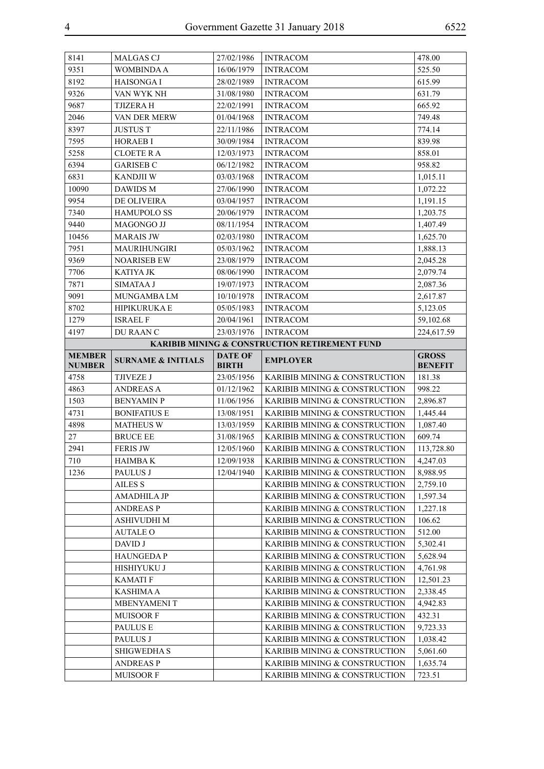| 8141          | <b>MALGAS CJ</b>              | 27/02/1986     | <b>INTRACOM</b>                                          | 478.00         |
|---------------|-------------------------------|----------------|----------------------------------------------------------|----------------|
| 9351          | <b>WOMBINDA A</b>             | 16/06/1979     | <b>INTRACOM</b>                                          | 525.50         |
| 8192          | <b>HAISONGAI</b>              | 28/02/1989     | <b>INTRACOM</b>                                          | 615.99         |
| 9326          | VAN WYK NH                    | 31/08/1980     | <b>INTRACOM</b>                                          | 631.79         |
| 9687          | TJIZERA H                     | 22/02/1991     | <b>INTRACOM</b>                                          | 665.92         |
| 2046          | VAN DER MERW                  | 01/04/1968     | <b>INTRACOM</b>                                          | 749.48         |
| 8397          | <b>JUSTUS T</b>               | 22/11/1986     | <b>INTRACOM</b>                                          | 774.14         |
| 7595          | <b>HORAEB I</b>               | 30/09/1984     | <b>INTRACOM</b>                                          | 839.98         |
| 5258          | <b>CLOETE RA</b>              | 12/03/1973     | <b>INTRACOM</b>                                          | 858.01         |
| 6394          | <b>GARISEB C</b>              | 06/12/1982     | <b>INTRACOM</b>                                          | 958.82         |
| 6831          | <b>KANDJII W</b>              | 03/03/1968     | <b>INTRACOM</b>                                          | 1,015.11       |
| 10090         | DAWIDS M                      | 27/06/1990     | <b>INTRACOM</b>                                          | 1,072.22       |
| 9954          | DE OLIVEIRA                   | 03/04/1957     | <b>INTRACOM</b>                                          | 1,191.15       |
| 7340          | <b>HAMUPOLO SS</b>            | 20/06/1979     | <b>INTRACOM</b>                                          | 1,203.75       |
| 9440          | MAGONGO JJ                    | 08/11/1954     | <b>INTRACOM</b>                                          | 1,407.49       |
| 10456         | <b>MARAIS JW</b>              | 02/03/1980     | <b>INTRACOM</b>                                          | 1,625.70       |
| 7951          | MAURIHUNGIRI                  | 05/03/1962     | <b>INTRACOM</b>                                          | 1,888.13       |
| 9369          | <b>NOARISEB EW</b>            | 23/08/1979     | <b>INTRACOM</b>                                          | 2,045.28       |
| 7706          | <b>KATIYA JK</b>              | 08/06/1990     | <b>INTRACOM</b>                                          | 2,079.74       |
| 7871          | <b>SIMATAA J</b>              | 19/07/1973     | <b>INTRACOM</b>                                          | 2,087.36       |
| 9091          | MUNGAMBA LM                   | 10/10/1978     | <b>INTRACOM</b>                                          | 2,617.87       |
| 8702          | <b>HIPIKURUKA E</b>           | 05/05/1983     | <b>INTRACOM</b>                                          | 5,123.05       |
| 1279          | <b>ISRAEL F</b>               | 20/04/1961     | <b>INTRACOM</b>                                          | 59,102.68      |
| 4197          | DU RAAN C                     | 23/03/1976     | <b>INTRACOM</b>                                          | 224,617.59     |
|               |                               |                | <b>KARIBIB MINING &amp; CONSTRUCTION RETIREMENT FUND</b> |                |
| <b>MEMBER</b> |                               | <b>DATE OF</b> |                                                          | <b>GROSS</b>   |
|               | <b>SURNAME &amp; INITIALS</b> |                | <b>EMPLOYER</b>                                          |                |
| <b>NUMBER</b> |                               | <b>BIRTH</b>   |                                                          | <b>BENEFIT</b> |
| 4758          | TJIVEZE J                     | 23/05/1956     | KARIBIB MINING & CONSTRUCTION                            | 181.38         |
| 4863          | <b>ANDREAS A</b>              | 01/12/1962     | KARIBIB MINING & CONSTRUCTION                            | 998.22         |
| 1503          | <b>BENYAMIN P</b>             | 11/06/1956     | KARIBIB MINING & CONSTRUCTION                            | 2,896.87       |
| 4731          | <b>BONIFATIUS E</b>           | 13/08/1951     | KARIBIB MINING & CONSTRUCTION                            | 1,445.44       |
| 4898          | <b>MATHEUS W</b>              | 13/03/1959     | KARIBIB MINING & CONSTRUCTION                            | 1,087.40       |
| 27            | <b>BRUCE EE</b>               | 31/08/1965     | KARIBIB MINING & CONSTRUCTION                            | 609.74         |
| 2941          | <b>FERIS JW</b>               | 12/05/1960     | KARIBIB MINING & CONSTRUCTION                            | 113,728.80     |
| 710           | <b>HAIMBAK</b>                | 12/09/1938     | KARIBIB MINING & CONSTRUCTION                            | 4,247.03       |
| 1236          | PAULUS J                      | 12/04/1940     | KARIBIB MINING & CONSTRUCTION                            | 8,988.95       |
|               | <b>AILES S</b>                |                | KARIBIB MINING & CONSTRUCTION                            | 2,759.10       |
|               | AMADHILA JP                   |                | KARIBIB MINING & CONSTRUCTION                            | 1,597.34       |
|               | <b>ANDREASP</b>               |                | KARIBIB MINING & CONSTRUCTION                            | 1,227.18       |
|               | ASHIVUDHI M                   |                | KARIBIB MINING & CONSTRUCTION                            | 106.62         |
|               | <b>AUTALE O</b>               |                | KARIBIB MINING & CONSTRUCTION                            | 512.00         |
|               | DAVID J                       |                | KARIBIB MINING & CONSTRUCTION                            | 5,302.41       |
|               | <b>HAUNGEDAP</b>              |                | KARIBIB MINING & CONSTRUCTION                            | 5,628.94       |
|               | HISHIYUKU J                   |                | KARIBIB MINING & CONSTRUCTION                            | 4,761.98       |
|               | <b>KAMATIF</b>                |                | KARIBIB MINING & CONSTRUCTION                            | 12,501.23      |
|               | KASHIMA A                     |                | KARIBIB MINING & CONSTRUCTION                            | 2,338.45       |
|               | MBENYAMENI T                  |                | KARIBIB MINING & CONSTRUCTION                            | 4,942.83       |
|               | <b>MUISOORF</b>               |                | KARIBIB MINING & CONSTRUCTION                            | 432.31         |
|               | PAULUS E                      |                | KARIBIB MINING & CONSTRUCTION                            | 9,723.33       |
|               | PAULUS J                      |                | KARIBIB MINING & CONSTRUCTION                            | 1,038.42       |
|               | <b>SHIGWEDHA S</b>            |                | KARIBIB MINING & CONSTRUCTION                            | 5,061.60       |
|               | <b>ANDREASP</b>               |                | KARIBIB MINING & CONSTRUCTION                            | 1,635.74       |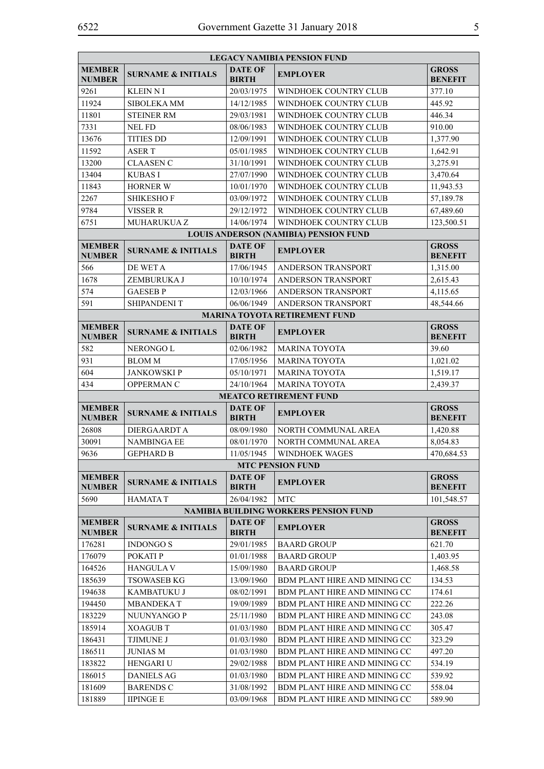| <b>LEGACY NAMIBIA PENSION FUND</b> |                               |                                |                                              |                                |  |
|------------------------------------|-------------------------------|--------------------------------|----------------------------------------------|--------------------------------|--|
| <b>MEMBER</b><br><b>NUMBER</b>     | <b>SURNAME &amp; INITIALS</b> | <b>DATE OF</b><br><b>BIRTH</b> | <b>EMPLOYER</b>                              | <b>GROSS</b><br><b>BENEFIT</b> |  |
| 9261                               | <b>KLEIN N I</b>              | 20/03/1975                     | WINDHOEK COUNTRY CLUB                        | 377.10                         |  |
| 11924                              | SIBOLEKA MM                   | 14/12/1985                     | WINDHOEK COUNTRY CLUB                        | 445.92                         |  |
| 11801                              | <b>STEINER RM</b>             | 29/03/1981                     | WINDHOEK COUNTRY CLUB                        | 446.34                         |  |
| 7331                               | <b>NEL FD</b>                 | 08/06/1983                     | WINDHOEK COUNTRY CLUB                        | 910.00                         |  |
| 13676                              | <b>TITIES DD</b>              | 12/09/1991                     | WINDHOEK COUNTRY CLUB                        | 1,377.90                       |  |
| 11592                              | <b>ASERT</b>                  | 05/01/1985                     | WINDHOEK COUNTRY CLUB                        | 1,642.91                       |  |
| 13200                              | <b>CLAASEN C</b>              | 31/10/1991                     | WINDHOEK COUNTRY CLUB                        | 3.275.91                       |  |
| 13404                              | <b>KUBAS I</b>                | 27/07/1990                     | WINDHOEK COUNTRY CLUB                        | 3,470.64                       |  |
| 11843                              | <b>HORNER W</b>               | 10/01/1970                     | WINDHOEK COUNTRY CLUB                        | 11,943.53                      |  |
| 2267                               | <b>SHIKESHOF</b>              | 03/09/1972                     | WINDHOEK COUNTRY CLUB                        | 57,189.78                      |  |
| 9784                               | <b>VISSER R</b>               | 29/12/1972                     | WINDHOEK COUNTRY CLUB                        | 67,489.60                      |  |
| 6751                               | <b>MUHARUKUA Z</b>            | 14/06/1974                     | WINDHOEK COUNTRY CLUB                        | 123,500.51                     |  |
|                                    |                               |                                | <b>LOUIS ANDERSON (NAMIBIA) PENSION FUND</b> |                                |  |
| <b>MEMBER</b><br><b>NUMBER</b>     | <b>SURNAME &amp; INITIALS</b> | <b>DATE OF</b><br><b>BIRTH</b> | <b>EMPLOYER</b>                              | <b>GROSS</b><br><b>BENEFIT</b> |  |
| 566                                | DE WET A                      | 17/06/1945                     | <b>ANDERSON TRANSPORT</b>                    | 1,315.00                       |  |
| 1678                               | ZEMBURUKA J                   | 10/10/1974                     | ANDERSON TRANSPORT                           | 2,615.43                       |  |
| 574                                | <b>GAESEBP</b>                | 12/03/1966                     | <b>ANDERSON TRANSPORT</b>                    | 4,115.65                       |  |
| 591                                | <b>SHIPANDENIT</b>            | 06/06/1949                     | ANDERSON TRANSPORT                           | 48,544.66                      |  |
|                                    |                               |                                | <b>MARINA TOYOTA RETIREMENT FUND</b>         |                                |  |
| <b>MEMBER</b><br><b>NUMBER</b>     | <b>SURNAME &amp; INITIALS</b> | <b>DATE OF</b><br><b>BIRTH</b> | <b>EMPLOYER</b>                              | <b>GROSS</b><br><b>BENEFIT</b> |  |
| 582                                | NERONGO L                     | 02/06/1982                     | <b>MARINA TOYOTA</b>                         | 39.60                          |  |
| 931                                | <b>BLOM M</b>                 | 17/05/1956                     | <b>MARINA TOYOTA</b>                         | 1,021.02                       |  |
| 604                                | <b>JANKOWSKIP</b>             | 05/10/1971                     | <b>MARINA TOYOTA</b>                         | 1,519.17                       |  |
| 434                                | <b>OPPERMANC</b>              | 24/10/1964                     | <b>MARINA TOYOTA</b>                         | 2,439.37                       |  |
|                                    |                               |                                | <b>MEATCO RETIREMENT FUND</b>                |                                |  |
| <b>MEMBER</b><br><b>NUMBER</b>     | <b>SURNAME &amp; INITIALS</b> | <b>DATE OF</b><br><b>BIRTH</b> | <b>EMPLOYER</b>                              | <b>GROSS</b><br><b>BENEFIT</b> |  |
| 26808                              | DIERGAARDT A                  | 08/09/1980                     | NORTH COMMUNAL AREA                          | 1,420.88                       |  |
| 30091                              | <b>NAMBINGA EE</b>            | 08/01/1970                     | NORTH COMMUNAL AREA                          | 8,054.83                       |  |
| 9636                               | <b>GEPHARD B</b>              | 11/05/1945                     | <b>WINDHOEK WAGES</b>                        | 470,684.53                     |  |
|                                    |                               |                                | <b>MTC PENSION FUND</b>                      |                                |  |
| <b>MEMBER</b>                      |                               | <b>DATE OF</b>                 |                                              | <b>GROSS</b>                   |  |
| <b>NUMBER</b>                      | <b>SURNAME &amp; INITIALS</b> | <b>BIRTH</b>                   | <b>EMPLOYER</b>                              | <b>BENEFIT</b>                 |  |
| 5690                               | HAMATA T                      | 26/04/1982                     | <b>MTC</b>                                   | 101,548.57                     |  |
|                                    |                               |                                | <b>NAMIBIA BUILDING WORKERS PENSION FUND</b> |                                |  |
| <b>MEMBER</b><br><b>NUMBER</b>     | <b>SURNAME &amp; INITIALS</b> | <b>DATE OF</b><br><b>BIRTH</b> | <b>EMPLOYER</b>                              | <b>GROSS</b><br><b>BENEFIT</b> |  |
| 176281                             | <b>INDONGO S</b>              | 29/01/1985                     | <b>BAARD GROUP</b>                           | 621.70                         |  |
| 176079                             | POKATI P                      | 01/01/1988                     | <b>BAARD GROUP</b>                           | 1,403.95                       |  |
| 164526                             | <b>HANGULA V</b>              | 15/09/1980                     | <b>BAARD GROUP</b>                           | 1,468.58                       |  |
| 185639                             | <b>TSOWASEB KG</b>            | 13/09/1960                     | BDM PLANT HIRE AND MINING CC                 | 134.53                         |  |
| 194638                             | <b>KAMBATUKU J</b>            | 08/02/1991                     | BDM PLANT HIRE AND MINING CC                 | 174.61                         |  |
| 194450                             | <b>MBANDEKAT</b>              | 19/09/1989                     | BDM PLANT HIRE AND MINING CC                 | 222.26                         |  |
| 183229                             | NUUNYANGO P                   | 25/11/1980                     | BDM PLANT HIRE AND MINING CC                 | 243.08                         |  |
| 185914                             | <b>XOAGUB T</b>               | 01/03/1980                     | BDM PLANT HIRE AND MINING CC                 | 305.47                         |  |
| 186431                             | <b>TJIMUNE J</b>              | 01/03/1980                     | BDM PLANT HIRE AND MINING CC                 | 323.29                         |  |
| 186511                             | <b>JUNIAS M</b>               | 01/03/1980                     | BDM PLANT HIRE AND MINING CC                 | 497.20                         |  |
| 183822                             | <b>HENGARI U</b>              | 29/02/1988                     | BDM PLANT HIRE AND MINING CC                 | 534.19                         |  |
| 186015                             | <b>DANIELS AG</b>             | 01/03/1980                     | BDM PLANT HIRE AND MINING CC                 | 539.92                         |  |
| 181609                             | <b>BARENDS C</b>              | 31/08/1992                     | BDM PLANT HIRE AND MINING CC                 | 558.04                         |  |
| 181889                             | <b>IIPINGE E</b>              | 03/09/1968                     | BDM PLANT HIRE AND MINING CC                 | 589.90                         |  |
|                                    |                               |                                |                                              |                                |  |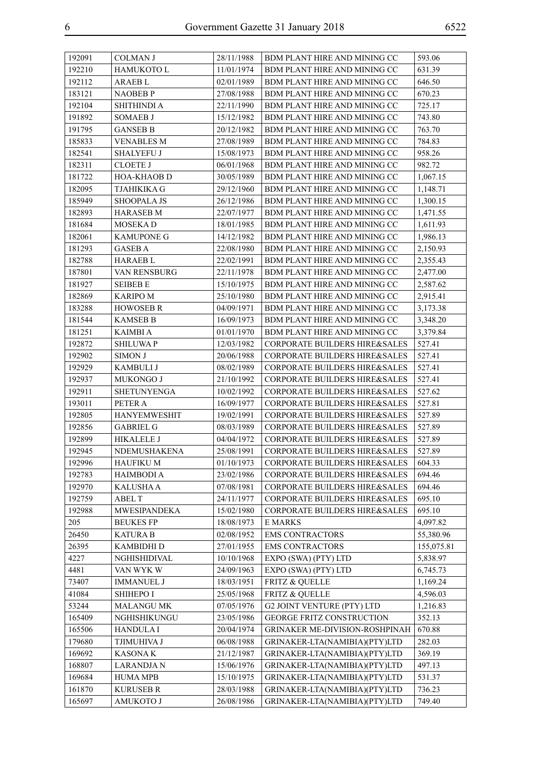| 192091 | COLMAN J            | 28/11/1988 | BDM PLANT HIRE AND MINING CC             | 593.06     |
|--------|---------------------|------------|------------------------------------------|------------|
| 192210 | HAMUKOTO L          | 11/01/1974 | BDM PLANT HIRE AND MINING CC             | 631.39     |
| 192112 | <b>ARAEBL</b>       | 02/01/1989 | BDM PLANT HIRE AND MINING CC             | 646.50     |
| 183121 | <b>NAOBEBP</b>      | 27/08/1988 | BDM PLANT HIRE AND MINING CC             | 670.23     |
| 192104 | <b>SHITHINDI A</b>  | 22/11/1990 | BDM PLANT HIRE AND MINING CC             | 725.17     |
| 191892 | <b>SOMAEB J</b>     | 15/12/1982 | BDM PLANT HIRE AND MINING CC             | 743.80     |
| 191795 | <b>GANSEB B</b>     | 20/12/1982 | BDM PLANT HIRE AND MINING CC             | 763.70     |
| 185833 | <b>VENABLES M</b>   | 27/08/1989 | BDM PLANT HIRE AND MINING CC             | 784.83     |
| 182541 | <b>SHALYEFU J</b>   | 15/08/1973 | BDM PLANT HIRE AND MINING CC             | 958.26     |
| 182311 | <b>CLOETE J</b>     | 06/01/1968 | BDM PLANT HIRE AND MINING CC             | 982.72     |
| 181722 | <b>HOA-KHAOB D</b>  | 30/05/1989 | BDM PLANT HIRE AND MINING CC             | 1,067.15   |
| 182095 | <b>TJAHIKIKA G</b>  | 29/12/1960 | BDM PLANT HIRE AND MINING CC             | 1,148.71   |
| 185949 | <b>SHOOPALA JS</b>  | 26/12/1986 | BDM PLANT HIRE AND MINING CC             | 1,300.15   |
| 182893 | <b>HARASEB M</b>    | 22/07/1977 | BDM PLANT HIRE AND MINING CC             | 1,471.55   |
| 181684 | MOSEKA D            | 18/01/1985 | BDM PLANT HIRE AND MINING CC             | 1,611.93   |
| 182061 | <b>KAMUPONE G</b>   | 14/12/1982 | BDM PLANT HIRE AND MINING CC             | 1,986.13   |
| 181293 | <b>GASEB A</b>      | 22/08/1980 | BDM PLANT HIRE AND MINING CC             | 2,150.93   |
| 182788 | <b>HARAEB L</b>     | 22/02/1991 | BDM PLANT HIRE AND MINING CC             | 2,355.43   |
| 187801 | VAN RENSBURG        | 22/11/1978 | BDM PLANT HIRE AND MINING CC             | 2,477.00   |
| 181927 | <b>SEIBEB E</b>     | 15/10/1975 | BDM PLANT HIRE AND MINING CC             | 2,587.62   |
| 182869 | <b>KARIPO M</b>     | 25/10/1980 | BDM PLANT HIRE AND MINING CC             | 2,915.41   |
| 183288 | <b>HOWOSEB R</b>    | 04/09/1971 | BDM PLANT HIRE AND MINING CC             | 3,173.38   |
| 181544 | <b>KAMSEB B</b>     | 16/09/1973 | BDM PLANT HIRE AND MINING CC             | 3,348.20   |
| 181251 | KAIMBI A            | 01/01/1970 | BDM PLANT HIRE AND MINING CC             | 3,379.84   |
| 192872 | <b>SHILUWAP</b>     | 12/03/1982 | CORPORATE BUILDERS HIRE&SALES            | 527.41     |
| 192902 | <b>SIMON J</b>      | 20/06/1988 | CORPORATE BUILDERS HIRE&SALES            | 527.41     |
| 192929 | <b>KAMBULI J</b>    | 08/02/1989 | CORPORATE BUILDERS HIRE&SALES            | 527.41     |
| 192937 | MUKONGO J           | 21/10/1992 | CORPORATE BUILDERS HIRE&SALES            | 527.41     |
| 192911 | <b>SHETUNYENGA</b>  | 10/02/1992 | CORPORATE BUILDERS HIRE&SALES            | 527.62     |
| 193011 | PETER A             | 16/09/1977 | <b>CORPORATE BUILDERS HIRE&amp;SALES</b> | 527.81     |
| 192805 | <b>HANYEMWESHIT</b> | 19/02/1991 | <b>CORPORATE BUILDERS HIRE&amp;SALES</b> | 527.89     |
| 192856 | <b>GABRIEL G</b>    | 08/03/1989 | CORPORATE BUILDERS HIRE&SALES            | 527.89     |
| 192899 | <b>HIKALELE J</b>   | 04/04/1972 | CORPORATE BUILDERS HIRE&SALES            | 527.89     |
| 192945 | NDEMUSHAKENA        | 25/08/1991 | CORPORATE BUILDERS HIRE&SALES            | 527.89     |
| 192996 | <b>HAUFIKU M</b>    | 01/10/1973 | CORPORATE BUILDERS HIRE&SALES            | 604.33     |
| 192783 | <b>HAIMBODI A</b>   | 23/02/1986 | <b>CORPORATE BUILDERS HIRE&amp;SALES</b> | 694.46     |
| 192970 | <b>KALUSHA A</b>    | 07/08/1981 | CORPORATE BUILDERS HIRE&SALES            | 694.46     |
| 192759 | <b>ABEL T</b>       | 24/11/1977 | <b>CORPORATE BUILDERS HIRE&amp;SALES</b> | 695.10     |
| 192988 | <b>MWESIPANDEKA</b> | 15/02/1980 | CORPORATE BUILDERS HIRE&SALES            | 695.10     |
| 205    | <b>BEUKES FP</b>    | 18/08/1973 | <b>E MARKS</b>                           | 4,097.82   |
| 26450  | <b>KATURA B</b>     | 02/08/1952 | <b>EMS CONTRACTORS</b>                   | 55,380.96  |
| 26395  | <b>KAMBIDHI D</b>   | 27/01/1955 | <b>EMS CONTRACTORS</b>                   | 155,075.81 |
| 4227   | NGHISHIDIVAL        | 10/10/1968 | EXPO (SWA) (PTY) LTD                     | 5,838.97   |
| 4481   | VAN WYK W           | 24/09/1963 | EXPO (SWA) (PTY) LTD                     | 6,745.73   |
| 73407  | <b>IMMANUEL J</b>   | 18/03/1951 | <b>FRITZ &amp; QUELLE</b>                | 1,169.24   |
| 41084  | <b>SHIHEPO I</b>    | 25/05/1968 | FRITZ & QUELLE                           | 4,596.03   |
| 53244  | <b>MALANGU MK</b>   | 07/05/1976 | <b>G2 JOINT VENTURE (PTY) LTD</b>        | 1,216.83   |
| 165409 | NGHISHIKUNGU        | 23/05/1986 | <b>GEORGE FRITZ CONSTRUCTION</b>         | 352.13     |
| 165506 | <b>HANDULAI</b>     | 20/04/1974 | GRINAKER ME-DIVISION-ROSHPINAH           | 670.88     |
| 179680 | TJIMUHIVA J         | 06/08/1988 | GRINAKER-LTA(NAMIBIA)(PTY)LTD            | 282.03     |
| 169692 | <b>KASONAK</b>      | 21/12/1987 | GRINAKER-LTA(NAMIBIA)(PTY)LTD            | 369.19     |
| 168807 | <b>LARANDJAN</b>    | 15/06/1976 | GRINAKER-LTA(NAMIBIA)(PTY)LTD            | 497.13     |
| 169684 | <b>HUMA MPB</b>     | 15/10/1975 | GRINAKER-LTA(NAMIBIA)(PTY)LTD            | 531.37     |
| 161870 | <b>KURUSEB R</b>    | 28/03/1988 | GRINAKER-LTA(NAMIBIA)(PTY)LTD            | 736.23     |
| 165697 | <b>AMUKOTO J</b>    | 26/08/1986 | GRINAKER-LTA(NAMIBIA)(PTY)LTD            | 749.40     |
|        |                     |            |                                          |            |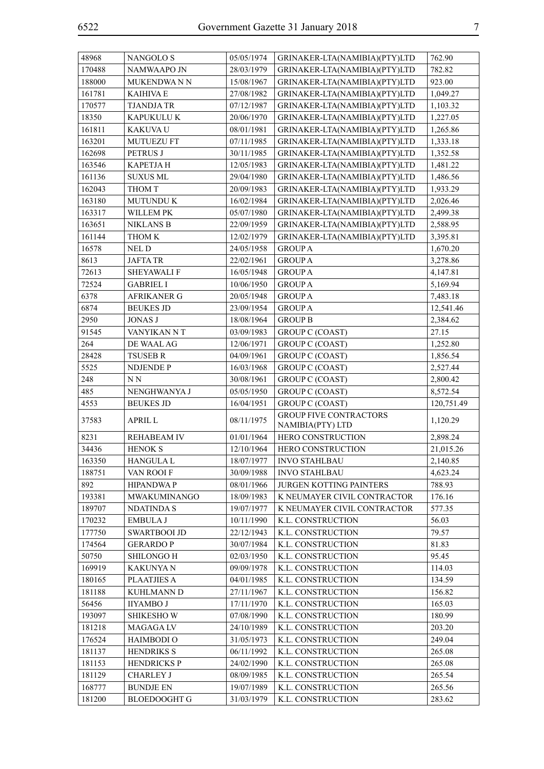| 48968  | <b>NANGOLOS</b>     | 05/05/1974 | GRINAKER-LTA(NAMIBIA)(PTY)LTD                     | 762.90     |
|--------|---------------------|------------|---------------------------------------------------|------------|
| 170488 | NAMWAAPO JN         | 28/03/1979 | GRINAKER-LTA(NAMIBIA)(PTY)LTD                     | 782.82     |
| 188000 | MUKENDWA N N        | 15/08/1967 | GRINAKER-LTA(NAMIBIA)(PTY)LTD                     | 923.00     |
| 161781 | <b>KAIHIVA E</b>    | 27/08/1982 | GRINAKER-LTA(NAMIBIA)(PTY)LTD                     | 1,049.27   |
| 170577 | <b>TJANDJATR</b>    | 07/12/1987 | GRINAKER-LTA(NAMIBIA)(PTY)LTD                     | 1,103.32   |
| 18350  | KAPUKULU K          | 20/06/1970 | GRINAKER-LTA(NAMIBIA)(PTY)LTD                     | 1,227.05   |
| 161811 | KAKUVA U            | 08/01/1981 | GRINAKER-LTA(NAMIBIA)(PTY)LTD                     | 1,265.86   |
| 163201 | <b>MUTUEZU FT</b>   | 07/11/1985 | GRINAKER-LTA(NAMIBIA)(PTY)LTD                     | 1,333.18   |
| 162698 | PETRUS J            | 30/11/1985 | GRINAKER-LTA(NAMIBIA)(PTY)LTD                     | 1,352.58   |
| 163546 | <b>KAPETJAH</b>     | 12/05/1983 | GRINAKER-LTA(NAMIBIA)(PTY)LTD                     | 1,481.22   |
| 161136 | <b>SUXUS ML</b>     | 29/04/1980 | GRINAKER-LTA(NAMIBIA)(PTY)LTD                     | 1,486.56   |
| 162043 | THOM T              | 20/09/1983 | GRINAKER-LTA(NAMIBIA)(PTY)LTD                     | 1,933.29   |
| 163180 | <b>MUTUNDU K</b>    | 16/02/1984 | GRINAKER-LTA(NAMIBIA)(PTY)LTD                     | 2,026.46   |
| 163317 | WILLEM PK           | 05/07/1980 | GRINAKER-LTA(NAMIBIA)(PTY)LTD                     | 2,499.38   |
| 163651 | <b>NIKLANS B</b>    | 22/09/1959 | GRINAKER-LTA(NAMIBIA)(PTY)LTD                     | 2,588.95   |
| 161144 | THOM K              | 12/02/1979 | GRINAKER-LTA(NAMIBIA)(PTY)LTD                     | 3,395.81   |
| 16578  | NEL D               | 24/05/1958 | <b>GROUP A</b>                                    | 1,670.20   |
| 8613   | <b>JAFTA TR</b>     | 22/02/1961 | <b>GROUP A</b>                                    | 3,278.86   |
| 72613  | <b>SHEYAWALIF</b>   | 16/05/1948 | <b>GROUP A</b>                                    | 4,147.81   |
| 72524  | <b>GABRIEL I</b>    | 10/06/1950 | <b>GROUP A</b>                                    | 5,169.94   |
| 6378   | <b>AFRIKANER G</b>  | 20/05/1948 | <b>GROUP A</b>                                    | 7,483.18   |
| 6874   | <b>BEUKES JD</b>    | 23/09/1954 | <b>GROUP A</b>                                    | 12,541.46  |
| 2950   | <b>JONAS J</b>      | 18/08/1964 | <b>GROUP B</b>                                    | 2,384.62   |
| 91545  | VANYIKAN NT         | 03/09/1983 | <b>GROUP C (COAST)</b>                            | 27.15      |
| 264    | DE WAAL AG          | 12/06/1971 | <b>GROUP C (COAST)</b>                            | 1,252.80   |
| 28428  | <b>TSUSEB R</b>     | 04/09/1961 | <b>GROUP C (COAST)</b>                            | 1,856.54   |
| 5525   | NDJENDE P           | 16/03/1968 | <b>GROUP C (COAST)</b>                            | 2,527.44   |
| 248    | N <sub>N</sub>      | 30/08/1961 | <b>GROUP C (COAST)</b>                            | 2,800.42   |
| 485    | NENGHWANYA J        | 05/05/1950 | <b>GROUP C (COAST)</b>                            | 8,572.54   |
| 4553   | <b>BEUKES JD</b>    | 16/04/1951 | <b>GROUP C (COAST)</b>                            | 120,751.49 |
| 37583  | <b>APRIL L</b>      | 08/11/1975 | <b>GROUP FIVE CONTRACTORS</b><br>NAMIBIA(PTY) LTD | 1,120.29   |
| 8231   | <b>REHABEAM IV</b>  | 01/01/1964 | HERO CONSTRUCTION                                 | 2,898.24   |
| 34436  | <b>HENOK S</b>      | 12/10/1964 | HERO CONSTRUCTION                                 | 21,015.26  |
| 163350 | HANGULA L           | 18/07/1977 | <b>INVO STAHLBAU</b>                              | 2,140.85   |
| 188751 | VAN ROOI F          | 30/09/1988 | <b>INVO STAHLBAU</b>                              | 4,623.24   |
| 892    | <b>HIPANDWAP</b>    | 08/01/1966 | <b>JURGEN KOTTING PAINTERS</b>                    | 788.93     |
| 193381 | MWAKUMINANGO        | 18/09/1983 | K NEUMAYER CIVIL CONTRACTOR                       | 176.16     |
| 189707 | <b>NDATINDA S</b>   | 19/07/1977 | K NEUMAYER CIVIL CONTRACTOR                       | 577.35     |
| 170232 | <b>EMBULA J</b>     | 10/11/1990 | K.L. CONSTRUCTION                                 | 56.03      |
| 177750 | <b>SWARTBOOI JD</b> | 22/12/1943 | K.L. CONSTRUCTION                                 | 79.57      |
| 174564 | <b>GERARDOP</b>     | 30/07/1984 | K.L. CONSTRUCTION                                 | 81.83      |
| 50750  | <b>SHILONGO H</b>   | 02/03/1950 | K.L. CONSTRUCTION                                 | 95.45      |
| 169919 | <b>KAKUNYA N</b>    | 09/09/1978 | K.L. CONSTRUCTION                                 | 114.03     |
| 180165 | <b>PLAATJIES A</b>  | 04/01/1985 | K.L. CONSTRUCTION                                 | 134.59     |
| 181188 | KUHLMANN D          | 27/11/1967 | K.L. CONSTRUCTION                                 | 156.82     |
| 56456  | <b>IIYAMBO J</b>    | 17/11/1970 | K.L. CONSTRUCTION                                 | 165.03     |
| 193097 | <b>SHIKESHOW</b>    | 07/08/1990 | K.L. CONSTRUCTION                                 | 180.99     |
| 181218 | MAGAGA LV           | 24/10/1989 | K.L. CONSTRUCTION                                 | 203.20     |
| 176524 | <b>HAIMBODI O</b>   | 31/05/1973 | K.L. CONSTRUCTION                                 | 249.04     |
| 181137 | <b>HENDRIKS S</b>   | 06/11/1992 | K.L. CONSTRUCTION                                 | 265.08     |
| 181153 | <b>HENDRICKS P</b>  | 24/02/1990 | K.L. CONSTRUCTION                                 | 265.08     |
| 181129 | <b>CHARLEY J</b>    | 08/09/1985 | K.L. CONSTRUCTION                                 | 265.54     |
| 168777 | <b>BUNDJE EN</b>    | 19/07/1989 | K.L. CONSTRUCTION                                 | 265.56     |
| 181200 | <b>BLOEDOOGHT G</b> | 31/03/1979 | K.L. CONSTRUCTION                                 | 283.62     |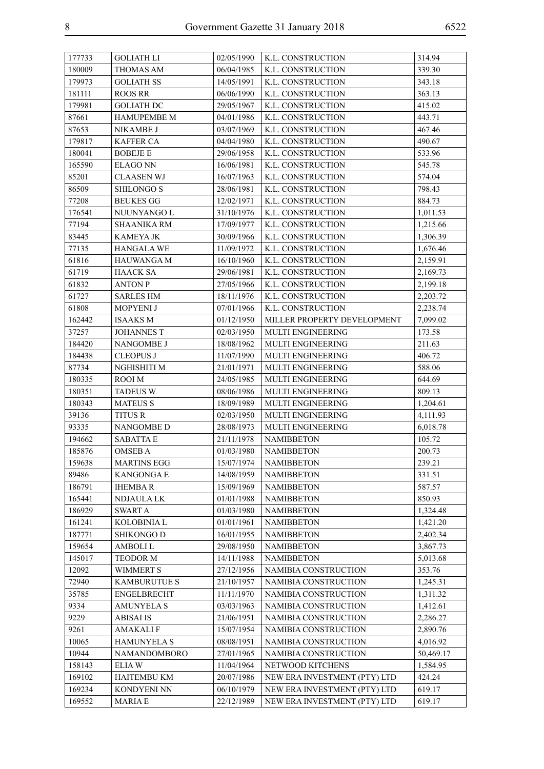| 177733 | <b>GOLIATH LI</b>   | 02/05/1990 | K.L. CONSTRUCTION            | 314.94    |
|--------|---------------------|------------|------------------------------|-----------|
| 180009 | THOMAS AM           | 06/04/1985 | K.L. CONSTRUCTION            | 339.30    |
| 179973 | <b>GOLIATH SS</b>   | 14/05/1991 | K.L. CONSTRUCTION            | 343.18    |
| 181111 | <b>ROOS RR</b>      | 06/06/1990 | K.L. CONSTRUCTION            | 363.13    |
| 179981 | <b>GOLIATH DC</b>   | 29/05/1967 | K.L. CONSTRUCTION            | 415.02    |
| 87661  | <b>HAMUPEMBE M</b>  | 04/01/1986 | K.L. CONSTRUCTION            | 443.71    |
| 87653  | NIKAMBE J           | 03/07/1969 | K.L. CONSTRUCTION            | 467.46    |
| 179817 | <b>KAFFER CA</b>    | 04/04/1980 | K.L. CONSTRUCTION            | 490.67    |
| 180041 | <b>BOBEJE E</b>     | 29/06/1958 | K.L. CONSTRUCTION            | 533.96    |
| 165590 | <b>ELAGO NN</b>     | 16/06/1981 | K.L. CONSTRUCTION            | 545.78    |
| 85201  | <b>CLAASEN WJ</b>   | 16/07/1963 | K.L. CONSTRUCTION            | 574.04    |
| 86509  | <b>SHILONGO S</b>   | 28/06/1981 | K.L. CONSTRUCTION            | 798.43    |
| 77208  | <b>BEUKES GG</b>    | 12/02/1971 | K.L. CONSTRUCTION            | 884.73    |
| 176541 | NUUNYANGO L         | 31/10/1976 | K.L. CONSTRUCTION            | 1,011.53  |
| 77194  | <b>SHAANIKA RM</b>  | 17/09/1977 | K.L. CONSTRUCTION            | 1,215.66  |
| 83445  | KAMEYA JK           | 30/09/1966 | K.L. CONSTRUCTION            | 1,306.39  |
| 77135  | <b>HANGALA WE</b>   | 11/09/1972 | K.L. CONSTRUCTION            | 1,676.46  |
| 61816  | <b>HAUWANGAM</b>    | 16/10/1960 | K.L. CONSTRUCTION            | 2,159.91  |
| 61719  | <b>HAACK SA</b>     | 29/06/1981 | K.L. CONSTRUCTION            | 2,169.73  |
| 61832  | <b>ANTON P</b>      | 27/05/1966 | K.L. CONSTRUCTION            | 2,199.18  |
| 61727  | <b>SARLES HM</b>    | 18/11/1976 | K.L. CONSTRUCTION            | 2,203.72  |
| 61808  | MOPYENI J           | 07/01/1966 | K.L. CONSTRUCTION            | 2,238.74  |
| 162442 | <b>ISAAKS M</b>     | 01/12/1950 | MILLER PROPERTY DEVELOPMENT  | 7,099.02  |
| 37257  | <b>JOHANNES T</b>   | 02/03/1950 | <b>MULTI ENGINEERING</b>     | 173.58    |
| 184420 | NANGOMBE J          | 18/08/1962 | MULTI ENGINEERING            | 211.63    |
| 184438 | <b>CLEOPUS J</b>    | 11/07/1990 | <b>MULTI ENGINEERING</b>     | 406.72    |
| 87734  | NGHISHITI M         | 21/01/1971 | MULTI ENGINEERING            | 588.06    |
| 180335 | ROOI M              | 24/05/1985 | MULTI ENGINEERING            | 644.69    |
| 180351 | <b>TADEUS W</b>     | 08/06/1986 | MULTI ENGINEERING            | 809.13    |
| 180343 | <b>MATEUS S</b>     | 18/09/1989 | <b>MULTI ENGINEERING</b>     | 1,204.61  |
| 39136  | TITUS R             | 02/03/1950 | MULTI ENGINEERING            | 4,111.93  |
| 93335  | <b>NANGOMBE D</b>   | 28/08/1973 | MULTI ENGINEERING            | 6,018.78  |
| 194662 | <b>SABATTA E</b>    | 21/11/1978 | <b>NAMIBBETON</b>            | 105.72    |
| 185876 | <b>OMSEB A</b>      | 01/03/1980 | <b>NAMIBBETON</b>            | 200.73    |
| 159638 | <b>MARTINS EGG</b>  | 15/07/1974 | NAMIBBETON                   | 239.21    |
| 89486  | <b>KANGONGA E</b>   | 14/08/1959 | <b>NAMIBBETON</b>            | 331.51    |
| 186791 | <b>IHEMBAR</b>      | 15/09/1969 | <b>NAMIBBETON</b>            | 587.57    |
| 165441 | NDJAULA LK          | 01/01/1988 | <b>NAMIBBETON</b>            | 850.93    |
| 186929 | <b>SWART A</b>      | 01/03/1980 | <b>NAMIBBETON</b>            | 1,324.48  |
| 161241 | KOLOBINIA L         | 01/01/1961 | <b>NAMIBBETON</b>            | 1,421.20  |
| 187771 | <b>SHIKONGO D</b>   | 16/01/1955 | <b>NAMIBBETON</b>            | 2,402.34  |
| 159654 | <b>AMBOLIL</b>      | 29/08/1950 | <b>NAMIBBETON</b>            | 3,867.73  |
| 145017 | TEODOR M            | 14/11/1988 | <b>NAMIBBETON</b>            | 5,013.68  |
| 12092  | <b>WIMMERT S</b>    | 27/12/1956 | NAMIBIA CONSTRUCTION         | 353.76    |
| 72940  | <b>KAMBURUTUE S</b> | 21/10/1957 | NAMIBIA CONSTRUCTION         | 1,245.31  |
| 35785  | <b>ENGELBRECHT</b>  | 11/11/1970 | NAMIBIA CONSTRUCTION         | 1,311.32  |
| 9334   | <b>AMUNYELA S</b>   | 03/03/1963 | NAMIBIA CONSTRUCTION         | 1,412.61  |
| 9229   | <b>ABISAI IS</b>    | 21/06/1951 | NAMIBIA CONSTRUCTION         | 2,286.27  |
| 9261   | <b>AMAKALIF</b>     | 15/07/1954 | NAMIBIA CONSTRUCTION         | 2,890.76  |
| 10065  | <b>HAMUNYELA S</b>  | 08/08/1951 | NAMIBIA CONSTRUCTION         | 4,016.92  |
| 10944  | NAMANDOMBORO        | 27/01/1965 | NAMIBIA CONSTRUCTION         | 50,469.17 |
| 158143 | <b>ELIAW</b>        | 11/04/1964 | NETWOOD KITCHENS             | 1,584.95  |
| 169102 | <b>HAITEMBU KM</b>  | 20/07/1986 | NEW ERA INVESTMENT (PTY) LTD | 424.24    |
| 169234 | KONDYENI NN         | 06/10/1979 | NEW ERA INVESTMENT (PTY) LTD | 619.17    |
| 169552 | <b>MARIA E</b>      | 22/12/1989 | NEW ERA INVESTMENT (PTY) LTD | 619.17    |
|        |                     |            |                              |           |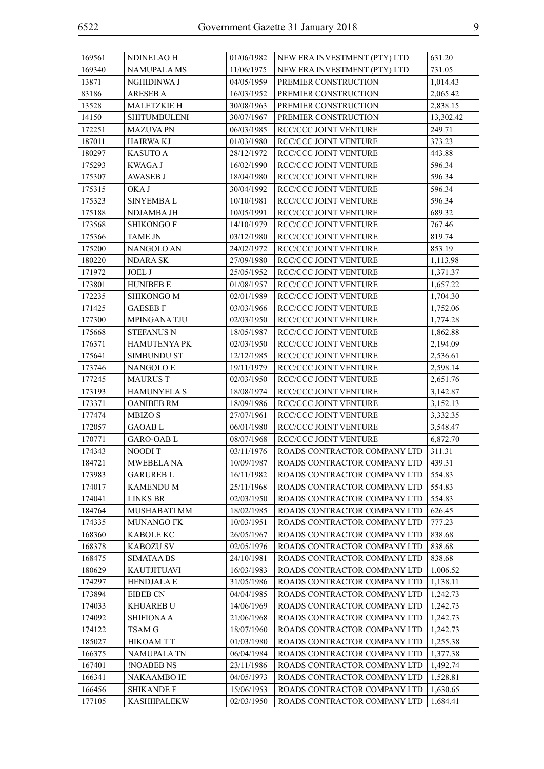| 169561 | NDINELAO H          | 01/06/1982 | NEW ERA INVESTMENT (PTY) LTD | 631.20    |
|--------|---------------------|------------|------------------------------|-----------|
| 169340 | <b>NAMUPALA MS</b>  | 11/06/1975 | NEW ERA INVESTMENT (PTY) LTD | 731.05    |
| 13871  | NGHIDINWA J         | 04/05/1959 | PREMIER CONSTRUCTION         | 1,014.43  |
| 83186  | <b>ARESEBA</b>      | 16/03/1952 | PREMIER CONSTRUCTION         | 2,065.42  |
| 13528  | MALETZKIE H         | 30/08/1963 | PREMIER CONSTRUCTION         | 2,838.15  |
| 14150  | <b>SHITUMBULENI</b> | 30/07/1967 | PREMIER CONSTRUCTION         | 13,302.42 |
| 172251 | <b>MAZUVA PN</b>    | 06/03/1985 | RCC/CCC JOINT VENTURE        | 249.71    |
| 187011 | <b>HAIRWA KJ</b>    | 01/03/1980 | RCC/CCC JOINT VENTURE        | 373.23    |
| 180297 | <b>KASUTO A</b>     | 28/12/1972 | RCC/CCC JOINT VENTURE        | 443.88    |
| 175293 | <b>KWAGAJ</b>       | 16/02/1990 | RCC/CCC JOINT VENTURE        | 596.34    |
| 175307 | <b>AWASEB J</b>     | 18/04/1980 | RCC/CCC JOINT VENTURE        | 596.34    |
| 175315 | OKA J               | 30/04/1992 | RCC/CCC JOINT VENTURE        | 596.34    |
| 175323 | <b>SINYEMBAL</b>    | 10/10/1981 | RCC/CCC JOINT VENTURE        | 596.34    |
| 175188 | NDJAMBA JH          | 10/05/1991 | RCC/CCC JOINT VENTURE        | 689.32    |
| 173568 | <b>SHIKONGO F</b>   | 14/10/1979 | RCC/CCC JOINT VENTURE        | 767.46    |
| 175366 | <b>TAME JN</b>      | 03/12/1980 | RCC/CCC JOINT VENTURE        | 819.74    |
| 175200 | NANGOLO AN          | 24/02/1972 | RCC/CCC JOINT VENTURE        | 853.19    |
| 180220 | <b>NDARA SK</b>     | 27/09/1980 | RCC/CCC JOINT VENTURE        | 1,113.98  |
| 171972 | <b>JOEL J</b>       | 25/05/1952 | RCC/CCC JOINT VENTURE        | 1,371.37  |
| 173801 | <b>HUNIBEB E</b>    | 01/08/1957 | RCC/CCC JOINT VENTURE        | 1,657.22  |
| 172235 | SHIKONGO M          | 02/01/1989 | RCC/CCC JOINT VENTURE        | 1,704.30  |
| 171425 | <b>GAESEBF</b>      | 03/03/1966 | RCC/CCC JOINT VENTURE        | 1,752.06  |
| 177300 | MPINGANA TJU        | 02/03/1950 | RCC/CCC JOINT VENTURE        | 1,774.28  |
| 175668 | <b>STEFANUS N</b>   | 18/05/1987 | RCC/CCC JOINT VENTURE        | 1,862.88  |
| 176371 | <b>HAMUTENYA PK</b> | 02/03/1950 | RCC/CCC JOINT VENTURE        | 2,194.09  |
| 175641 | <b>SIMBUNDU ST</b>  | 12/12/1985 | RCC/CCC JOINT VENTURE        | 2,536.61  |
| 173746 | NANGOLO E           | 19/11/1979 | RCC/CCC JOINT VENTURE        | 2,598.14  |
| 177245 | <b>MAURUST</b>      | 02/03/1950 | RCC/CCC JOINT VENTURE        | 2,651.76  |
| 173193 | <b>HAMUNYELA S</b>  | 18/08/1974 | RCC/CCC JOINT VENTURE        | 3,142.87  |
| 173371 | <b>OANIBEB RM</b>   | 18/09/1986 | RCC/CCC JOINT VENTURE        | 3,152.13  |
| 177474 | MBIZO S             | 27/07/1961 | RCC/CCC JOINT VENTURE        | 3,332.35  |
| 172057 | <b>GAOABL</b>       | 06/01/1980 | RCC/CCC JOINT VENTURE        | 3,548.47  |
| 170771 | <b>GARO-OABL</b>    | 08/07/1968 | RCC/CCC JOINT VENTURE        | 6,872.70  |
| 174343 | NOODI T             | 03/11/1976 | ROADS CONTRACTOR COMPANY LTD | 311.31    |
| 184721 | MWEBELA NA          | 10/09/1987 | ROADS CONTRACTOR COMPANY LTD | 439.31    |
| 173983 | <b>GARUREB L</b>    | 16/11/1982 | ROADS CONTRACTOR COMPANY LTD | 554.83    |
| 174017 | <b>KAMENDUM</b>     | 25/11/1968 | ROADS CONTRACTOR COMPANY LTD | 554.83    |
| 174041 | <b>LINKS BR</b>     | 02/03/1950 | ROADS CONTRACTOR COMPANY LTD | 554.83    |
| 184764 | MUSHABATI MM        | 18/02/1985 | ROADS CONTRACTOR COMPANY LTD | 626.45    |
| 174335 | MUNANGO FK          | 10/03/1951 | ROADS CONTRACTOR COMPANY LTD | 777.23    |
| 168360 | <b>KABOLE KC</b>    | 26/05/1967 | ROADS CONTRACTOR COMPANY LTD | 838.68    |
| 168378 | <b>KABOZU SV</b>    | 02/05/1976 | ROADS CONTRACTOR COMPANY LTD | 838.68    |
| 168475 | <b>SIMATAA BS</b>   | 24/10/1981 | ROADS CONTRACTOR COMPANY LTD | 838.68    |
| 180629 | <b>KAUTJITUAVI</b>  | 16/03/1983 | ROADS CONTRACTOR COMPANY LTD | 1,006.52  |
| 174297 | <b>HENDJALA E</b>   | 31/05/1986 | ROADS CONTRACTOR COMPANY LTD | 1,138.11  |
| 173894 | EIBEB CN            | 04/04/1985 | ROADS CONTRACTOR COMPANY LTD | 1,242.73  |
| 174033 | <b>KHUAREB U</b>    | 14/06/1969 | ROADS CONTRACTOR COMPANY LTD | 1,242.73  |
| 174092 | <b>SHIFIONA A</b>   | 21/06/1968 | ROADS CONTRACTOR COMPANY LTD | 1,242.73  |
| 174122 | TSAM G              | 18/07/1960 | ROADS CONTRACTOR COMPANY LTD | 1,242.73  |
| 185027 | <b>HIKOAMTT</b>     | 01/03/1980 | ROADS CONTRACTOR COMPANY LTD | 1,255.38  |
| 166375 | NAMUPALA TN         | 06/04/1984 | ROADS CONTRACTOR COMPANY LTD | 1,377.38  |
| 167401 | <b>!NOABEB NS</b>   | 23/11/1986 | ROADS CONTRACTOR COMPANY LTD | 1,492.74  |
| 166341 | NAKAAMBO IE         | 04/05/1973 | ROADS CONTRACTOR COMPANY LTD | 1,528.81  |
| 166456 | <b>SHIKANDE F</b>   | 15/06/1953 | ROADS CONTRACTOR COMPANY LTD | 1,630.65  |
| 177105 | <b>KASHIIPALEKW</b> | 02/03/1950 | ROADS CONTRACTOR COMPANY LTD | 1,684.41  |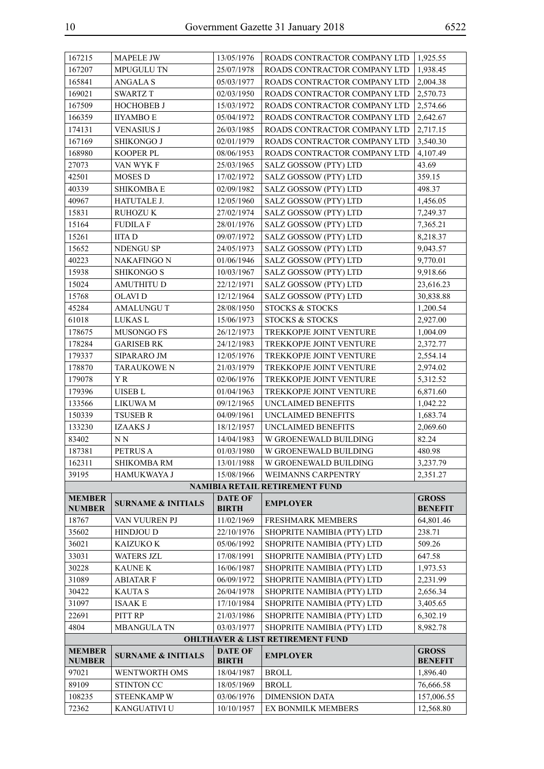| 167215                         | <b>MAPELE JW</b>              | 13/05/1976                     | ROADS CONTRACTOR COMPANY LTD                | 1,925.55                       |
|--------------------------------|-------------------------------|--------------------------------|---------------------------------------------|--------------------------------|
| 167207                         | MPUGULU TN                    | 25/07/1978                     | ROADS CONTRACTOR COMPANY LTD                | 1,938.45                       |
| 165841                         | <b>ANGALAS</b>                | 05/03/1977                     | ROADS CONTRACTOR COMPANY LTD                | 2,004.38                       |
| 169021                         | <b>SWARTZ T</b>               | 02/03/1950                     | ROADS CONTRACTOR COMPANY LTD                | 2,570.73                       |
| 167509                         | <b>HOCHOBEB J</b>             | 15/03/1972                     | ROADS CONTRACTOR COMPANY LTD                | 2,574.66                       |
| 166359                         | <b>IIYAMBO E</b>              | 05/04/1972                     | ROADS CONTRACTOR COMPANY LTD                | 2,642.67                       |
| 174131                         | <b>VENASIUS J</b>             | 26/03/1985                     | ROADS CONTRACTOR COMPANY LTD                | 2,717.15                       |
| 167169                         | <b>SHIKONGO J</b>             | 02/01/1979                     | ROADS CONTRACTOR COMPANY LTD                | 3,540.30                       |
| 168980                         | <b>KOOPER PL</b>              | 08/06/1953                     | ROADS CONTRACTOR COMPANY LTD                | 4,107.49                       |
| 27073                          | VAN WYK F                     | 25/03/1965                     | SALZ GOSSOW (PTY) LTD                       | 43.69                          |
| 42501                          | <b>MOSES D</b>                | 17/02/1972                     | SALZ GOSSOW (PTY) LTD                       | 359.15                         |
| 40339                          | <b>SHIKOMBAE</b>              | 02/09/1982                     | SALZ GOSSOW (PTY) LTD                       | 498.37                         |
| 40967                          | HATUTALE J.                   | 12/05/1960                     | SALZ GOSSOW (PTY) LTD                       | 1,456.05                       |
| 15831                          | <b>RUHOZU K</b>               | 27/02/1974                     | SALZ GOSSOW (PTY) LTD                       | 7,249.37                       |
| 15164                          | <b>FUDILA F</b>               | 28/01/1976                     | SALZ GOSSOW (PTY) LTD                       | 7,365.21                       |
| 15261                          | <b>IITAD</b>                  | 09/07/1972                     | SALZ GOSSOW (PTY) LTD                       | 8,218.37                       |
| 15652                          | <b>NDENGU SP</b>              | 24/05/1973                     | SALZ GOSSOW (PTY) LTD                       | 9,043.57                       |
| 40223                          | NAKAFINGO N                   | 01/06/1946                     | SALZ GOSSOW (PTY) LTD                       | 9,770.01                       |
| 15938                          | <b>SHIKONGO S</b>             | 10/03/1967                     | SALZ GOSSOW (PTY) LTD                       | 9,918.66                       |
| 15024                          | <b>AMUTHITU D</b>             | 22/12/1971                     | SALZ GOSSOW (PTY) LTD                       | 23,616.23                      |
| 15768                          | <b>OLAVID</b>                 | 12/12/1964                     | SALZ GOSSOW (PTY) LTD                       | 30,838.88                      |
| 45284                          | <b>AMALUNGU T</b>             | 28/08/1950                     | <b>STOCKS &amp; STOCKS</b>                  | 1,200.54                       |
| 61018                          | <b>LUKAS L</b>                | 15/06/1973                     | <b>STOCKS &amp; STOCKS</b>                  | 2,927.00                       |
| 178675                         | MUSONGO FS                    | 26/12/1973                     | TREKKOPJE JOINT VENTURE                     | 1,004.09                       |
| 178284                         | <b>GARISEB RK</b>             | 24/12/1983                     | TREKKOPJE JOINT VENTURE                     | 2,372.77                       |
| 179337                         | SIPARARO JM                   | 12/05/1976                     | TREKKOPJE JOINT VENTURE                     | 2,554.14                       |
| 178870                         | <b>TARAUKOWE N</b>            | 21/03/1979                     | TREKKOPJE JOINT VENTURE                     | 2,974.02                       |
| 179078                         | YR.                           | 02/06/1976                     | TREKKOPJE JOINT VENTURE                     | 5,312.52                       |
| 179396                         | <b>UISEBL</b>                 | 01/04/1963                     | TREKKOPJE JOINT VENTURE                     | 6,871.60                       |
| 133566                         | <b>LIKUWA M</b>               | 09/12/1965                     | UNCLAIMED BENEFITS                          | 1,042.22                       |
| 150339                         | <b>TSUSEB R</b>               | 04/09/1961                     | UNCLAIMED BENEFITS                          | 1,683.74                       |
| 133230                         | <b>IZAAKS J</b>               | 18/12/1957                     | <b>UNCLAIMED BENEFITS</b>                   | 2,069.60                       |
| 83402                          | N N                           | 14/04/1983                     | W GROENEWALD BUILDING                       | 82.24                          |
| 187381                         | PETRUS A                      | 01/03/1980                     | W GROENEWALD BUILDING                       | 480.98                         |
| 162311                         | SHIKOMBA RM                   | 13/01/1988                     | W GROENEWALD BUILDING                       | 3,237.79                       |
| 39195                          | <b>HAMUKWAYA J</b>            | 15/08/1966                     | <b>WEIMANNS CARPENTRY</b>                   | 2,351.27                       |
|                                |                               |                                | <b>NAMIBIA RETAIL RETIREMENT FUND</b>       |                                |
| <b>MEMBER</b>                  | <b>SURNAME &amp; INITIALS</b> | <b>DATE OF</b>                 | <b>EMPLOYER</b>                             | <b>GROSS</b>                   |
| <b>NUMBER</b>                  |                               | <b>BIRTH</b>                   |                                             | <b>BENEFIT</b>                 |
| 18767                          | VAN VUUREN PJ                 | 11/02/1969                     | <b>FRESHMARK MEMBERS</b>                    | 64,801.46                      |
| 35602                          | <b>HINDJOU D</b>              | 22/10/1976                     | SHOPRITE NAMIBIA (PTY) LTD                  | 238.71                         |
| 36021                          | <b>KAIZUKO K</b>              | 05/06/1992                     | SHOPRITE NAMIBIA (PTY) LTD                  | 509.26                         |
| 33031                          | <b>WATERS JZL</b>             | 17/08/1991                     | SHOPRITE NAMIBIA (PTY) LTD                  | 647.58                         |
| 30228                          | <b>KAUNE K</b>                | 16/06/1987                     | SHOPRITE NAMIBIA (PTY) LTD                  | 1,973.53                       |
| 31089                          | <b>ABIATAR F</b>              | 06/09/1972                     | SHOPRITE NAMIBIA (PTY) LTD                  | 2,231.99                       |
| 30422                          | <b>KAUTAS</b>                 | 26/04/1978                     | SHOPRITE NAMIBIA (PTY) LTD                  | 2,656.34                       |
| 31097                          | <b>ISAAK E</b>                | 17/10/1984                     | SHOPRITE NAMIBIA (PTY) LTD                  | 3,405.65                       |
| 22691                          | PITT RP                       | 21/03/1986                     | SHOPRITE NAMIBIA (PTY) LTD                  | 6,302.19                       |
| 4804                           | <b>MBANGULATN</b>             | 03/03/1977                     | SHOPRITE NAMIBIA (PTY) LTD                  | 8,982.78                       |
|                                |                               |                                | <b>OHLTHAVER &amp; LIST RETIREMENT FUND</b> |                                |
| <b>MEMBER</b><br><b>NUMBER</b> | <b>SURNAME &amp; INITIALS</b> | <b>DATE OF</b><br><b>BIRTH</b> | <b>EMPLOYER</b>                             | <b>GROSS</b><br><b>BENEFIT</b> |
| 97021                          | WENTWORTH OMS                 | 18/04/1987                     | <b>BROLL</b>                                | 1,896.40                       |
| 89109                          | STINTON CC                    | 18/05/1969                     | <b>BROLL</b>                                | 76,666.58                      |
| 108235                         | <b>STEENKAMP W</b>            | 03/06/1976                     | <b>DIMENSION DATA</b>                       | 157,006.55                     |
| 72362                          | <b>KANGUATIVI U</b>           | 10/10/1957                     | EX BONMILK MEMBERS                          | 12,568.80                      |
|                                |                               |                                |                                             |                                |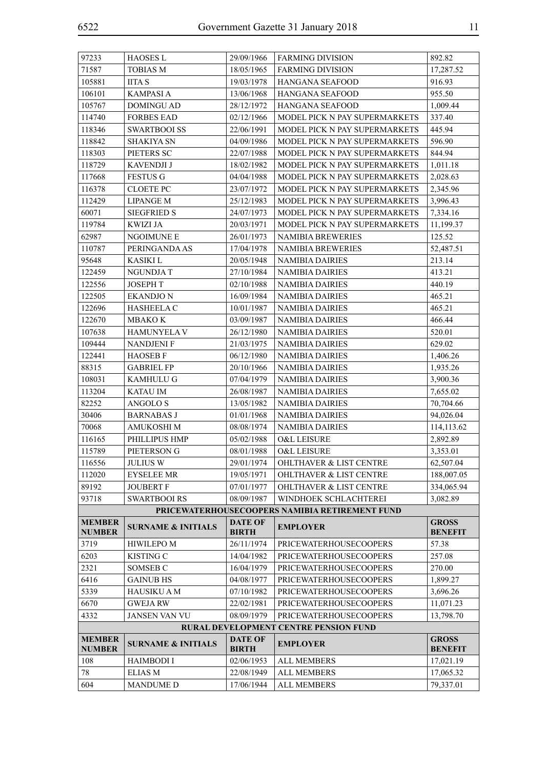| 97233                          | <b>HAOSES L</b>               | 29/09/1966                     | <b>FARMING DIVISION</b>                                        | 892.82                         |
|--------------------------------|-------------------------------|--------------------------------|----------------------------------------------------------------|--------------------------------|
| 71587                          | TOBIAS M                      | 18/05/1965                     | <b>FARMING DIVISION</b>                                        | 17,287.52                      |
| 105881                         | <b>IITA S</b>                 | 19/03/1978                     | HANGANA SEAFOOD                                                | 916.93                         |
| 106101                         | <b>KAMPASIA</b>               | 13/06/1968                     | HANGANA SEAFOOD                                                | 955.50                         |
| 105767                         | <b>DOMINGU AD</b>             | 28/12/1972                     | HANGANA SEAFOOD                                                | 1,009.44                       |
| 114740                         | <b>FORBES EAD</b>             | 02/12/1966                     | MODEL PICK N PAY SUPERMARKETS                                  | 337.40                         |
| 118346                         | <b>SWARTBOOI SS</b>           | 22/06/1991                     | MODEL PICK N PAY SUPERMARKETS                                  | 445.94                         |
| 118842                         | <b>SHAKIYA SN</b>             | 04/09/1986                     | MODEL PICK N PAY SUPERMARKETS                                  | 596.90                         |
| 118303                         | PIETERS SC                    | 22/07/1988                     | MODEL PICK N PAY SUPERMARKETS                                  | 844.94                         |
| 118729                         | KAVENDJI J                    | 18/02/1982                     | MODEL PICK N PAY SUPERMARKETS                                  | 1,011.18                       |
| 117668                         | <b>FESTUS G</b>               | 04/04/1988                     | MODEL PICK N PAY SUPERMARKETS                                  | 2,028.63                       |
| 116378                         | <b>CLOETE PC</b>              | 23/07/1972                     | MODEL PICK N PAY SUPERMARKETS                                  | 2,345.96                       |
| 112429                         | <b>LIPANGE M</b>              | 25/12/1983                     | MODEL PICK N PAY SUPERMARKETS                                  | 3,996.43                       |
| 60071                          | <b>SIEGFRIED S</b>            | 24/07/1973                     | MODEL PICK N PAY SUPERMARKETS                                  | 7,334.16                       |
| 119784                         | <b>KWIZI JA</b>               | 20/03/1971                     | MODEL PICK N PAY SUPERMARKETS                                  | 11,199.37                      |
| 62987                          | NGOIMUNE E                    | 26/01/1973                     | <b>NAMIBIA BREWERIES</b>                                       | 125.52                         |
| 110787                         | PERINGANDA AS                 | 17/04/1978                     | NAMIBIA BREWERIES                                              | 52,487.51                      |
| 95648                          | <b>KASIKI</b> L               | 20/05/1948                     | <b>NAMIBIA DAIRIES</b>                                         | 213.14                         |
| 122459                         | NGUNDJA T                     | 27/10/1984                     | <b>NAMIBIA DAIRIES</b>                                         | 413.21                         |
| 122556                         | <b>JOSEPH T</b>               | 02/10/1988                     | <b>NAMIBIA DAIRIES</b>                                         | 440.19                         |
| 122505                         | <b>EKANDJON</b>               | 16/09/1984                     | <b>NAMIBIA DAIRIES</b>                                         | 465.21                         |
| 122696                         | <b>HASHEELA C</b>             | 10/01/1987                     | <b>NAMIBIA DAIRIES</b>                                         | 465.21                         |
| 122670                         | MBAKO K                       | 03/09/1987                     | <b>NAMIBIA DAIRIES</b>                                         | 466.44                         |
| 107638                         | <b>HAMUNYELA V</b>            | 26/12/1980                     | <b>NAMIBIA DAIRIES</b>                                         | 520.01                         |
| 109444                         | <b>NANDJENI F</b>             | 21/03/1975                     | <b>NAMIBIA DAIRIES</b>                                         | 629.02                         |
| 122441                         | <b>HAOSEB F</b>               | 06/12/1980                     | <b>NAMIBIA DAIRIES</b>                                         | 1,406.26                       |
| 88315                          | <b>GABRIEL FP</b>             | 20/10/1966                     | <b>NAMIBIA DAIRIES</b>                                         | 1,935.26                       |
| 108031                         | <b>KAMHULU G</b>              | 07/04/1979                     | <b>NAMIBIA DAIRIES</b>                                         | 3,900.36                       |
| 113204                         | <b>KATAU IM</b>               | 26/08/1987                     | <b>NAMIBIA DAIRIES</b>                                         | 7,655.02                       |
| 82252                          | ANGOLO <sub>S</sub>           | 13/05/1982                     | <b>NAMIBIA DAIRIES</b>                                         | 70,704.66                      |
| 30406                          | <b>BARNABAS J</b>             | 01/01/1968                     | <b>NAMIBIA DAIRIES</b>                                         | 94,026.04                      |
| 70068                          | <b>AMUKOSHI M</b>             | 08/08/1974                     | <b>NAMIBIA DAIRIES</b>                                         | 114,113.62                     |
| 116165                         | PHILLIPUS HMP                 | 05/02/1988                     | O&L LEISURE                                                    | 2,892.89                       |
| 115789                         | PIETERSON G                   | 08/01/1988                     | O&L LEISURE                                                    | 3,353.01                       |
| 116556                         | <b>JULIUS W</b>               | 29/01/1974                     | <b>OHLTHAVER &amp; LIST CENTRE</b>                             | 62,507.04                      |
| 112020                         | <b>EYSELEE MR</b>             | 19/05/1971                     | <b>OHLTHAVER &amp; LIST CENTRE</b>                             | 188,007.05                     |
| 89192                          | <b>JOUBERT F</b>              | 07/01/1977                     | <b>OHLTHAVER &amp; LIST CENTRE</b>                             | 334,065.94                     |
| 93718                          | <b>SWARTBOOI RS</b>           | 08/09/1987                     | WINDHOEK SCHLACHTEREI                                          | 3,082.89                       |
|                                |                               |                                | PRICEWATERHOUSECOOPERS NAMIBIA RETIREMENT FUND                 |                                |
| <b>MEMBER</b>                  | <b>SURNAME &amp; INITIALS</b> | <b>DATE OF</b>                 | <b>EMPLOYER</b>                                                | <b>GROSS</b>                   |
| <b>NUMBER</b>                  |                               | <b>BIRTH</b>                   |                                                                | <b>BENEFIT</b>                 |
| 3719                           | <b>HIWILEPO M</b>             | 26/11/1974                     | <b>PRICEWATERHOUSECOOPERS</b><br><b>PRICEWATERHOUSECOOPERS</b> | 57.38                          |
| 6203                           | <b>KISTING C</b>              | 14/04/1982                     |                                                                | 257.08                         |
| 2321                           | SOMSEB C                      | 16/04/1979                     | PRICEWATERHOUSECOOPERS                                         | 270.00                         |
| 6416                           | <b>GAINUB HS</b>              | 04/08/1977                     | <b>PRICEWATERHOUSECOOPERS</b>                                  | 1,899.27                       |
| 5339                           | HAUSIKU A M                   | 07/10/1982                     | PRICEWATERHOUSECOOPERS                                         | 3,696.26                       |
| 6670                           | <b>GWEJARW</b>                | 22/02/1981                     | PRICEWATERHOUSECOOPERS                                         | 11,071.23                      |
| 4332                           | <b>JANSEN VAN VU</b>          | 08/09/1979                     | <b>PRICEWATERHOUSECOOPERS</b>                                  | 13,798.70                      |
|                                |                               |                                | RURAL DEVELOPMENT CENTRE PENSION FUND                          |                                |
| <b>MEMBER</b><br><b>NUMBER</b> | <b>SURNAME &amp; INITIALS</b> | <b>DATE OF</b><br><b>BIRTH</b> | <b>EMPLOYER</b>                                                | <b>GROSS</b><br><b>BENEFIT</b> |
| 108                            | <b>HAIMBODI I</b>             | 02/06/1953                     | <b>ALL MEMBERS</b>                                             | 17,021.19                      |
| 78                             | <b>ELIAS M</b>                | 22/08/1949                     | <b>ALL MEMBERS</b>                                             | 17,065.32                      |
| 604                            | <b>MANDUME D</b>              | 17/06/1944                     | <b>ALL MEMBERS</b>                                             | 79,337.01                      |
|                                |                               |                                |                                                                |                                |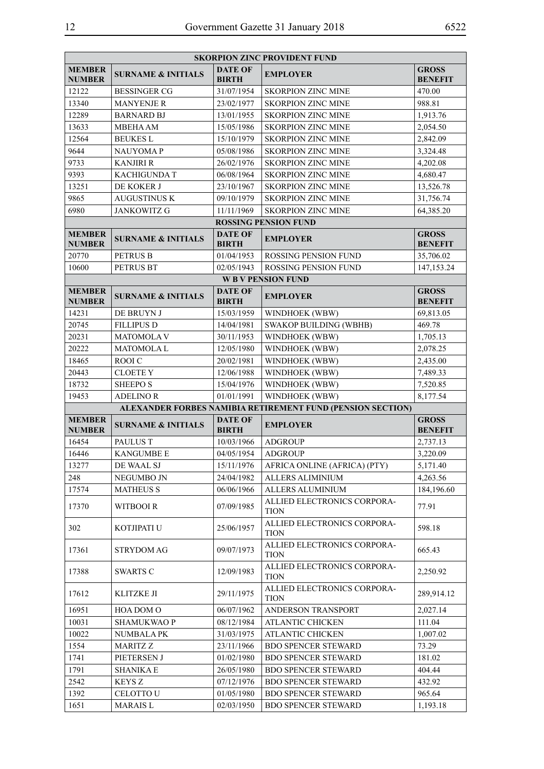|                                |                               |                                | <b>SKORPION ZINC PROVIDENT FUND</b>                        |                                |
|--------------------------------|-------------------------------|--------------------------------|------------------------------------------------------------|--------------------------------|
| <b>MEMBER</b><br><b>NUMBER</b> | <b>SURNAME &amp; INITIALS</b> | <b>DATE OF</b><br><b>BIRTH</b> | <b>EMPLOYER</b>                                            | <b>GROSS</b><br><b>BENEFIT</b> |
| 12122                          | <b>BESSINGER CG</b>           | 31/07/1954                     | <b>SKORPION ZINC MINE</b>                                  | 470.00                         |
| 13340                          | <b>MANYENJE R</b>             | 23/02/1977                     | <b>SKORPION ZINC MINE</b>                                  | 988.81                         |
| 12289                          | <b>BARNARD BJ</b>             | 13/01/1955                     | <b>SKORPION ZINC MINE</b>                                  | 1,913.76                       |
| 13633                          | <b>MBEHA AM</b>               | 15/05/1986                     | <b>SKORPION ZINC MINE</b>                                  | 2,054.50                       |
| 12564                          | <b>BEUKES L</b>               | 15/10/1979                     | <b>SKORPION ZINC MINE</b>                                  | 2,842.09                       |
| 9644                           | <b>NAUYOMAP</b>               | 05/08/1986                     | <b>SKORPION ZINC MINE</b>                                  | 3,324.48                       |
| 9733                           | <b>KANJIRI R</b>              | 26/02/1976                     | <b>SKORPION ZINC MINE</b>                                  | 4,202.08                       |
| 9393                           | <b>KACHIGUNDA T</b>           | 06/08/1964                     | <b>SKORPION ZINC MINE</b>                                  | 4,680.47                       |
| 13251                          | DE KOKER J                    | 23/10/1967                     | <b>SKORPION ZINC MINE</b>                                  | 13,526.78                      |
| 9865                           | <b>AUGUSTINUS K</b>           | 09/10/1979                     | <b>SKORPION ZINC MINE</b>                                  | 31,756.74                      |
| 6980                           | <b>JANKOWITZ G</b>            | 11/11/1969                     | <b>SKORPION ZINC MINE</b>                                  | 64,385.20                      |
|                                |                               |                                | <b>ROSSING PENSION FUND</b>                                |                                |
| <b>MEMBER</b><br><b>NUMBER</b> | <b>SURNAME &amp; INITIALS</b> | <b>DATE OF</b><br><b>BIRTH</b> | <b>EMPLOYER</b>                                            | <b>GROSS</b><br><b>BENEFIT</b> |
| 20770                          | <b>PETRUS B</b>               | 01/04/1953                     | ROSSING PENSION FUND                                       | 35,706.02                      |
| 10600                          | <b>PETRUS BT</b>              | 02/05/1943                     | <b>ROSSING PENSION FUND</b>                                | 147,153.24                     |
|                                |                               |                                | <b>WBV PENSION FUND</b>                                    |                                |
| <b>MEMBER</b><br><b>NUMBER</b> | <b>SURNAME &amp; INITIALS</b> | <b>DATE OF</b><br><b>BIRTH</b> | <b>EMPLOYER</b>                                            | <b>GROSS</b><br><b>BENEFIT</b> |
| 14231                          | DE BRUYN J                    | 15/03/1959                     | WINDHOEK (WBW)                                             | 69,813.05                      |
| 20745                          | <b>FILLIPUS D</b>             | 14/04/1981                     | <b>SWAKOP BUILDING (WBHB)</b>                              | 469.78                         |
| 20231                          | <b>MATOMOLA V</b>             | 30/11/1953                     | WINDHOEK (WBW)                                             | 1,705.13                       |
| 20222                          | <b>MATOMOLAL</b>              | 12/05/1980                     | WINDHOEK (WBW)                                             | 2,078.25                       |
| 18465                          | ROOI C                        | 20/02/1981                     | WINDHOEK (WBW)                                             | 2,435.00                       |
| 20443                          | <b>CLOETE Y</b>               | 12/06/1988                     | WINDHOEK (WBW)                                             | 7,489.33                       |
| 18732                          | <b>SHEEPO S</b>               | 15/04/1976                     | WINDHOEK (WBW)                                             | 7,520.85                       |
|                                |                               |                                |                                                            |                                |
| 19453                          | <b>ADELINO R</b>              | 01/01/1991                     | WINDHOEK (WBW)                                             | 8,177.54                       |
|                                |                               |                                | ALEXANDER FORBES NAMIBIA RETIREMENT FUND (PENSION SECTION) |                                |
| <b>MEMBER</b><br><b>NUMBER</b> | <b>SURNAME &amp; INITIALS</b> | <b>DATE OF</b><br><b>BIRTH</b> | <b>EMPLOYER</b>                                            | <b>GROSS</b><br><b>BENEFIT</b> |
| 16454                          | <b>PAULUS T</b>               | 10/03/1966                     | <b>ADGROUP</b>                                             | 2,737.13                       |
| 16446                          | <b>KANGUMBE E</b>             | 04/05/1954                     | <b>ADGROUP</b>                                             | 3,220.09                       |
| 13277                          | DE WAAL SJ                    | 15/11/1976                     | AFRICA ONLINE (AFRICA) (PTY)                               | 5,171.40                       |
| 248                            | NEGUMBO JN                    | 24/04/1982                     | ALLERS ALIMINIUM                                           | 4,263.56                       |
| 17574                          | <b>MATHEUS S</b>              | 06/06/1966                     | ALLERS ALUMINIUM                                           | 184,196.60                     |
| 17370                          | WITBOOI R                     | 07/09/1985                     | ALLIED ELECTRONICS CORPORA-<br><b>TION</b>                 | 77.91                          |
| 302                            | KOTJIPATI U                   | 25/06/1957                     | ALLIED ELECTRONICS CORPORA-<br><b>TION</b>                 | 598.18                         |
| 17361                          | <b>STRYDOM AG</b>             | 09/07/1973                     | ALLIED ELECTRONICS CORPORA-<br><b>TION</b>                 | 665.43                         |
| 17388                          | <b>SWARTS C</b>               | 12/09/1983                     | ALLIED ELECTRONICS CORPORA-<br><b>TION</b>                 | 2,250.92                       |
| 17612                          | KLITZKE JI                    | 29/11/1975                     | ALLIED ELECTRONICS CORPORA-<br><b>TION</b>                 | 289,914.12                     |
| 16951                          | HOA DOM O                     | 06/07/1962                     | ANDERSON TRANSPORT                                         | 2,027.14                       |
| 10031                          | <b>SHAMUKWAOP</b>             | 08/12/1984                     | ATLANTIC CHICKEN                                           | 111.04                         |
| 10022                          | <b>NUMBALA PK</b>             | 31/03/1975                     | ATLANTIC CHICKEN                                           | 1,007.02                       |
| 1554                           | MARITZ Z                      | 23/11/1966                     | <b>BDO SPENCER STEWARD</b>                                 | 73.29                          |
| 1741                           | PIETERSEN J                   | 01/02/1980                     | <b>BDO SPENCER STEWARD</b>                                 | 181.02                         |
| 1791                           | <b>SHANIKA E</b>              | 26/05/1980                     | <b>BDO SPENCER STEWARD</b>                                 | 404.44                         |
| 2542                           | <b>KEYS Z</b>                 | 07/12/1976                     | <b>BDO SPENCER STEWARD</b>                                 | 432.92                         |
| 1392<br>1651                   | CELOTTO U                     | 01/05/1980<br>02/03/1950       | <b>BDO SPENCER STEWARD</b>                                 | 965.64                         |

 $\blacksquare$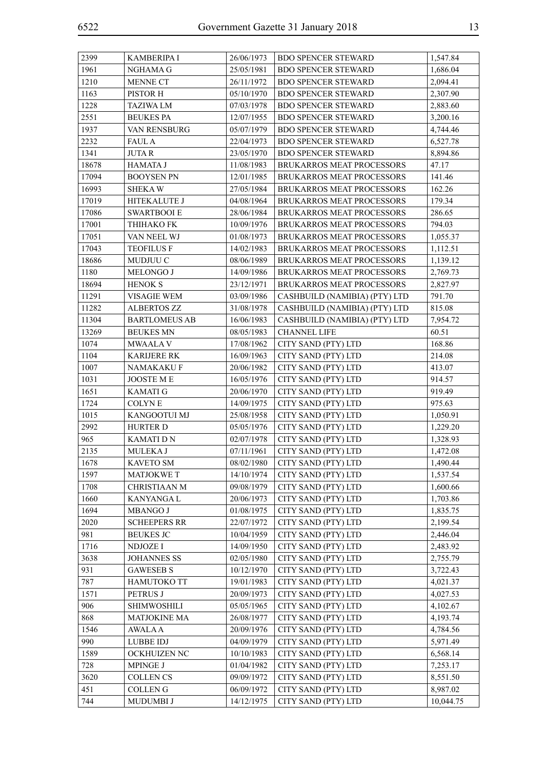| 2399  | <b>KAMBERIPA I</b>   | 26/06/1973 | <b>BDO SPENCER STEWARD</b>       | 1,547.84  |
|-------|----------------------|------------|----------------------------------|-----------|
| 1961  | NGHAMA G             | 25/05/1981 | <b>BDO SPENCER STEWARD</b>       | 1,686.04  |
| 1210  | MENNE CT             | 26/11/1972 | <b>BDO SPENCER STEWARD</b>       | 2,094.41  |
| 1163  | PISTOR H             | 05/10/1970 | <b>BDO SPENCER STEWARD</b>       | 2,307.90  |
| 1228  | <b>TAZIWA LM</b>     | 07/03/1978 | <b>BDO SPENCER STEWARD</b>       | 2,883.60  |
| 2551  | <b>BEUKES PA</b>     | 12/07/1955 | <b>BDO SPENCER STEWARD</b>       | 3,200.16  |
| 1937  | VAN RENSBURG         | 05/07/1979 | <b>BDO SPENCER STEWARD</b>       | 4,744.46  |
| 2232  | <b>FAUL A</b>        | 22/04/1973 | <b>BDO SPENCER STEWARD</b>       | 6,527.78  |
| 1341  | <b>JUTAR</b>         | 23/05/1970 | <b>BDO SPENCER STEWARD</b>       | 8,894.86  |
| 18678 | <b>HAMATA J</b>      | 11/08/1983 | <b>BRUKARROS MEAT PROCESSORS</b> | 47.17     |
| 17094 | <b>BOOYSEN PN</b>    | 12/01/1985 | BRUKARROS MEAT PROCESSORS        | 141.46    |
| 16993 | <b>SHEKAW</b>        | 27/05/1984 | BRUKARROS MEAT PROCESSORS        | 162.26    |
| 17019 | HITEKALUTE J         | 04/08/1964 | BRUKARROS MEAT PROCESSORS        | 179.34    |
| 17086 | <b>SWARTBOOI E</b>   | 28/06/1984 | BRUKARROS MEAT PROCESSORS        | 286.65    |
| 17001 | ТНІНАКО FK           | 10/09/1976 | BRUKARROS MEAT PROCESSORS        | 794.03    |
| 17051 | VAN NEEL WJ          | 01/08/1973 | BRUKARROS MEAT PROCESSORS        | 1,055.37  |
| 17043 | <b>TEOFILUS F</b>    | 14/02/1983 | BRUKARROS MEAT PROCESSORS        | 1,112.51  |
| 18686 | MUDJUU C             | 08/06/1989 | BRUKARROS MEAT PROCESSORS        | 1,139.12  |
| 1180  | MELONGO J            | 14/09/1986 | BRUKARROS MEAT PROCESSORS        | 2,769.73  |
| 18694 | <b>HENOK S</b>       | 23/12/1971 | BRUKARROS MEAT PROCESSORS        | 2,827.97  |
| 11291 | <b>VISAGIE WEM</b>   | 03/09/1986 | CASHBUILD (NAMIBIA) (PTY) LTD    | 791.70    |
| 11282 | <b>ALBERTOS ZZ</b>   | 31/08/1978 | CASHBUILD (NAMIBIA) (PTY) LTD    | 815.08    |
| 11304 | <b>BARTLOMEUS AB</b> | 16/06/1983 | CASHBUILD (NAMIBIA) (PTY) LTD    | 7,954.72  |
| 13269 | <b>BEUKES MN</b>     | 08/05/1983 | <b>CHANNEL LIFE</b>              | 60.51     |
| 1074  | MWAALA V             | 17/08/1962 | CITY SAND (PTY) LTD              | 168.86    |
| 1104  | <b>KARIJERE RK</b>   | 16/09/1963 | CITY SAND (PTY) LTD              | 214.08    |
| 1007  | NAMAKAKU F           | 20/06/1982 | CITY SAND (PTY) LTD              | 413.07    |
| 1031  | JOOSTE M E           | 16/05/1976 | CITY SAND (PTY) LTD              | 914.57    |
| 1651  | <b>KAMATI G</b>      | 20/06/1970 | CITY SAND (PTY) LTD              | 919.49    |
| 1724  | <b>COLYNE</b>        | 14/09/1975 | CITY SAND (PTY) LTD              | 975.63    |
| 1015  | KANGOOTUI MJ         | 25/08/1958 | CITY SAND (PTY) LTD              | 1,050.91  |
| 2992  | <b>HURTER D</b>      | 05/05/1976 | CITY SAND (PTY) LTD              | 1,229.20  |
| 965   | <b>KAMATI D N</b>    | 02/07/1978 | CITY SAND (PTY) LTD              | 1,328.93  |
| 2135  | MULEKA J             | 07/11/1961 | CITY SAND (PTY) LTD              | 1,472.08  |
| 1678  | <b>KAVETO SM</b>     | 08/02/1980 | CITY SAND (PTY) LTD              | 1,490.44  |
| 1597  | <b>MATJOKWE T</b>    | 14/10/1974 | CITY SAND (PTY) LTD              | 1,537.54  |
| 1708  | <b>CHRISTIAAN M</b>  | 09/08/1979 | CITY SAND (PTY) LTD              | 1,600.66  |
| 1660  | <b>KANYANGAL</b>     | 20/06/1973 | CITY SAND (PTY) LTD              | 1,703.86  |
| 1694  | <b>MBANGO J</b>      | 01/08/1975 | CITY SAND (PTY) LTD              | 1,835.75  |
| 2020  | <b>SCHEEPERS RR</b>  | 22/07/1972 | CITY SAND (PTY) LTD              | 2,199.54  |
| 981   | <b>BEUKES JC</b>     | 10/04/1959 | CITY SAND (PTY) LTD              | 2,446.04  |
| 1716  | <b>NDJOZE I</b>      | 14/09/1950 | CITY SAND (PTY) LTD              | 2,483.92  |
| 3638  | <b>JOHANNES SS</b>   | 02/05/1980 | CITY SAND (PTY) LTD              | 2,755.79  |
| 931   | <b>GAWESEB S</b>     | 10/12/1970 | CITY SAND (PTY) LTD              | 3,722.43  |
| 787   | <b>HAMUTOKO TT</b>   | 19/01/1983 | CITY SAND (PTY) LTD              | 4,021.37  |
| 1571  | PETRUS J             | 20/09/1973 | CITY SAND (PTY) LTD              | 4,027.53  |
| 906   | <b>SHIMWOSHILI</b>   | 05/05/1965 | CITY SAND (PTY) LTD              | 4,102.67  |
| 868   | <b>MATJOKINE MA</b>  | 26/08/1977 | CITY SAND (PTY) LTD              | 4,193.74  |
| 1546  | <b>AWALA A</b>       | 20/09/1976 | CITY SAND (PTY) LTD              | 4,784.56  |
| 990   | <b>LUBBE IDJ</b>     | 04/09/1979 | CITY SAND (PTY) LTD              | 5,971.49  |
| 1589  | OCKHUIZEN NC         | 10/10/1983 | CITY SAND (PTY) LTD              | 6,568.14  |
| 728   | MPINGE J             | 01/04/1982 | CITY SAND (PTY) LTD              | 7,253.17  |
| 3620  | <b>COLLEN CS</b>     | 09/09/1972 | CITY SAND (PTY) LTD              | 8,551.50  |
| 451   | <b>COLLENG</b>       | 06/09/1972 | CITY SAND (PTY) LTD              | 8,987.02  |
| 744   | MUDUMBI J            | 14/12/1975 | CITY SAND (PTY) LTD              | 10,044.75 |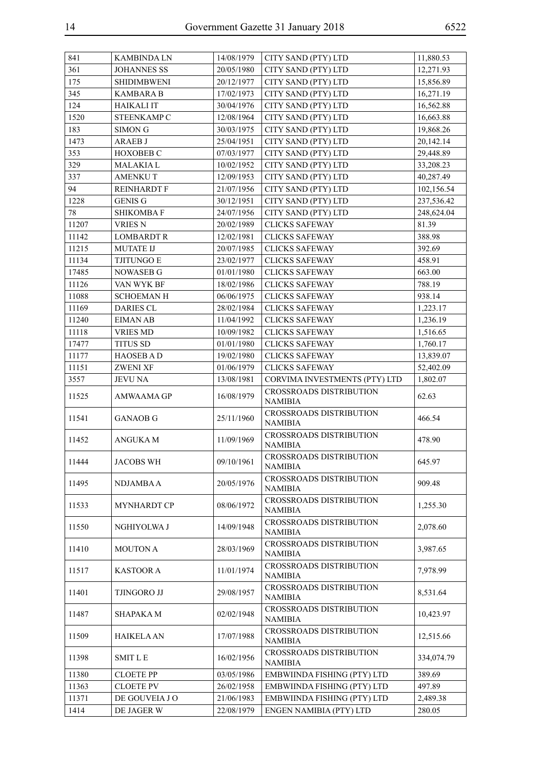| 361<br><b>JOHANNES SS</b><br>CITY SAND (PTY) LTD<br>12,271.93<br>20/05/1980<br>175<br><b>SHIDIMBWENI</b><br>20/12/1977<br>CITY SAND (PTY) LTD<br>15,856.89<br>345<br>KAMBARA B<br>CITY SAND (PTY) LTD<br>16,271.19<br>17/02/1973<br>124<br><b>HAIKALI IT</b><br>CITY SAND (PTY) LTD<br>30/04/1976<br>16,562.88<br>1520<br>STEENKAMP C<br>12/08/1964<br>CITY SAND (PTY) LTD<br>16,663.88<br>183<br>CITY SAND (PTY) LTD<br>19,868.26<br><b>SIMON G</b><br>30/03/1975<br>1473<br>25/04/1951<br>CITY SAND (PTY) LTD<br>20,142.14<br><b>ARAEB J</b><br>353<br>29,448.89<br><b>HOXOBEB C</b><br>07/03/1977<br>CITY SAND (PTY) LTD<br>329<br><b>MALAKIAL</b><br>10/02/1952<br>CITY SAND (PTY) LTD<br>33,208.23<br>337<br><b>AMENKUT</b><br>CITY SAND (PTY) LTD<br>40,287.49<br>12/09/1953<br>94<br>REINHARDT F<br>21/07/1956<br>CITY SAND (PTY) LTD<br>102,156.54<br>1228<br>CITY SAND (PTY) LTD<br>237,536.42<br><b>GENIS G</b><br>30/12/1951<br>78<br>24/07/1956<br><b>SHIKOMBAF</b><br>CITY SAND (PTY) LTD<br>248,624.04<br><b>CLICKS SAFEWAY</b><br>11207<br><b>VRIES N</b><br>81.39<br>20/02/1989<br>11142<br><b>LOMBARDT R</b><br>12/02/1981<br><b>CLICKS SAFEWAY</b><br>388.98<br>11215<br>392.69<br><b>MUTATE IJ</b><br>20/07/1985<br><b>CLICKS SAFEWAY</b><br>11134<br>23/02/1977<br><b>CLICKS SAFEWAY</b><br>458.91<br><b>TJITUNGO E</b><br>17485<br><b>NOWASEB G</b><br>01/01/1980<br><b>CLICKS SAFEWAY</b><br>663.00<br>11126<br>VAN WYK BF<br>18/02/1986<br><b>CLICKS SAFEWAY</b><br>788.19<br>11088<br><b>SCHOEMANH</b><br>06/06/1975<br><b>CLICKS SAFEWAY</b><br>938.14<br>11169<br><b>DARIES CL</b><br>28/02/1984<br><b>CLICKS SAFEWAY</b><br>1,223.17<br>11240<br><b>EIMAN AB</b><br><b>CLICKS SAFEWAY</b><br>11/04/1992<br>1,236.19<br><b>VRIES MD</b><br><b>CLICKS SAFEWAY</b><br>11118<br>10/09/1982<br>1,516.65<br>17477<br><b>TITUS SD</b><br>01/01/1980<br><b>CLICKS SAFEWAY</b><br>1,760.17<br>11177<br>19/02/1980<br>13,839.07<br><b>HAOSEB AD</b><br><b>CLICKS SAFEWAY</b><br>11151<br><b>ZWENI XF</b><br>01/06/1979<br><b>CLICKS SAFEWAY</b><br>52,402.09<br>3557<br>13/08/1981<br>CORVIMA INVESTMENTS (PTY) LTD<br><b>JEVU NA</b><br>1,802.07<br><b>CROSSROADS DISTRIBUTION</b><br>11525<br>16/08/1979<br>62.63<br>AMWAAMA GP<br>NAMIBIA<br><b>CROSSROADS DISTRIBUTION</b><br>11541<br><b>GANAOB G</b><br>25/11/1960<br>466.54<br><b>NAMIBIA</b><br><b>CROSSROADS DISTRIBUTION</b><br>11452<br><b>ANGUKAM</b><br>11/09/1969<br>478.90<br>NAMIBIA<br><b>CROSSROADS DISTRIBUTION</b><br>09/10/1961<br>645.97<br><b>JACOBS WH</b><br>  11444<br>NAMIBIA<br>CROSSROADS DISTRIBUTION<br>20/05/1976<br>909.48<br>11495<br>NDJAMBA A<br><b>NAMIBIA</b><br><b>CROSSROADS DISTRIBUTION</b><br>08/06/1972<br>11533<br><b>MYNHARDT CP</b><br>1,255.30<br><b>NAMIBIA</b><br><b>CROSSROADS DISTRIBUTION</b><br>14/09/1948<br>11550<br>NGHIYOLWA J<br>2,078.60<br><b>NAMIBIA</b><br><b>CROSSROADS DISTRIBUTION</b><br>11410<br><b>MOUTON A</b><br>28/03/1969<br>3,987.65<br><b>NAMIBIA</b><br><b>CROSSROADS DISTRIBUTION</b><br>11517<br>11/01/1974<br>7,978.99<br>KASTOOR A<br><b>NAMIBIA</b><br><b>CROSSROADS DISTRIBUTION</b><br>11401<br>TJINGORO JJ<br>29/08/1957<br>8,531.64<br><b>NAMIBIA</b><br><b>CROSSROADS DISTRIBUTION</b><br>11487<br>SHAPAKA M<br>02/02/1948<br>10,423.97<br><b>NAMIBIA</b><br>CROSSROADS DISTRIBUTION<br>11509<br>17/07/1988<br>12,515.66<br><b>HAIKELA AN</b><br><b>NAMIBIA</b><br><b>CROSSROADS DISTRIBUTION</b><br>11398<br><b>SMIT L E</b><br>16/02/1956<br>334,074.79<br><b>NAMIBIA</b><br>11380<br><b>CLOETE PP</b><br>389.69<br>03/05/1986<br>EMBWIINDA FISHING (PTY) LTD<br>11363<br><b>CLOETE PV</b><br>EMBWIINDA FISHING (PTY) LTD<br>497.89<br>26/02/1958<br>11371<br>DE GOUVEIA J O<br>21/06/1983<br>EMBWIINDA FISHING (PTY) LTD<br>2,489.38<br>1414<br>ENGEN NAMIBIA (PTY) LTD<br>280.05<br>DE JAGER W<br>22/08/1979 | 841 | <b>KAMBINDALN</b> | 14/08/1979 | CITY SAND (PTY) LTD | 11,880.53 |
|-------------------------------------------------------------------------------------------------------------------------------------------------------------------------------------------------------------------------------------------------------------------------------------------------------------------------------------------------------------------------------------------------------------------------------------------------------------------------------------------------------------------------------------------------------------------------------------------------------------------------------------------------------------------------------------------------------------------------------------------------------------------------------------------------------------------------------------------------------------------------------------------------------------------------------------------------------------------------------------------------------------------------------------------------------------------------------------------------------------------------------------------------------------------------------------------------------------------------------------------------------------------------------------------------------------------------------------------------------------------------------------------------------------------------------------------------------------------------------------------------------------------------------------------------------------------------------------------------------------------------------------------------------------------------------------------------------------------------------------------------------------------------------------------------------------------------------------------------------------------------------------------------------------------------------------------------------------------------------------------------------------------------------------------------------------------------------------------------------------------------------------------------------------------------------------------------------------------------------------------------------------------------------------------------------------------------------------------------------------------------------------------------------------------------------------------------------------------------------------------------------------------------------------------------------------------------------------------------------------------------------------------------------------------------------------------------------------------------------------------------------------------------------------------------------------------------------------------------------------------------------------------------------------------------------------------------------------------------------------------------------------------------------------------------------------------------------------------------------------------------------------------------------------------------------------------------------------------------------------------------------------------------------------------------------------------------------------------------------------------------------------------------------------------------------------------------------------------------------------------------------------------------------------------------------------------------------------------------------------------------------------------------------------------------------------------------------------------------------------------------------------------------------------------------------------------------------------------------------------------------|-----|-------------------|------------|---------------------|-----------|
|                                                                                                                                                                                                                                                                                                                                                                                                                                                                                                                                                                                                                                                                                                                                                                                                                                                                                                                                                                                                                                                                                                                                                                                                                                                                                                                                                                                                                                                                                                                                                                                                                                                                                                                                                                                                                                                                                                                                                                                                                                                                                                                                                                                                                                                                                                                                                                                                                                                                                                                                                                                                                                                                                                                                                                                                                                                                                                                                                                                                                                                                                                                                                                                                                                                                                                                                                                                                                                                                                                                                                                                                                                                                                                                                                                                                                                                                         |     |                   |            |                     |           |
|                                                                                                                                                                                                                                                                                                                                                                                                                                                                                                                                                                                                                                                                                                                                                                                                                                                                                                                                                                                                                                                                                                                                                                                                                                                                                                                                                                                                                                                                                                                                                                                                                                                                                                                                                                                                                                                                                                                                                                                                                                                                                                                                                                                                                                                                                                                                                                                                                                                                                                                                                                                                                                                                                                                                                                                                                                                                                                                                                                                                                                                                                                                                                                                                                                                                                                                                                                                                                                                                                                                                                                                                                                                                                                                                                                                                                                                                         |     |                   |            |                     |           |
|                                                                                                                                                                                                                                                                                                                                                                                                                                                                                                                                                                                                                                                                                                                                                                                                                                                                                                                                                                                                                                                                                                                                                                                                                                                                                                                                                                                                                                                                                                                                                                                                                                                                                                                                                                                                                                                                                                                                                                                                                                                                                                                                                                                                                                                                                                                                                                                                                                                                                                                                                                                                                                                                                                                                                                                                                                                                                                                                                                                                                                                                                                                                                                                                                                                                                                                                                                                                                                                                                                                                                                                                                                                                                                                                                                                                                                                                         |     |                   |            |                     |           |
|                                                                                                                                                                                                                                                                                                                                                                                                                                                                                                                                                                                                                                                                                                                                                                                                                                                                                                                                                                                                                                                                                                                                                                                                                                                                                                                                                                                                                                                                                                                                                                                                                                                                                                                                                                                                                                                                                                                                                                                                                                                                                                                                                                                                                                                                                                                                                                                                                                                                                                                                                                                                                                                                                                                                                                                                                                                                                                                                                                                                                                                                                                                                                                                                                                                                                                                                                                                                                                                                                                                                                                                                                                                                                                                                                                                                                                                                         |     |                   |            |                     |           |
|                                                                                                                                                                                                                                                                                                                                                                                                                                                                                                                                                                                                                                                                                                                                                                                                                                                                                                                                                                                                                                                                                                                                                                                                                                                                                                                                                                                                                                                                                                                                                                                                                                                                                                                                                                                                                                                                                                                                                                                                                                                                                                                                                                                                                                                                                                                                                                                                                                                                                                                                                                                                                                                                                                                                                                                                                                                                                                                                                                                                                                                                                                                                                                                                                                                                                                                                                                                                                                                                                                                                                                                                                                                                                                                                                                                                                                                                         |     |                   |            |                     |           |
|                                                                                                                                                                                                                                                                                                                                                                                                                                                                                                                                                                                                                                                                                                                                                                                                                                                                                                                                                                                                                                                                                                                                                                                                                                                                                                                                                                                                                                                                                                                                                                                                                                                                                                                                                                                                                                                                                                                                                                                                                                                                                                                                                                                                                                                                                                                                                                                                                                                                                                                                                                                                                                                                                                                                                                                                                                                                                                                                                                                                                                                                                                                                                                                                                                                                                                                                                                                                                                                                                                                                                                                                                                                                                                                                                                                                                                                                         |     |                   |            |                     |           |
|                                                                                                                                                                                                                                                                                                                                                                                                                                                                                                                                                                                                                                                                                                                                                                                                                                                                                                                                                                                                                                                                                                                                                                                                                                                                                                                                                                                                                                                                                                                                                                                                                                                                                                                                                                                                                                                                                                                                                                                                                                                                                                                                                                                                                                                                                                                                                                                                                                                                                                                                                                                                                                                                                                                                                                                                                                                                                                                                                                                                                                                                                                                                                                                                                                                                                                                                                                                                                                                                                                                                                                                                                                                                                                                                                                                                                                                                         |     |                   |            |                     |           |
|                                                                                                                                                                                                                                                                                                                                                                                                                                                                                                                                                                                                                                                                                                                                                                                                                                                                                                                                                                                                                                                                                                                                                                                                                                                                                                                                                                                                                                                                                                                                                                                                                                                                                                                                                                                                                                                                                                                                                                                                                                                                                                                                                                                                                                                                                                                                                                                                                                                                                                                                                                                                                                                                                                                                                                                                                                                                                                                                                                                                                                                                                                                                                                                                                                                                                                                                                                                                                                                                                                                                                                                                                                                                                                                                                                                                                                                                         |     |                   |            |                     |           |
|                                                                                                                                                                                                                                                                                                                                                                                                                                                                                                                                                                                                                                                                                                                                                                                                                                                                                                                                                                                                                                                                                                                                                                                                                                                                                                                                                                                                                                                                                                                                                                                                                                                                                                                                                                                                                                                                                                                                                                                                                                                                                                                                                                                                                                                                                                                                                                                                                                                                                                                                                                                                                                                                                                                                                                                                                                                                                                                                                                                                                                                                                                                                                                                                                                                                                                                                                                                                                                                                                                                                                                                                                                                                                                                                                                                                                                                                         |     |                   |            |                     |           |
|                                                                                                                                                                                                                                                                                                                                                                                                                                                                                                                                                                                                                                                                                                                                                                                                                                                                                                                                                                                                                                                                                                                                                                                                                                                                                                                                                                                                                                                                                                                                                                                                                                                                                                                                                                                                                                                                                                                                                                                                                                                                                                                                                                                                                                                                                                                                                                                                                                                                                                                                                                                                                                                                                                                                                                                                                                                                                                                                                                                                                                                                                                                                                                                                                                                                                                                                                                                                                                                                                                                                                                                                                                                                                                                                                                                                                                                                         |     |                   |            |                     |           |
|                                                                                                                                                                                                                                                                                                                                                                                                                                                                                                                                                                                                                                                                                                                                                                                                                                                                                                                                                                                                                                                                                                                                                                                                                                                                                                                                                                                                                                                                                                                                                                                                                                                                                                                                                                                                                                                                                                                                                                                                                                                                                                                                                                                                                                                                                                                                                                                                                                                                                                                                                                                                                                                                                                                                                                                                                                                                                                                                                                                                                                                                                                                                                                                                                                                                                                                                                                                                                                                                                                                                                                                                                                                                                                                                                                                                                                                                         |     |                   |            |                     |           |
|                                                                                                                                                                                                                                                                                                                                                                                                                                                                                                                                                                                                                                                                                                                                                                                                                                                                                                                                                                                                                                                                                                                                                                                                                                                                                                                                                                                                                                                                                                                                                                                                                                                                                                                                                                                                                                                                                                                                                                                                                                                                                                                                                                                                                                                                                                                                                                                                                                                                                                                                                                                                                                                                                                                                                                                                                                                                                                                                                                                                                                                                                                                                                                                                                                                                                                                                                                                                                                                                                                                                                                                                                                                                                                                                                                                                                                                                         |     |                   |            |                     |           |
|                                                                                                                                                                                                                                                                                                                                                                                                                                                                                                                                                                                                                                                                                                                                                                                                                                                                                                                                                                                                                                                                                                                                                                                                                                                                                                                                                                                                                                                                                                                                                                                                                                                                                                                                                                                                                                                                                                                                                                                                                                                                                                                                                                                                                                                                                                                                                                                                                                                                                                                                                                                                                                                                                                                                                                                                                                                                                                                                                                                                                                                                                                                                                                                                                                                                                                                                                                                                                                                                                                                                                                                                                                                                                                                                                                                                                                                                         |     |                   |            |                     |           |
|                                                                                                                                                                                                                                                                                                                                                                                                                                                                                                                                                                                                                                                                                                                                                                                                                                                                                                                                                                                                                                                                                                                                                                                                                                                                                                                                                                                                                                                                                                                                                                                                                                                                                                                                                                                                                                                                                                                                                                                                                                                                                                                                                                                                                                                                                                                                                                                                                                                                                                                                                                                                                                                                                                                                                                                                                                                                                                                                                                                                                                                                                                                                                                                                                                                                                                                                                                                                                                                                                                                                                                                                                                                                                                                                                                                                                                                                         |     |                   |            |                     |           |
|                                                                                                                                                                                                                                                                                                                                                                                                                                                                                                                                                                                                                                                                                                                                                                                                                                                                                                                                                                                                                                                                                                                                                                                                                                                                                                                                                                                                                                                                                                                                                                                                                                                                                                                                                                                                                                                                                                                                                                                                                                                                                                                                                                                                                                                                                                                                                                                                                                                                                                                                                                                                                                                                                                                                                                                                                                                                                                                                                                                                                                                                                                                                                                                                                                                                                                                                                                                                                                                                                                                                                                                                                                                                                                                                                                                                                                                                         |     |                   |            |                     |           |
|                                                                                                                                                                                                                                                                                                                                                                                                                                                                                                                                                                                                                                                                                                                                                                                                                                                                                                                                                                                                                                                                                                                                                                                                                                                                                                                                                                                                                                                                                                                                                                                                                                                                                                                                                                                                                                                                                                                                                                                                                                                                                                                                                                                                                                                                                                                                                                                                                                                                                                                                                                                                                                                                                                                                                                                                                                                                                                                                                                                                                                                                                                                                                                                                                                                                                                                                                                                                                                                                                                                                                                                                                                                                                                                                                                                                                                                                         |     |                   |            |                     |           |
|                                                                                                                                                                                                                                                                                                                                                                                                                                                                                                                                                                                                                                                                                                                                                                                                                                                                                                                                                                                                                                                                                                                                                                                                                                                                                                                                                                                                                                                                                                                                                                                                                                                                                                                                                                                                                                                                                                                                                                                                                                                                                                                                                                                                                                                                                                                                                                                                                                                                                                                                                                                                                                                                                                                                                                                                                                                                                                                                                                                                                                                                                                                                                                                                                                                                                                                                                                                                                                                                                                                                                                                                                                                                                                                                                                                                                                                                         |     |                   |            |                     |           |
|                                                                                                                                                                                                                                                                                                                                                                                                                                                                                                                                                                                                                                                                                                                                                                                                                                                                                                                                                                                                                                                                                                                                                                                                                                                                                                                                                                                                                                                                                                                                                                                                                                                                                                                                                                                                                                                                                                                                                                                                                                                                                                                                                                                                                                                                                                                                                                                                                                                                                                                                                                                                                                                                                                                                                                                                                                                                                                                                                                                                                                                                                                                                                                                                                                                                                                                                                                                                                                                                                                                                                                                                                                                                                                                                                                                                                                                                         |     |                   |            |                     |           |
|                                                                                                                                                                                                                                                                                                                                                                                                                                                                                                                                                                                                                                                                                                                                                                                                                                                                                                                                                                                                                                                                                                                                                                                                                                                                                                                                                                                                                                                                                                                                                                                                                                                                                                                                                                                                                                                                                                                                                                                                                                                                                                                                                                                                                                                                                                                                                                                                                                                                                                                                                                                                                                                                                                                                                                                                                                                                                                                                                                                                                                                                                                                                                                                                                                                                                                                                                                                                                                                                                                                                                                                                                                                                                                                                                                                                                                                                         |     |                   |            |                     |           |
|                                                                                                                                                                                                                                                                                                                                                                                                                                                                                                                                                                                                                                                                                                                                                                                                                                                                                                                                                                                                                                                                                                                                                                                                                                                                                                                                                                                                                                                                                                                                                                                                                                                                                                                                                                                                                                                                                                                                                                                                                                                                                                                                                                                                                                                                                                                                                                                                                                                                                                                                                                                                                                                                                                                                                                                                                                                                                                                                                                                                                                                                                                                                                                                                                                                                                                                                                                                                                                                                                                                                                                                                                                                                                                                                                                                                                                                                         |     |                   |            |                     |           |
|                                                                                                                                                                                                                                                                                                                                                                                                                                                                                                                                                                                                                                                                                                                                                                                                                                                                                                                                                                                                                                                                                                                                                                                                                                                                                                                                                                                                                                                                                                                                                                                                                                                                                                                                                                                                                                                                                                                                                                                                                                                                                                                                                                                                                                                                                                                                                                                                                                                                                                                                                                                                                                                                                                                                                                                                                                                                                                                                                                                                                                                                                                                                                                                                                                                                                                                                                                                                                                                                                                                                                                                                                                                                                                                                                                                                                                                                         |     |                   |            |                     |           |
|                                                                                                                                                                                                                                                                                                                                                                                                                                                                                                                                                                                                                                                                                                                                                                                                                                                                                                                                                                                                                                                                                                                                                                                                                                                                                                                                                                                                                                                                                                                                                                                                                                                                                                                                                                                                                                                                                                                                                                                                                                                                                                                                                                                                                                                                                                                                                                                                                                                                                                                                                                                                                                                                                                                                                                                                                                                                                                                                                                                                                                                                                                                                                                                                                                                                                                                                                                                                                                                                                                                                                                                                                                                                                                                                                                                                                                                                         |     |                   |            |                     |           |
|                                                                                                                                                                                                                                                                                                                                                                                                                                                                                                                                                                                                                                                                                                                                                                                                                                                                                                                                                                                                                                                                                                                                                                                                                                                                                                                                                                                                                                                                                                                                                                                                                                                                                                                                                                                                                                                                                                                                                                                                                                                                                                                                                                                                                                                                                                                                                                                                                                                                                                                                                                                                                                                                                                                                                                                                                                                                                                                                                                                                                                                                                                                                                                                                                                                                                                                                                                                                                                                                                                                                                                                                                                                                                                                                                                                                                                                                         |     |                   |            |                     |           |
|                                                                                                                                                                                                                                                                                                                                                                                                                                                                                                                                                                                                                                                                                                                                                                                                                                                                                                                                                                                                                                                                                                                                                                                                                                                                                                                                                                                                                                                                                                                                                                                                                                                                                                                                                                                                                                                                                                                                                                                                                                                                                                                                                                                                                                                                                                                                                                                                                                                                                                                                                                                                                                                                                                                                                                                                                                                                                                                                                                                                                                                                                                                                                                                                                                                                                                                                                                                                                                                                                                                                                                                                                                                                                                                                                                                                                                                                         |     |                   |            |                     |           |
|                                                                                                                                                                                                                                                                                                                                                                                                                                                                                                                                                                                                                                                                                                                                                                                                                                                                                                                                                                                                                                                                                                                                                                                                                                                                                                                                                                                                                                                                                                                                                                                                                                                                                                                                                                                                                                                                                                                                                                                                                                                                                                                                                                                                                                                                                                                                                                                                                                                                                                                                                                                                                                                                                                                                                                                                                                                                                                                                                                                                                                                                                                                                                                                                                                                                                                                                                                                                                                                                                                                                                                                                                                                                                                                                                                                                                                                                         |     |                   |            |                     |           |
|                                                                                                                                                                                                                                                                                                                                                                                                                                                                                                                                                                                                                                                                                                                                                                                                                                                                                                                                                                                                                                                                                                                                                                                                                                                                                                                                                                                                                                                                                                                                                                                                                                                                                                                                                                                                                                                                                                                                                                                                                                                                                                                                                                                                                                                                                                                                                                                                                                                                                                                                                                                                                                                                                                                                                                                                                                                                                                                                                                                                                                                                                                                                                                                                                                                                                                                                                                                                                                                                                                                                                                                                                                                                                                                                                                                                                                                                         |     |                   |            |                     |           |
|                                                                                                                                                                                                                                                                                                                                                                                                                                                                                                                                                                                                                                                                                                                                                                                                                                                                                                                                                                                                                                                                                                                                                                                                                                                                                                                                                                                                                                                                                                                                                                                                                                                                                                                                                                                                                                                                                                                                                                                                                                                                                                                                                                                                                                                                                                                                                                                                                                                                                                                                                                                                                                                                                                                                                                                                                                                                                                                                                                                                                                                                                                                                                                                                                                                                                                                                                                                                                                                                                                                                                                                                                                                                                                                                                                                                                                                                         |     |                   |            |                     |           |
|                                                                                                                                                                                                                                                                                                                                                                                                                                                                                                                                                                                                                                                                                                                                                                                                                                                                                                                                                                                                                                                                                                                                                                                                                                                                                                                                                                                                                                                                                                                                                                                                                                                                                                                                                                                                                                                                                                                                                                                                                                                                                                                                                                                                                                                                                                                                                                                                                                                                                                                                                                                                                                                                                                                                                                                                                                                                                                                                                                                                                                                                                                                                                                                                                                                                                                                                                                                                                                                                                                                                                                                                                                                                                                                                                                                                                                                                         |     |                   |            |                     |           |
|                                                                                                                                                                                                                                                                                                                                                                                                                                                                                                                                                                                                                                                                                                                                                                                                                                                                                                                                                                                                                                                                                                                                                                                                                                                                                                                                                                                                                                                                                                                                                                                                                                                                                                                                                                                                                                                                                                                                                                                                                                                                                                                                                                                                                                                                                                                                                                                                                                                                                                                                                                                                                                                                                                                                                                                                                                                                                                                                                                                                                                                                                                                                                                                                                                                                                                                                                                                                                                                                                                                                                                                                                                                                                                                                                                                                                                                                         |     |                   |            |                     |           |
|                                                                                                                                                                                                                                                                                                                                                                                                                                                                                                                                                                                                                                                                                                                                                                                                                                                                                                                                                                                                                                                                                                                                                                                                                                                                                                                                                                                                                                                                                                                                                                                                                                                                                                                                                                                                                                                                                                                                                                                                                                                                                                                                                                                                                                                                                                                                                                                                                                                                                                                                                                                                                                                                                                                                                                                                                                                                                                                                                                                                                                                                                                                                                                                                                                                                                                                                                                                                                                                                                                                                                                                                                                                                                                                                                                                                                                                                         |     |                   |            |                     |           |
|                                                                                                                                                                                                                                                                                                                                                                                                                                                                                                                                                                                                                                                                                                                                                                                                                                                                                                                                                                                                                                                                                                                                                                                                                                                                                                                                                                                                                                                                                                                                                                                                                                                                                                                                                                                                                                                                                                                                                                                                                                                                                                                                                                                                                                                                                                                                                                                                                                                                                                                                                                                                                                                                                                                                                                                                                                                                                                                                                                                                                                                                                                                                                                                                                                                                                                                                                                                                                                                                                                                                                                                                                                                                                                                                                                                                                                                                         |     |                   |            |                     |           |
|                                                                                                                                                                                                                                                                                                                                                                                                                                                                                                                                                                                                                                                                                                                                                                                                                                                                                                                                                                                                                                                                                                                                                                                                                                                                                                                                                                                                                                                                                                                                                                                                                                                                                                                                                                                                                                                                                                                                                                                                                                                                                                                                                                                                                                                                                                                                                                                                                                                                                                                                                                                                                                                                                                                                                                                                                                                                                                                                                                                                                                                                                                                                                                                                                                                                                                                                                                                                                                                                                                                                                                                                                                                                                                                                                                                                                                                                         |     |                   |            |                     |           |
|                                                                                                                                                                                                                                                                                                                                                                                                                                                                                                                                                                                                                                                                                                                                                                                                                                                                                                                                                                                                                                                                                                                                                                                                                                                                                                                                                                                                                                                                                                                                                                                                                                                                                                                                                                                                                                                                                                                                                                                                                                                                                                                                                                                                                                                                                                                                                                                                                                                                                                                                                                                                                                                                                                                                                                                                                                                                                                                                                                                                                                                                                                                                                                                                                                                                                                                                                                                                                                                                                                                                                                                                                                                                                                                                                                                                                                                                         |     |                   |            |                     |           |
|                                                                                                                                                                                                                                                                                                                                                                                                                                                                                                                                                                                                                                                                                                                                                                                                                                                                                                                                                                                                                                                                                                                                                                                                                                                                                                                                                                                                                                                                                                                                                                                                                                                                                                                                                                                                                                                                                                                                                                                                                                                                                                                                                                                                                                                                                                                                                                                                                                                                                                                                                                                                                                                                                                                                                                                                                                                                                                                                                                                                                                                                                                                                                                                                                                                                                                                                                                                                                                                                                                                                                                                                                                                                                                                                                                                                                                                                         |     |                   |            |                     |           |
|                                                                                                                                                                                                                                                                                                                                                                                                                                                                                                                                                                                                                                                                                                                                                                                                                                                                                                                                                                                                                                                                                                                                                                                                                                                                                                                                                                                                                                                                                                                                                                                                                                                                                                                                                                                                                                                                                                                                                                                                                                                                                                                                                                                                                                                                                                                                                                                                                                                                                                                                                                                                                                                                                                                                                                                                                                                                                                                                                                                                                                                                                                                                                                                                                                                                                                                                                                                                                                                                                                                                                                                                                                                                                                                                                                                                                                                                         |     |                   |            |                     |           |
|                                                                                                                                                                                                                                                                                                                                                                                                                                                                                                                                                                                                                                                                                                                                                                                                                                                                                                                                                                                                                                                                                                                                                                                                                                                                                                                                                                                                                                                                                                                                                                                                                                                                                                                                                                                                                                                                                                                                                                                                                                                                                                                                                                                                                                                                                                                                                                                                                                                                                                                                                                                                                                                                                                                                                                                                                                                                                                                                                                                                                                                                                                                                                                                                                                                                                                                                                                                                                                                                                                                                                                                                                                                                                                                                                                                                                                                                         |     |                   |            |                     |           |
|                                                                                                                                                                                                                                                                                                                                                                                                                                                                                                                                                                                                                                                                                                                                                                                                                                                                                                                                                                                                                                                                                                                                                                                                                                                                                                                                                                                                                                                                                                                                                                                                                                                                                                                                                                                                                                                                                                                                                                                                                                                                                                                                                                                                                                                                                                                                                                                                                                                                                                                                                                                                                                                                                                                                                                                                                                                                                                                                                                                                                                                                                                                                                                                                                                                                                                                                                                                                                                                                                                                                                                                                                                                                                                                                                                                                                                                                         |     |                   |            |                     |           |
|                                                                                                                                                                                                                                                                                                                                                                                                                                                                                                                                                                                                                                                                                                                                                                                                                                                                                                                                                                                                                                                                                                                                                                                                                                                                                                                                                                                                                                                                                                                                                                                                                                                                                                                                                                                                                                                                                                                                                                                                                                                                                                                                                                                                                                                                                                                                                                                                                                                                                                                                                                                                                                                                                                                                                                                                                                                                                                                                                                                                                                                                                                                                                                                                                                                                                                                                                                                                                                                                                                                                                                                                                                                                                                                                                                                                                                                                         |     |                   |            |                     |           |
|                                                                                                                                                                                                                                                                                                                                                                                                                                                                                                                                                                                                                                                                                                                                                                                                                                                                                                                                                                                                                                                                                                                                                                                                                                                                                                                                                                                                                                                                                                                                                                                                                                                                                                                                                                                                                                                                                                                                                                                                                                                                                                                                                                                                                                                                                                                                                                                                                                                                                                                                                                                                                                                                                                                                                                                                                                                                                                                                                                                                                                                                                                                                                                                                                                                                                                                                                                                                                                                                                                                                                                                                                                                                                                                                                                                                                                                                         |     |                   |            |                     |           |
|                                                                                                                                                                                                                                                                                                                                                                                                                                                                                                                                                                                                                                                                                                                                                                                                                                                                                                                                                                                                                                                                                                                                                                                                                                                                                                                                                                                                                                                                                                                                                                                                                                                                                                                                                                                                                                                                                                                                                                                                                                                                                                                                                                                                                                                                                                                                                                                                                                                                                                                                                                                                                                                                                                                                                                                                                                                                                                                                                                                                                                                                                                                                                                                                                                                                                                                                                                                                                                                                                                                                                                                                                                                                                                                                                                                                                                                                         |     |                   |            |                     |           |
|                                                                                                                                                                                                                                                                                                                                                                                                                                                                                                                                                                                                                                                                                                                                                                                                                                                                                                                                                                                                                                                                                                                                                                                                                                                                                                                                                                                                                                                                                                                                                                                                                                                                                                                                                                                                                                                                                                                                                                                                                                                                                                                                                                                                                                                                                                                                                                                                                                                                                                                                                                                                                                                                                                                                                                                                                                                                                                                                                                                                                                                                                                                                                                                                                                                                                                                                                                                                                                                                                                                                                                                                                                                                                                                                                                                                                                                                         |     |                   |            |                     |           |
|                                                                                                                                                                                                                                                                                                                                                                                                                                                                                                                                                                                                                                                                                                                                                                                                                                                                                                                                                                                                                                                                                                                                                                                                                                                                                                                                                                                                                                                                                                                                                                                                                                                                                                                                                                                                                                                                                                                                                                                                                                                                                                                                                                                                                                                                                                                                                                                                                                                                                                                                                                                                                                                                                                                                                                                                                                                                                                                                                                                                                                                                                                                                                                                                                                                                                                                                                                                                                                                                                                                                                                                                                                                                                                                                                                                                                                                                         |     |                   |            |                     |           |
|                                                                                                                                                                                                                                                                                                                                                                                                                                                                                                                                                                                                                                                                                                                                                                                                                                                                                                                                                                                                                                                                                                                                                                                                                                                                                                                                                                                                                                                                                                                                                                                                                                                                                                                                                                                                                                                                                                                                                                                                                                                                                                                                                                                                                                                                                                                                                                                                                                                                                                                                                                                                                                                                                                                                                                                                                                                                                                                                                                                                                                                                                                                                                                                                                                                                                                                                                                                                                                                                                                                                                                                                                                                                                                                                                                                                                                                                         |     |                   |            |                     |           |
|                                                                                                                                                                                                                                                                                                                                                                                                                                                                                                                                                                                                                                                                                                                                                                                                                                                                                                                                                                                                                                                                                                                                                                                                                                                                                                                                                                                                                                                                                                                                                                                                                                                                                                                                                                                                                                                                                                                                                                                                                                                                                                                                                                                                                                                                                                                                                                                                                                                                                                                                                                                                                                                                                                                                                                                                                                                                                                                                                                                                                                                                                                                                                                                                                                                                                                                                                                                                                                                                                                                                                                                                                                                                                                                                                                                                                                                                         |     |                   |            |                     |           |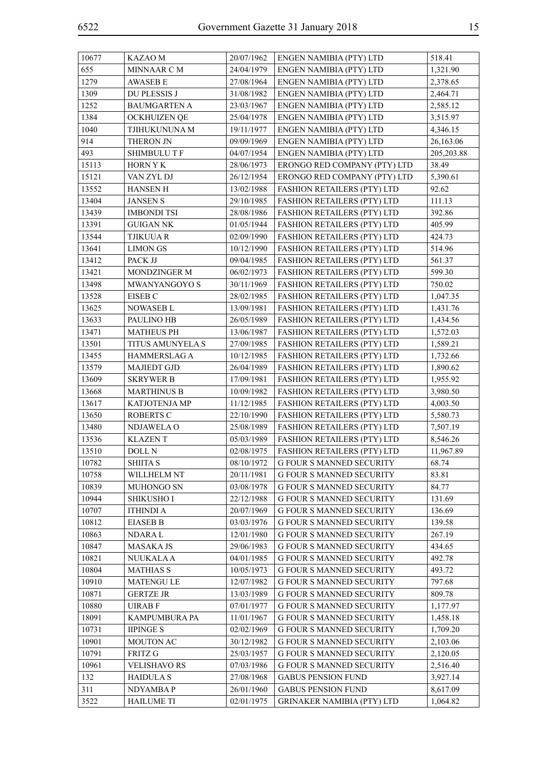| 10677 | <b>KAZAOM</b>        | 20/07/1962 | ENGEN NAMIBIA (PTY) LTD            | 518.41     |
|-------|----------------------|------------|------------------------------------|------------|
| 655   | MINNAAR C M          | 24/04/1979 | ENGEN NAMIBIA (PTY) LTD            | 1,321.90   |
| 1279  | <b>AWASEB E</b>      | 27/08/1964 | ENGEN NAMIBIA (PTY) LTD            | 2,378.65   |
| 1309  | DU PLESSIS J         | 31/08/1982 | ENGEN NAMIBIA (PTY) LTD            | 2,464.71   |
| 1252  | <b>BAUMGARTEN A</b>  | 23/03/1967 | ENGEN NAMIBIA (PTY) LTD            | 2,585.12   |
| 1384  | <b>OCKHUIZEN QE</b>  | 25/04/1978 | ENGEN NAMIBIA (PTY) LTD            | 3,515.97   |
| 1040  | TJIHUKUNUNA M        | 19/11/1977 | ENGEN NAMIBIA (PTY) LTD            | 4,346.15   |
| 914   | THERON JN            | 09/09/1969 | ENGEN NAMIBIA (PTY) LTD            | 26,163.06  |
| 493   | <b>SHIMBULU T F</b>  | 04/07/1954 | ENGEN NAMIBIA (PTY) LTD            | 205,203.88 |
| 15113 | <b>HORN Y K</b>      | 28/06/1973 | ERONGO RED COMPANY (PTY) LTD       | 38.49      |
| 15121 | VAN ZYL DJ           | 26/12/1954 | ERONGO RED COMPANY (PTY) LTD       | 5,390.61   |
| 13552 | <b>HANSEN H</b>      | 13/02/1988 | FASHION RETAILERS (PTY) LTD        | 92.62      |
| 13404 | <b>JANSEN S</b>      | 29/10/1985 | <b>FASHION RETAILERS (PTY) LTD</b> | 111.13     |
| 13439 | <b>IMBONDI TSI</b>   | 28/08/1986 | <b>FASHION RETAILERS (PTY) LTD</b> | 392.86     |
| 13391 | <b>GUIGAN NK</b>     | 01/05/1944 | FASHION RETAILERS (PTY) LTD        | 405.99     |
| 13544 | <b>TJIKUUA R</b>     | 02/09/1990 | FASHION RETAILERS (PTY) LTD        | 424.73     |
| 13641 | <b>LIMON GS</b>      | 10/12/1990 | FASHION RETAILERS (PTY) LTD        | 514.96     |
| 13412 | PACK JJ              | 09/04/1985 | FASHION RETAILERS (PTY) LTD        | 561.37     |
| 13421 | <b>MONDZINGER M</b>  | 06/02/1973 | <b>FASHION RETAILERS (PTY) LTD</b> | 599.30     |
| 13498 | MWANYANGOYO S        | 30/11/1969 | FASHION RETAILERS (PTY) LTD        | 750.02     |
| 13528 | EISEB C              | 28/02/1985 | FASHION RETAILERS (PTY) LTD        | 1,047.35   |
| 13625 | NOWASEB L            | 13/09/1981 | FASHION RETAILERS (PTY) LTD        | 1,431.76   |
| 13633 | PAULINO HB           | 26/05/1989 | <b>FASHION RETAILERS (PTY) LTD</b> | 1,434.56   |
| 13471 | <b>MATHEUS PH</b>    | 13/06/1987 | FASHION RETAILERS (PTY) LTD        | 1,572.03   |
| 13501 | TITUS AMUNYELA S     | 27/09/1985 | <b>FASHION RETAILERS (PTY) LTD</b> | 1,589.21   |
| 13455 | HAMMERSLAG A         | 10/12/1985 | FASHION RETAILERS (PTY) LTD        | 1,732.66   |
| 13579 | <b>MAJIEDT GJD</b>   | 26/04/1989 | FASHION RETAILERS (PTY) LTD        | 1,890.62   |
| 13609 | <b>SKRYWER B</b>     | 17/09/1981 | <b>FASHION RETAILERS (PTY) LTD</b> | 1,955.92   |
| 13668 | <b>MARTHINUS B</b>   | 10/09/1982 | <b>FASHION RETAILERS (PTY) LTD</b> | 3,980.50   |
| 13617 | KATJOTENJA MP        | 11/12/1985 | FASHION RETAILERS (PTY) LTD        | 4,003.50   |
| 13650 | <b>ROBERTS C</b>     | 22/10/1990 | <b>FASHION RETAILERS (PTY) LTD</b> | 5,580.73   |
| 13480 | NDJAWELA O           | 25/08/1989 | <b>FASHION RETAILERS (PTY) LTD</b> | 7,507.19   |
| 13536 | <b>KLAZENT</b>       | 05/03/1989 | FASHION RETAILERS (PTY) LTD        | 8,546.26   |
| 13510 | DOLL N               | 02/08/1975 | FASHION RETAILERS (PTY) LTD        | 11,967.89  |
| 10782 | <b>SHIITA S</b>      | 08/10/1972 | <b>G FOUR S MANNED SECURITY</b>    | 68.74      |
| 10758 | WILLHELM NT          | 20/11/1981 | <b>G FOUR S MANNED SECURITY</b>    | 83.81      |
| 10839 | MUHONGO SN           | 03/08/1978 | <b>G FOUR S MANNED SECURITY</b>    | 84.77      |
| 10944 | <b>SHIKUSHO I</b>    | 22/12/1988 | <b>G FOUR S MANNED SECURITY</b>    | 131.69     |
| 10707 | <b>ITHINDI A</b>     | 20/07/1969 | <b>G FOUR S MANNED SECURITY</b>    | 136.69     |
| 10812 | <b>EIASEB B</b>      | 03/03/1976 | <b>G FOUR S MANNED SECURITY</b>    | 139.58     |
| 10863 | <b>NDARAL</b>        | 12/01/1980 | <b>G FOUR S MANNED SECURITY</b>    | 267.19     |
| 10847 | <b>MASAKA JS</b>     | 29/06/1983 | <b>G FOUR S MANNED SECURITY</b>    | 434.65     |
| 10821 | <b>NUUKALA A</b>     | 04/01/1985 | <b>G FOUR S MANNED SECURITY</b>    | 492.78     |
| 10804 | <b>MATHIAS S</b>     | 10/05/1973 | <b>G FOUR S MANNED SECURITY</b>    | 493.72     |
| 10910 | <b>MATENGU LE</b>    | 12/07/1982 | <b>G FOUR S MANNED SECURITY</b>    | 797.68     |
| 10871 | <b>GERTZE JR</b>     | 13/03/1989 | <b>G FOUR S MANNED SECURITY</b>    | 809.78     |
| 10880 | <b>UIRABF</b>        | 07/01/1977 | <b>G FOUR S MANNED SECURITY</b>    | 1,177.97   |
| 18091 | <b>KAMPUMBURA PA</b> | 11/01/1967 | <b>G FOUR S MANNED SECURITY</b>    | 1,458.18   |
| 10731 | <b>IIPINGE S</b>     | 02/02/1969 | <b>G FOUR S MANNED SECURITY</b>    | 1,709.20   |
| 10901 | MOUTON AC            | 30/12/1982 | <b>G FOUR S MANNED SECURITY</b>    | 2,103.06   |
| 10791 | <b>FRITZ G</b>       | 25/03/1957 | <b>G FOUR S MANNED SECURITY</b>    | 2,120.05   |
| 10961 | <b>VELISHAVO RS</b>  | 07/03/1986 | <b>G FOUR S MANNED SECURITY</b>    | 2,516.40   |
| 132   | <b>HAIDULAS</b>      | 27/08/1968 | <b>GABUS PENSION FUND</b>          | 3,927.14   |
| 311   | NDYAMBA P            | 26/01/1960 | <b>GABUS PENSION FUND</b>          | 8,617.09   |
| 3522  | <b>HAILUME TI</b>    | 02/01/1975 | <b>GRINAKER NAMIBIA (PTY) LTD</b>  | 1,064.82   |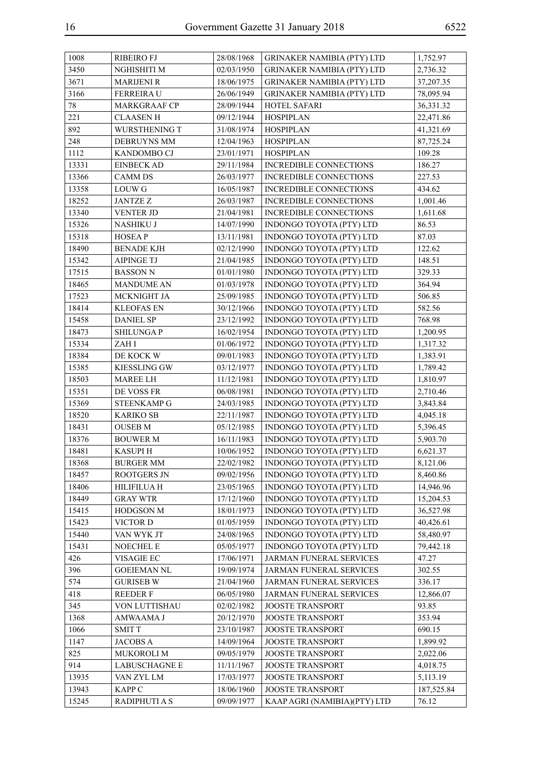| 1008           | <b>RIBEIRO FJ</b>      | 28/08/1968               | <b>GRINAKER NAMIBIA (PTY) LTD</b>                    | 1,752.97               |
|----------------|------------------------|--------------------------|------------------------------------------------------|------------------------|
| 3450           | NGHISHITI M            | 02/03/1950               | <b>GRINAKER NAMIBIA (PTY) LTD</b>                    | 2,736.32               |
| 3671           | <b>MARIJENI R</b>      | 18/06/1975               | <b>GRINAKER NAMIBIA (PTY) LTD</b>                    | 37,207.35              |
| 3166           | FERREIRA U             | 26/06/1949               | <b>GRINAKER NAMIBIA (PTY) LTD</b>                    | 78,095.94              |
| 78             | <b>MARKGRAAF CP</b>    | 28/09/1944               | HOTEL SAFARI                                         | 36,331.32              |
| 221            | <b>CLAASEN H</b>       | 09/12/1944               | <b>HOSPIPLAN</b>                                     | 22,471.86              |
| 892            | WURSTHENING T          | 31/08/1974               | <b>HOSPIPLAN</b>                                     | 41,321.69              |
| 248            | <b>DEBRUYNS MM</b>     | 12/04/1963               | <b>HOSPIPLAN</b>                                     | 87,725.24              |
| 1112           | KANDOMBO CJ            | 23/01/1971               | <b>HOSPIPLAN</b>                                     | 109.28                 |
| 13331          | <b>EINBECK AD</b>      | 29/11/1984               | INCREDIBLE CONNECTIONS                               | 186.27                 |
| 13366          | <b>CAMM DS</b>         | 26/03/1977               | INCREDIBLE CONNECTIONS                               | 227.53                 |
| 13358          | <b>LOUW G</b>          | 16/05/1987               | INCREDIBLE CONNECTIONS                               | 434.62                 |
| 18252          | <b>JANTZE Z</b>        | 26/03/1987               | <b>INCREDIBLE CONNECTIONS</b>                        | 1,001.46               |
| 13340          | <b>VENTER JD</b>       | 21/04/1981               | INCREDIBLE CONNECTIONS                               | 1,611.68               |
| 15326          | NASHIKU J              | 14/07/1990               | INDONGO TOYOTA (PTY) LTD                             | 86.53                  |
| 15318          | <b>HOSEAP</b>          | 13/11/1981               | INDONGO TOYOTA (PTY) LTD                             | 87.03                  |
| 18490          | <b>BENADE KJH</b>      | 02/12/1990               | INDONGO TOYOTA (PTY) LTD                             | 122.62                 |
| 15342          | <b>AIPINGE TJ</b>      | 21/04/1985               | INDONGO TOYOTA (PTY) LTD                             | 148.51                 |
| 17515          | <b>BASSON N</b>        | 01/01/1980               | INDONGO TOYOTA (PTY) LTD                             | 329.33                 |
| 18465          | <b>MANDUME AN</b>      | 01/03/1978               | INDONGO TOYOTA (PTY) LTD                             | 364.94                 |
| 17523          | MCKNIGHT JA            | 25/09/1985               | INDONGO TOYOTA (PTY) LTD                             | 506.85                 |
| 18414          | <b>KLEOFAS EN</b>      | 30/12/1966               | INDONGO TOYOTA (PTY) LTD                             | 582.56                 |
| 15458          | <b>DANIEL SP</b>       | 23/12/1992               | INDONGO TOYOTA (PTY) LTD                             | 768.98                 |
| 18473          | <b>SHILUNGAP</b>       | 16/02/1954               | INDONGO TOYOTA (PTY) LTD                             | 1,200.95               |
| 15334          | ZAH I                  | 01/06/1972               | INDONGO TOYOTA (PTY) LTD                             | 1,317.32               |
| 18384          | DE KOCK W              | 09/01/1983               | INDONGO TOYOTA (PTY) LTD                             | 1,383.91               |
| 15385          | <b>KIESSLING GW</b>    | 03/12/1977               | INDONGO TOYOTA (PTY) LTD                             | 1,789.42               |
| 18503          | <b>MAREE LH</b>        | 11/12/1981               | INDONGO TOYOTA (PTY) LTD                             | 1,810.97               |
| 15351          | DE VOSS FR             | 06/08/1981               | INDONGO TOYOTA (PTY) LTD                             | 2,710.46               |
| 15369          | STEENKAMP G            | 24/03/1985               | INDONGO TOYOTA (PTY) LTD                             | 3,843.84               |
| 18520          | <b>KARIKO SB</b>       | 22/11/1987               | INDONGO TOYOTA (PTY) LTD                             | 4,045.18               |
| 18431          | <b>OUSEB M</b>         | 05/12/1985               | INDONGO TOYOTA (PTY) LTD                             | 5,396.45               |
| 18376          | <b>BOUWER M</b>        | 16/11/1983               | INDONGO TOYOTA (PTY) LTD                             | 5,903.70               |
| 18481          | <b>KASUPIH</b>         | 10/06/1952               | INDONGO TOYOTA (PTY) LTD                             | 6,621.37               |
| 18368          | <b>BURGER MM</b>       | 22/02/1982               | INDONGO TOYOTA (PTY) LTD                             | 8,121.06               |
| 18457          | ROOTGERS JN            |                          |                                                      | 8,460.86               |
|                |                        | 09/02/1956<br>23/05/1965 | INDONGO TOYOTA (PTY) LTD<br>INDONGO TOYOTA (PTY) LTD |                        |
| 18406<br>18449 | <b>HILIFILUA H</b>     |                          | INDONGO TOYOTA (PTY) LTD                             | 14,946.96              |
|                | <b>GRAY WTR</b>        | 17/12/1960               |                                                      | 15,204.53              |
| 15415<br>15423 | <b>HODGSON M</b>       | 18/01/1973               | INDONGO TOYOTA (PTY) LTD                             | 36,527.98              |
|                | VICTOR D<br>VAN WYK JT | 01/05/1959<br>24/08/1965 | INDONGO TOYOTA (PTY) LTD                             | 40,426.61<br>58,480.97 |
| 15440          |                        |                          | INDONGO TOYOTA (PTY) LTD<br>INDONGO TOYOTA (PTY) LTD |                        |
| 15431          | NOECHEL E              | 05/05/1977               |                                                      | 79,442.18              |
| 426            | VISAGIE EC             | 17/06/1971               | JARMAN FUNERAL SERVICES                              | 47.27                  |
| 396            | <b>GOEIEMAN NL</b>     | 19/09/1974               | JARMAN FUNERAL SERVICES                              | 302.55                 |
| 574            | <b>GURISEB W</b>       | 21/04/1960               | JARMAN FUNERAL SERVICES                              | 336.17                 |
| 418            | REEDER F               | 06/05/1980               | <b>JARMAN FUNERAL SERVICES</b>                       | 12,866.07              |
| 345            | VON LUTTISHAU          | 02/02/1982               | JOOSTE TRANSPORT                                     | 93.85                  |
| 1368           | AMWAAMA J              | 20/12/1970               | <b>JOOSTE TRANSPORT</b>                              | 353.94                 |
| 1066           | <b>SMITT</b>           | 23/10/1987               | <b>JOOSTE TRANSPORT</b>                              | 690.15                 |
| 1147           | <b>JACOBS A</b>        | 14/09/1964               | <b>JOOSTE TRANSPORT</b>                              | 1,899.92               |
| 825            | <b>MUKOROLI M</b>      | 09/05/1979               | <b>JOOSTE TRANSPORT</b>                              | 2,022.06               |
| 914            | <b>LABUSCHAGNE E</b>   | 11/11/1967               | <b>JOOSTE TRANSPORT</b>                              | 4,018.75               |
| 13935          | VAN ZYL LM             | 17/03/1977               | <b>JOOSTE TRANSPORT</b>                              | 5,113.19               |
| 13943          | <b>KAPP C</b>          | 18/06/1960               | <b>JOOSTE TRANSPORT</b>                              | 187,525.84             |
| 15245          | <b>RADIPHUTI A S</b>   | 09/09/1977               | KAAP AGRI (NAMIBIA)(PTY) LTD                         | 76.12                  |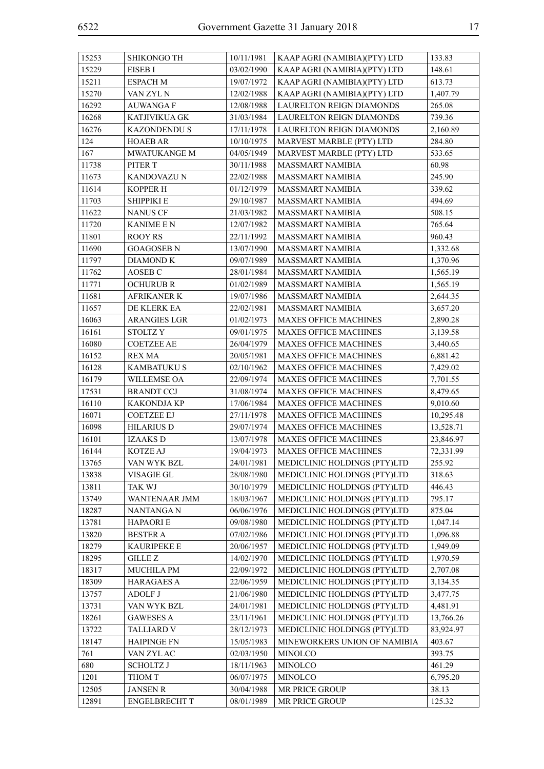| 15253 | SHIKONGO TH          | 10/11/1981 | KAAP AGRI (NAMIBIA)(PTY) LTD    | 133.83    |
|-------|----------------------|------------|---------------------------------|-----------|
| 15229 | EISEB I              | 03/02/1990 | KAAP AGRI (NAMIBIA)(PTY) LTD    | 148.61    |
| 15211 | <b>ESPACH M</b>      | 19/07/1972 | KAAP AGRI (NAMIBIA)(PTY) LTD    | 613.73    |
| 15270 | VAN ZYL N            | 12/02/1988 | KAAP AGRI (NAMIBIA)(PTY) LTD    | 1,407.79  |
| 16292 | <b>AUWANGAF</b>      | 12/08/1988 | <b>LAURELTON REIGN DIAMONDS</b> | 265.08    |
| 16268 | <b>KATJIVIKUA GK</b> | 31/03/1984 | LAURELTON REIGN DIAMONDS        | 739.36    |
| 16276 | <b>KAZONDENDU S</b>  | 17/11/1978 | LAURELTON REIGN DIAMONDS        | 2,160.89  |
| 124   | <b>HOAEB AR</b>      | 10/10/1975 | MARVEST MARBLE (PTY) LTD        | 284.80    |
| 167   | <b>MWATUKANGE M</b>  | 04/05/1949 | MARVEST MARBLE (PTY) LTD        | 533.65    |
| 11738 | PITER T              | 30/11/1988 | <b>MASSMART NAMIBIA</b>         | 60.98     |
| 11673 | KANDOVAZU N          | 22/02/1988 | <b>MASSMART NAMIBIA</b>         | 245.90    |
| 11614 | <b>KOPPER H</b>      | 01/12/1979 | <b>MASSMART NAMIBIA</b>         | 339.62    |
| 11703 | SHIPPIKI E           | 29/10/1987 | <b>MASSMART NAMIBIA</b>         | 494.69    |
| 11622 | <b>NANUS CF</b>      | 21/03/1982 | <b>MASSMART NAMIBIA</b>         | 508.15    |
| 11720 | <b>KANIME E N</b>    | 12/07/1982 | <b>MASSMART NAMIBIA</b>         | 765.64    |
| 11801 | <b>ROOY RS</b>       | 22/11/1992 | <b>MASSMART NAMIBIA</b>         | 960.43    |
| 11690 | <b>GOAGOSEB N</b>    | 13/07/1990 | <b>MASSMART NAMIBIA</b>         | 1,332.68  |
| 11797 | <b>DIAMOND K</b>     | 09/07/1989 | MASSMART NAMIBIA                | 1,370.96  |
| 11762 | AOSEB <sub>C</sub>   | 28/01/1984 | <b>MASSMART NAMIBIA</b>         | 1,565.19  |
| 11771 | <b>OCHURUB R</b>     | 01/02/1989 | <b>MASSMART NAMIBIA</b>         | 1,565.19  |
| 11681 | <b>AFRIKANER K</b>   | 19/07/1986 | <b>MASSMART NAMIBIA</b>         | 2,644.35  |
| 11657 | DE KLERK EA          | 22/02/1981 | <b>MASSMART NAMIBIA</b>         | 3,657.20  |
| 16063 | <b>ARANGIES LGR</b>  | 01/02/1973 | <b>MAXES OFFICE MACHINES</b>    | 2,890.28  |
| 16161 | <b>STOLTZY</b>       | 09/01/1975 | <b>MAXES OFFICE MACHINES</b>    | 3,139.58  |
| 16080 | <b>COETZEE AE</b>    | 26/04/1979 | <b>MAXES OFFICE MACHINES</b>    | 3,440.65  |
| 16152 | <b>REX MA</b>        | 20/05/1981 | <b>MAXES OFFICE MACHINES</b>    | 6,881.42  |
| 16128 | <b>KAMBATUKU S</b>   | 02/10/1962 | MAXES OFFICE MACHINES           | 7,429.02  |
| 16179 | WILLEMSE OA          | 22/09/1974 | MAXES OFFICE MACHINES           | 7,701.55  |
| 17531 | <b>BRANDT CCJ</b>    | 31/08/1974 | <b>MAXES OFFICE MACHINES</b>    | 8,479.65  |
| 16110 | <b>KAKONDJA KP</b>   | 17/06/1984 | MAXES OFFICE MACHINES           | 9,010.60  |
| 16071 | <b>COETZEE EJ</b>    | 27/11/1978 | MAXES OFFICE MACHINES           | 10,295.48 |
| 16098 | <b>HILARIUS D</b>    | 29/07/1974 | <b>MAXES OFFICE MACHINES</b>    | 13,528.71 |
| 16101 | <b>IZAAKSD</b>       | 13/07/1978 | MAXES OFFICE MACHINES           | 23,846.97 |
| 16144 | KOTZE AJ             | 19/04/1973 | MAXES OFFICE MACHINES           | 72,331.99 |
| 13765 | VAN WYK BZL          | 24/01/1981 | MEDICLINIC HOLDINGS (PTY)LTD    | 255.92    |
| 13838 | VISAGIE GL           | 28/08/1980 | MEDICLINIC HOLDINGS (PTY)LTD    | 318.63    |
| 13811 | <b>TAK WJ</b>        | 30/10/1979 | MEDICLINIC HOLDINGS (PTY)LTD    | 446.43    |
| 13749 | WANTENAAR JMM        | 18/03/1967 | MEDICLINIC HOLDINGS (PTY)LTD    | 795.17    |
| 18287 | <b>NANTANGA N</b>    | 06/06/1976 | MEDICLINIC HOLDINGS (PTY)LTD    | 875.04    |
| 13781 | <b>HAPAORIE</b>      | 09/08/1980 | MEDICLINIC HOLDINGS (PTY)LTD    | 1,047.14  |
| 13820 | <b>BESTER A</b>      | 07/02/1986 | MEDICLINIC HOLDINGS (PTY)LTD    | 1,096.88  |
| 18279 | <b>KAURIPEKE E</b>   | 20/06/1957 | MEDICLINIC HOLDINGS (PTY)LTD    | 1,949.09  |
| 18295 | <b>GILLE Z</b>       | 14/02/1970 | MEDICLINIC HOLDINGS (PTY)LTD    | 1,970.59  |
| 18317 | MUCHILA PM           | 22/09/1972 | MEDICLINIC HOLDINGS (PTY)LTD    | 2,707.08  |
| 18309 | <b>HARAGAES A</b>    | 22/06/1959 | MEDICLINIC HOLDINGS (PTY)LTD    | 3,134.35  |
| 13757 | <b>ADOLF J</b>       | 21/06/1980 | MEDICLINIC HOLDINGS (PTY)LTD    | 3,477.75  |
| 13731 | VAN WYK BZL          | 24/01/1981 | MEDICLINIC HOLDINGS (PTY)LTD    | 4,481.91  |
| 18261 | <b>GAWESES A</b>     | 23/11/1961 | MEDICLINIC HOLDINGS (PTY)LTD    | 13,766.26 |
| 13722 | <b>TALLIARD V</b>    | 28/12/1973 | MEDICLINIC HOLDINGS (PTY)LTD    | 83,924.97 |
| 18147 | <b>HAIPINGE FN</b>   | 15/05/1983 | MINEWORKERS UNION OF NAMIBIA    | 403.67    |
| 761   | VAN ZYL AC           | 02/03/1950 | <b>MINOLCO</b>                  | 393.75    |
| 680   | <b>SCHOLTZ J</b>     | 18/11/1963 | <b>MINOLCO</b>                  | 461.29    |
| 1201  | THOM T               | 06/07/1975 | <b>MINOLCO</b>                  | 6,795.20  |
| 12505 | <b>JANSEN R</b>      | 30/04/1988 | MR PRICE GROUP                  | 38.13     |
| 12891 | <b>ENGELBRECHT T</b> | 08/01/1989 | MR PRICE GROUP                  | 125.32    |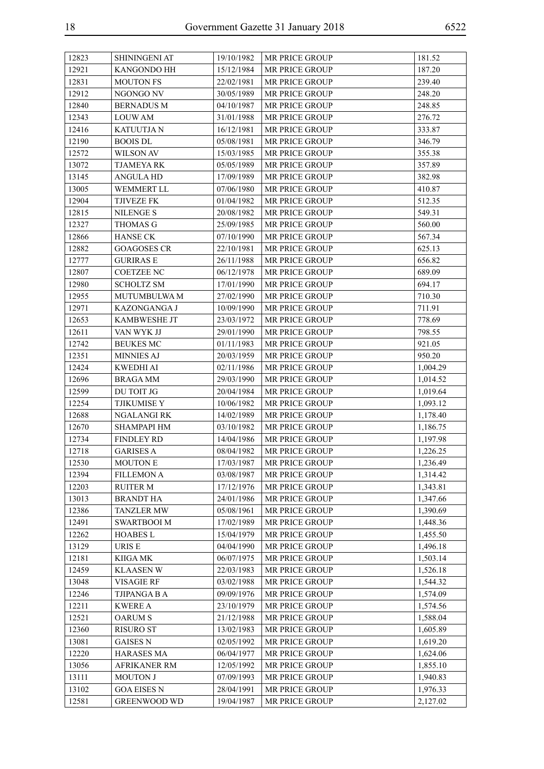| 12823 | SHININGENI AT       | 19/10/1982 | <b>MR PRICE GROUP</b> | 181.52   |
|-------|---------------------|------------|-----------------------|----------|
| 12921 | KANGONDO HH         | 15/12/1984 | MR PRICE GROUP        | 187.20   |
| 12831 | <b>MOUTON FS</b>    | 22/02/1981 | MR PRICE GROUP        | 239.40   |
| 12912 | NGONGO NV           | 30/05/1989 | MR PRICE GROUP        | 248.20   |
| 12840 | <b>BERNADUS M</b>   | 04/10/1987 | MR PRICE GROUP        | 248.85   |
| 12343 | <b>LOUWAM</b>       | 31/01/1988 | MR PRICE GROUP        | 276.72   |
| 12416 | <b>KATUUTJA N</b>   | 16/12/1981 | MR PRICE GROUP        | 333.87   |
| 12190 | <b>BOOIS DL</b>     | 05/08/1981 | MR PRICE GROUP        | 346.79   |
| 12572 | WILSON AV           | 15/03/1985 | MR PRICE GROUP        | 355.38   |
| 13072 | <b>TJAMEYA RK</b>   | 05/05/1989 | MR PRICE GROUP        | 357.89   |
| 13145 | <b>ANGULA HD</b>    | 17/09/1989 | MR PRICE GROUP        | 382.98   |
| 13005 | <b>WEMMERT LL</b>   | 07/06/1980 | MR PRICE GROUP        | 410.87   |
| 12904 | <b>TJIVEZE FK</b>   | 01/04/1982 | MR PRICE GROUP        | 512.35   |
| 12815 | <b>NILENGE S</b>    | 20/08/1982 | MR PRICE GROUP        | 549.31   |
| 12327 | <b>THOMAS G</b>     | 25/09/1985 | MR PRICE GROUP        | 560.00   |
| 12866 | <b>HANSE CK</b>     | 07/10/1990 | MR PRICE GROUP        | 567.34   |
| 12882 | <b>GOAGOSES CR</b>  | 22/10/1981 | MR PRICE GROUP        | 625.13   |
| 12777 | <b>GURIRAS E</b>    | 26/11/1988 | MR PRICE GROUP        | 656.82   |
| 12807 | <b>COETZEE NC</b>   | 06/12/1978 | MR PRICE GROUP        | 689.09   |
| 12980 | <b>SCHOLTZ SM</b>   | 17/01/1990 | MR PRICE GROUP        | 694.17   |
| 12955 | <b>MUTUMBULWA M</b> | 27/02/1990 | MR PRICE GROUP        | 710.30   |
| 12971 | KAZONGANGA J        | 10/09/1990 | MR PRICE GROUP        | 711.91   |
| 12653 | KAMBWESHE JT        | 23/03/1972 | <b>MR PRICE GROUP</b> | 778.69   |
| 12611 | VAN WYK JJ          | 29/01/1990 | MR PRICE GROUP        | 798.55   |
| 12742 | <b>BEUKES MC</b>    | 01/11/1983 | <b>MR PRICE GROUP</b> | 921.05   |
| 12351 | <b>MINNIES AJ</b>   | 20/03/1959 | MR PRICE GROUP        | 950.20   |
| 12424 | <b>KWEDHI AI</b>    | 02/11/1986 | MR PRICE GROUP        | 1,004.29 |
| 12696 | <b>BRAGA MM</b>     | 29/03/1990 | MR PRICE GROUP        | 1,014.52 |
| 12599 | DU TOIT JG          | 20/04/1984 | MR PRICE GROUP        | 1,019.64 |
| 12254 | TJIKUMISE Y         | 10/06/1982 | MR PRICE GROUP        | 1,093.12 |
| 12688 | NGALANGI RK         | 14/02/1989 | MR PRICE GROUP        | 1,178.40 |
| 12670 | <b>SHAMPAPI HM</b>  | 03/10/1982 | MR PRICE GROUP        | 1,186.75 |
| 12734 | <b>FINDLEY RD</b>   | 14/04/1986 | MR PRICE GROUP        | 1,197.98 |
| 12718 | <b>GARISES A</b>    | 08/04/1982 | MR PRICE GROUP        | 1,226.25 |
| 12530 | $\sf{MOUTON}$ E     | 17/03/1987 | MR PRICE GROUP        | 1,236.49 |
| 12394 | <b>FILLEMON A</b>   | 03/08/1987 | MR PRICE GROUP        | 1,314.42 |
| 12203 | <b>RUITER M</b>     | 17/12/1976 | MR PRICE GROUP        | 1,343.81 |
| 13013 | <b>BRANDT HA</b>    | 24/01/1986 | MR PRICE GROUP        | 1,347.66 |
| 12386 | <b>TANZLER MW</b>   | 05/08/1961 | MR PRICE GROUP        | 1,390.69 |
| 12491 | <b>SWARTBOOI M</b>  | 17/02/1989 | MR PRICE GROUP        | 1,448.36 |
| 12262 | <b>HOABES L</b>     | 15/04/1979 | MR PRICE GROUP        | 1,455.50 |
| 13129 | URIS E              | 04/04/1990 | MR PRICE GROUP        | 1,496.18 |
| 12181 | KIIGA MK            | 06/07/1975 | MR PRICE GROUP        | 1,503.14 |
| 12459 | <b>KLAASEN W</b>    | 22/03/1983 | MR PRICE GROUP        | 1,526.18 |
| 13048 | <b>VISAGIE RF</b>   | 03/02/1988 | MR PRICE GROUP        | 1,544.32 |
| 12246 | <b>TJIPANGA B A</b> | 09/09/1976 | MR PRICE GROUP        | 1,574.09 |
| 12211 | <b>KWERE A</b>      | 23/10/1979 | MR PRICE GROUP        | 1,574.56 |
| 12521 | <b>OARUM S</b>      | 21/12/1988 | MR PRICE GROUP        | 1,588.04 |
| 12360 | <b>RISURO ST</b>    | 13/02/1983 | MR PRICE GROUP        | 1,605.89 |
| 13081 | <b>GAISES N</b>     | 02/05/1992 | MR PRICE GROUP        | 1,619.20 |
| 12220 | HARASES MA          | 06/04/1977 | MR PRICE GROUP        | 1,624.06 |
| 13056 | <b>AFRIKANER RM</b> | 12/05/1992 | MR PRICE GROUP        | 1,855.10 |
| 13111 | <b>MOUTON J</b>     | 07/09/1993 | MR PRICE GROUP        | 1,940.83 |
| 13102 | <b>GOA EISES N</b>  | 28/04/1991 | MR PRICE GROUP        | 1,976.33 |
| 12581 | <b>GREENWOOD WD</b> | 19/04/1987 | MR PRICE GROUP        | 2,127.02 |
|       |                     |            |                       |          |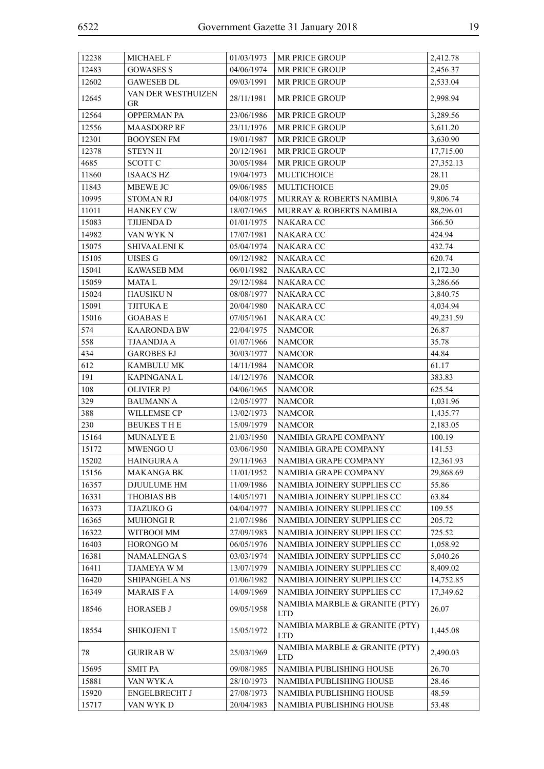| 12238 | <b>MICHAEL F</b>         | 01/03/1973               | <b>MR PRICE GROUP</b>                        | 2,412.78  |
|-------|--------------------------|--------------------------|----------------------------------------------|-----------|
| 12483 | <b>GOWASES S</b>         | 04/06/1974               | MR PRICE GROUP                               | 2,456.37  |
| 12602 | <b>GAWESEB DL</b>        | 09/03/1991               | MR PRICE GROUP                               | 2,533.04  |
| 12645 | VAN DER WESTHUIZEN<br>GR | 28/11/1981               | MR PRICE GROUP                               | 2,998.94  |
| 12564 | OPPERMAN PA              | 23/06/1986               | MR PRICE GROUP                               | 3,289.56  |
| 12556 | <b>MAASDORP RF</b>       | 23/11/1976               | MR PRICE GROUP                               | 3,611.20  |
| 12301 | <b>BOOYSEN FM</b>        | 19/01/1987               | MR PRICE GROUP                               | 3,630.90  |
| 12378 | <b>STEYN H</b>           | 20/12/1961               | <b>MR PRICE GROUP</b>                        | 17,715.00 |
| 4685  | <b>SCOTT C</b>           | 30/05/1984               | MR PRICE GROUP                               | 27,352.13 |
| 11860 | <b>ISAACS HZ</b>         | 19/04/1973               | <b>MULTICHOICE</b>                           | 28.11     |
| 11843 | MBEWE JC                 | 09/06/1985               | <b>MULTICHOICE</b>                           | 29.05     |
| 10995 | <b>STOMAN RJ</b>         | 04/08/1975               | MURRAY & ROBERTS NAMIBIA                     | 9,806.74  |
| 11011 | <b>HANKEY CW</b>         | 18/07/1965               | MURRAY & ROBERTS NAMIBIA                     | 88,296.01 |
| 15083 | <b>TJIJENDA D</b>        | 01/01/1975               | NAKARA CC                                    | 366.50    |
| 14982 | VAN WYK N                | 17/07/1981               | NAKARA CC                                    | 424.94    |
| 15075 | SHIVAALENI K             | 05/04/1974               | NAKARA CC                                    | 432.74    |
| 15105 | <b>UISES G</b>           | 09/12/1982               | NAKARA CC                                    | 620.74    |
| 15041 | <b>KAWASEB MM</b>        | 06/01/1982               | <b>NAKARA CC</b>                             | 2,172.30  |
| 15059 | <b>MATAL</b>             | 29/12/1984               | NAKARA CC                                    | 3,286.66  |
| 15024 | <b>HAUSIKU N</b>         | 08/08/1977               | NAKARA CC                                    | 3,840.75  |
| 15091 | <b>TJITUKAE</b>          | 20/04/1980               | <b>NAKARACC</b>                              | 4,034.94  |
| 15016 | <b>GOABAS E</b>          | 07/05/1961               | <b>NAKARACC</b>                              | 49,231.59 |
| 574   | <b>KAARONDA BW</b>       | 22/04/1975               | <b>NAMCOR</b>                                | 26.87     |
| 558   | <b>TJAANDJA A</b>        | 01/07/1966               | <b>NAMCOR</b>                                | 35.78     |
| 434   | <b>GAROBES EJ</b>        | 30/03/1977               | <b>NAMCOR</b>                                | 44.84     |
| 612   |                          |                          |                                              | 61.17     |
|       | <b>KAMBULU MK</b>        | 14/11/1984<br>14/12/1976 | <b>NAMCOR</b>                                |           |
| 191   | KAPINGANA L              |                          | <b>NAMCOR</b>                                | 383.83    |
| 108   | <b>OLIVIER PJ</b>        | 04/06/1965               | <b>NAMCOR</b>                                | 625.54    |
| 329   | <b>BAUMANN A</b>         | 12/05/1977               | <b>NAMCOR</b>                                | 1,031.96  |
| 388   | WILLEMSE CP              | 13/02/1973               | <b>NAMCOR</b>                                | 1,435.77  |
| 230   | <b>BEUKES THE</b>        | 15/09/1979               | <b>NAMCOR</b>                                | 2,183.05  |
| 15164 | MUNALYE E                | 21/03/1950               | NAMIBIA GRAPE COMPANY                        | 100.19    |
| 15172 | MWENGO U                 | 03/06/1950               | NAMIBIA GRAPE COMPANY                        | 141.53    |
| 15202 | <b>HAINGURA A</b>        | 29/11/1963               | NAMIBIA GRAPE COMPANY                        | 12,361.93 |
| 15156 | <b>MAKANGA BK</b>        | 11/01/1952               | NAMIBIA GRAPE COMPANY                        | 29,868.69 |
| 16357 | <b>DJUULUME HM</b>       | 11/09/1986               | NAMIBIA JOINERY SUPPLIES CC                  | 55.86     |
| 16331 | <b>THOBIAS BB</b>        | 14/05/1971               | NAMIBIA JOINERY SUPPLIES CC                  | 63.84     |
| 16373 | <b>TJAZUKO G</b>         | 04/04/1977               | NAMIBIA JOINERY SUPPLIES CC                  | 109.55    |
| 16365 | <b>MUHONGIR</b>          | 21/07/1986               | NAMIBIA JOINERY SUPPLIES CC                  | 205.72    |
| 16322 | WITBOOI MM               | 27/09/1983               | NAMIBIA JOINERY SUPPLIES CC                  | 725.52    |
| 16403 | HORONGO M                | 06/05/1976               | NAMIBIA JOINERY SUPPLIES CC                  | 1,058.92  |
| 16381 | <b>NAMALENGAS</b>        | 03/03/1974               | NAMIBIA JOINERY SUPPLIES CC                  | 5,040.26  |
| 16411 | TJAMEYA W M              | 13/07/1979               | NAMIBIA JOINERY SUPPLIES CC                  | 8,409.02  |
| 16420 | SHIPANGELA NS            | 01/06/1982               | NAMIBIA JOINERY SUPPLIES CC                  | 14,752.85 |
| 16349 | <b>MARAIS F A</b>        | 14/09/1969               | NAMIBIA JOINERY SUPPLIES CC                  | 17,349.62 |
| 18546 | <b>HORASEB J</b>         | 09/05/1958               | NAMIBIA MARBLE & GRANITE (PTY)<br><b>LTD</b> | 26.07     |
| 18554 | SHIKOJENI T              | 15/05/1972               | NAMIBIA MARBLE & GRANITE (PTY)<br><b>LTD</b> | 1,445.08  |
| 78    | GURIRAB W                | 25/03/1969               | NAMIBIA MARBLE & GRANITE (PTY)<br><b>LTD</b> | 2,490.03  |
| 15695 | <b>SMIT PA</b>           | 09/08/1985               | NAMIBIA PUBLISHING HOUSE                     | 26.70     |
| 15881 | VAN WYK A                | 28/10/1973               | NAMIBIA PUBLISHING HOUSE                     | 28.46     |
| 15920 | <b>ENGELBRECHT J</b>     | 27/08/1973               | NAMIBIA PUBLISHING HOUSE                     | 48.59     |
| 15717 | VAN WYK D                | 20/04/1983               | NAMIBIA PUBLISHING HOUSE                     | 53.48     |
|       |                          |                          |                                              |           |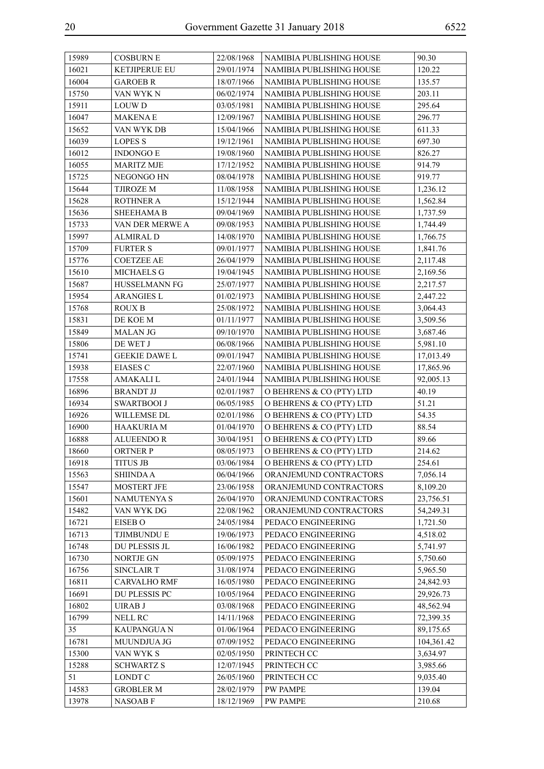| 15989 | <b>COSBURN E</b>     | 22/08/1968 | NAMIBIA PUBLISHING HOUSE | 90.30      |
|-------|----------------------|------------|--------------------------|------------|
| 16021 | <b>KETJIPERUE EU</b> | 29/01/1974 | NAMIBIA PUBLISHING HOUSE | 120.22     |
| 16004 | <b>GAROEB R</b>      | 18/07/1966 | NAMIBIA PUBLISHING HOUSE | 135.57     |
| 15750 | VAN WYK N            | 06/02/1974 | NAMIBIA PUBLISHING HOUSE | 203.11     |
| 15911 | <b>LOUWD</b>         | 03/05/1981 | NAMIBIA PUBLISHING HOUSE | 295.64     |
| 16047 | <b>MAKENAE</b>       | 12/09/1967 | NAMIBIA PUBLISHING HOUSE | 296.77     |
| 15652 | VAN WYK DB           | 15/04/1966 | NAMIBIA PUBLISHING HOUSE | 611.33     |
| 16039 | <b>LOPES S</b>       | 19/12/1961 | NAMIBIA PUBLISHING HOUSE | 697.30     |
| 16012 | <b>INDONGO E</b>     | 19/08/1960 | NAMIBIA PUBLISHING HOUSE | 826.27     |
| 16055 | <b>MARITZ MJE</b>    | 17/12/1952 | NAMIBIA PUBLISHING HOUSE | 914.79     |
| 15725 | NEGONGO HN           | 08/04/1978 | NAMIBIA PUBLISHING HOUSE | 919.77     |
| 15644 | <b>TJIROZE M</b>     | 11/08/1958 | NAMIBIA PUBLISHING HOUSE | 1,236.12   |
| 15628 | <b>ROTHNER A</b>     | 15/12/1944 | NAMIBIA PUBLISHING HOUSE | 1,562.84   |
| 15636 | <b>SHEEHAMA B</b>    | 09/04/1969 | NAMIBIA PUBLISHING HOUSE | 1,737.59   |
| 15733 | VAN DER MERWE A      | 09/08/1953 | NAMIBIA PUBLISHING HOUSE | 1,744.49   |
| 15997 | <b>ALMIRAL D</b>     | 14/08/1970 | NAMIBIA PUBLISHING HOUSE | 1,766.75   |
| 15709 | <b>FURTER S</b>      | 09/01/1977 | NAMIBIA PUBLISHING HOUSE | 1,841.76   |
| 15776 | <b>COETZEE AE</b>    | 26/04/1979 | NAMIBIA PUBLISHING HOUSE | 2,117.48   |
| 15610 | <b>MICHAELS G</b>    | 19/04/1945 | NAMIBIA PUBLISHING HOUSE | 2,169.56   |
| 15687 | <b>HUSSELMANN FG</b> | 25/07/1977 | NAMIBIA PUBLISHING HOUSE | 2,217.57   |
| 15954 | <b>ARANGIES L</b>    | 01/02/1973 | NAMIBIA PUBLISHING HOUSE | 2,447.22   |
| 15768 | <b>ROUX B</b>        | 25/08/1972 | NAMIBIA PUBLISHING HOUSE | 3,064.43   |
| 15831 | DE KOE M             | 01/11/1977 | NAMIBIA PUBLISHING HOUSE | 3,509.56   |
| 15849 | <b>MALAN JG</b>      | 09/10/1970 | NAMIBIA PUBLISHING HOUSE | 3,687.46   |
| 15806 | DE WET J             | 06/08/1966 | NAMIBIA PUBLISHING HOUSE | 5,981.10   |
| 15741 | <b>GEEKIE DAWE L</b> | 09/01/1947 | NAMIBIA PUBLISHING HOUSE | 17,013.49  |
| 15938 | <b>EIASES C</b>      | 22/07/1960 | NAMIBIA PUBLISHING HOUSE | 17,865.96  |
| 17558 | AMAKALI L            | 24/01/1944 | NAMIBIA PUBLISHING HOUSE | 92,005.13  |
| 16896 | <b>BRANDT JJ</b>     | 02/01/1987 | O BEHRENS & CO (PTY) LTD | 40.19      |
| 16934 | <b>SWARTBOOI J</b>   | 06/05/1985 | O BEHRENS & CO (PTY) LTD | 51.21      |
| 16926 | WILLEMSE DL          | 02/01/1986 | O BEHRENS & CO (PTY) LTD | 54.35      |
| 16900 | HAAKURIA M           | 01/04/1970 | O BEHRENS & CO (PTY) LTD | 88.54      |
| 16888 | <b>ALUEENDO R</b>    | 30/04/1951 | O BEHRENS & CO (PTY) LTD | 89.66      |
| 18660 | <b>ORTNER P</b>      | 08/05/1973 | O BEHRENS & CO (PTY) LTD | 214.62     |
| 16918 | TITUS JB             | 03/06/1984 | O BEHRENS & CO (PTY) LTD | 254.61     |
| 15563 | <b>SHIINDA A</b>     | 06/04/1966 | ORANJEMUND CONTRACTORS   | 7,056.14   |
| 15547 | <b>MOSTERT JFE</b>   | 23/06/1958 | ORANJEMUND CONTRACTORS   | 8,109.20   |
| 15601 | <b>NAMUTENYA S</b>   | 26/04/1970 | ORANJEMUND CONTRACTORS   | 23,756.51  |
| 15482 | VAN WYK DG           | 22/08/1962 | ORANJEMUND CONTRACTORS   | 54,249.31  |
| 16721 | <b>EISEB O</b>       | 24/05/1984 | PEDACO ENGINEERING       | 1,721.50   |
| 16713 | <b>TJIMBUNDU E</b>   | 19/06/1973 | PEDACO ENGINEERING       | 4,518.02   |
| 16748 | DU PLESSIS JL        | 16/06/1982 | PEDACO ENGINEERING       | 5,741.97   |
| 16730 | NORTJE GN            | 05/09/1975 | PEDACO ENGINEERING       | 5,750.60   |
| 16756 | <b>SINCLAIR T</b>    | 31/08/1974 | PEDACO ENGINEERING       | 5,965.50   |
| 16811 | <b>CARVALHO RMF</b>  | 16/05/1980 | PEDACO ENGINEERING       | 24,842.93  |
| 16691 | DU PLESSIS PC        | 10/05/1964 | PEDACO ENGINEERING       | 29,926.73  |
| 16802 | UIRAB J              | 03/08/1968 | PEDACO ENGINEERING       | 48,562.94  |
| 16799 | NELL RC              | 14/11/1968 | PEDACO ENGINEERING       | 72,399.35  |
| 35    | <b>KAUPANGUAN</b>    | 01/06/1964 | PEDACO ENGINEERING       | 89,175.65  |
| 16781 | MUUNDJUA JG          | 07/09/1952 | PEDACO ENGINEERING       | 104,361.42 |
| 15300 | VAN WYK S            | 02/05/1950 | PRINTECH CC              | 3,634.97   |
| 15288 | <b>SCHWARTZ S</b>    | 12/07/1945 | PRINTECH CC              | 3,985.66   |
| 51    | LONDT C              | 26/05/1960 | PRINTECH CC              | 9,035.40   |
| 14583 | <b>GROBLER M</b>     | 28/02/1979 | <b>PW PAMPE</b>          | 139.04     |
| 13978 | <b>NASOABF</b>       | 18/12/1969 | <b>PW PAMPE</b>          | 210.68     |
|       |                      |            |                          |            |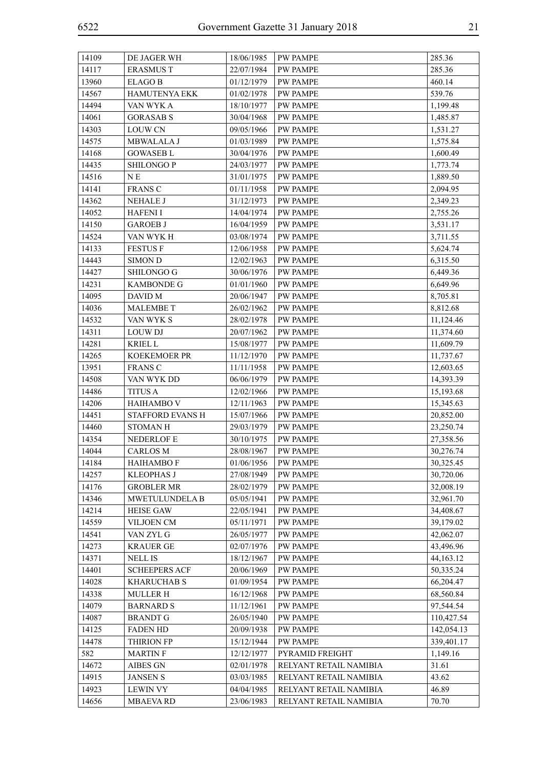| 14109 | DE JAGER WH           | 18/06/1985 | <b>PW PAMPE</b>        | 285.36      |
|-------|-----------------------|------------|------------------------|-------------|
| 14117 | <b>ERASMUS T</b>      | 22/07/1984 | <b>PW PAMPE</b>        | 285.36      |
| 13960 | <b>ELAGO B</b>        | 01/12/1979 | PW PAMPE               | 460.14      |
| 14567 | <b>HAMUTENYA EKK</b>  | 01/02/1978 | <b>PW PAMPE</b>        | 539.76      |
| 14494 | VAN WYK A             | 18/10/1977 | PW PAMPE               | 1,199.48    |
| 14061 | <b>GORASAB S</b>      | 30/04/1968 | <b>PW PAMPE</b>        | 1,485.87    |
| 14303 | <b>LOUW CN</b>        | 09/05/1966 | PW PAMPE               | 1,531.27    |
| 14575 | MBWALALA J            | 01/03/1989 | PW PAMPE               | 1,575.84    |
| 14168 | <b>GOWASEB L</b>      | 30/04/1976 | PW PAMPE               | 1,600.49    |
| 14435 | <b>SHILONGO P</b>     | 24/03/1977 | <b>PW PAMPE</b>        | 1,773.74    |
| 14516 | N E                   | 31/01/1975 | <b>PW PAMPE</b>        | 1,889.50    |
| 14141 | <b>FRANS C</b>        | 01/11/1958 | <b>PW PAMPE</b>        | 2,094.95    |
| 14362 | <b>NEHALE J</b>       | 31/12/1973 | <b>PW PAMPE</b>        | 2,349.23    |
| 14052 | <b>HAFENI I</b>       | 14/04/1974 | <b>PW PAMPE</b>        | 2,755.26    |
| 14150 | <b>GAROEB J</b>       | 16/04/1959 | <b>PW PAMPE</b>        | 3,531.17    |
| 14524 | VAN WYK H             | 03/08/1974 | <b>PW PAMPE</b>        | 3,711.55    |
| 14133 | <b>FESTUS F</b>       | 12/06/1958 | PW PAMPE               | 5,624.74    |
| 14443 | <b>SIMON D</b>        | 12/02/1963 | <b>PW PAMPE</b>        | 6,315.50    |
| 14427 | SHILONGO G            | 30/06/1976 | PW PAMPE               | 6,449.36    |
| 14231 | <b>KAMBONDE G</b>     | 01/01/1960 | <b>PW PAMPE</b>        | 6,649.96    |
| 14095 | DAVID M               | 20/06/1947 | PW PAMPE               | 8,705.81    |
| 14036 | <b>MALEMBE T</b>      | 26/02/1962 | <b>PW PAMPE</b>        | 8,812.68    |
| 14532 | VAN WYK S             | 28/02/1978 | PW PAMPE               | 11,124.46   |
| 14311 | <b>LOUW DJ</b>        | 20/07/1962 | <b>PW PAMPE</b>        | 11,374.60   |
| 14281 | <b>KRIEL L</b>        | 15/08/1977 | PW PAMPE               | 11,609.79   |
| 14265 | <b>KOEKEMOER PR</b>   | 11/12/1970 | <b>PW PAMPE</b>        | 11,737.67   |
| 13951 | <b>FRANS C</b>        | 11/11/1958 | <b>PW PAMPE</b>        | 12,603.65   |
| 14508 | VAN WYK DD            | 06/06/1979 | <b>PW PAMPE</b>        | 14,393.39   |
| 14486 | <b>TITUS A</b>        | 12/02/1966 | <b>PW PAMPE</b>        | 15,193.68   |
| 14206 | <b>HAIHAMBO V</b>     | 12/11/1963 | <b>PW PAMPE</b>        | 15,345.63   |
| 14451 | STAFFORD EVANS H      | 15/07/1966 | PW PAMPE               | 20,852.00   |
| 14460 | <b>STOMAN H</b>       | 29/03/1979 | PW PAMPE               | 23,250.74   |
| 14354 | <b>NEDERLOF E</b>     | 30/10/1975 | <b>PW PAMPE</b>        | 27,358.56   |
| 14044 | <b>CARLOS M</b>       | 28/08/1967 | <b>PW PAMPE</b>        | 30,276.74   |
| 14184 | НАІНАМВО Ғ            | 01/06/1956 | <b>PW PAMPE</b>        | 30,325.45   |
| 14257 | <b>KLEOPHAS J</b>     | 27/08/1949 | <b>PW PAMPE</b>        | 30,720.06   |
| 14176 | <b>GROBLER MR</b>     | 28/02/1979 | PW PAMPE               | 32,008.19   |
| 14346 | <b>MWETULUNDELA B</b> | 05/05/1941 | <b>PW PAMPE</b>        | 32,961.70   |
| 14214 | <b>HEISE GAW</b>      | 22/05/1941 | <b>PW PAMPE</b>        | 34,408.67   |
| 14559 | VILJOEN CM            | 05/11/1971 | PW PAMPE               | 39,179.02   |
| 14541 | VAN ZYL G             | 26/05/1977 | <b>PW PAMPE</b>        | 42,062.07   |
| 14273 | <b>KRAUER GE</b>      | 02/07/1976 | PW PAMPE               | 43,496.96   |
| 14371 | <b>NELL IS</b>        | 18/12/1967 | PW PAMPE               | 44, 163. 12 |
| 14401 | <b>SCHEEPERS ACF</b>  | 20/06/1969 | <b>PW PAMPE</b>        | 50,335.24   |
| 14028 | <b>KHARUCHAB S</b>    | 01/09/1954 | <b>PW PAMPE</b>        | 66,204.47   |
| 14338 | <b>MULLER H</b>       | 16/12/1968 | PW PAMPE               | 68,560.84   |
| 14079 | <b>BARNARD S</b>      | 11/12/1961 | <b>PW PAMPE</b>        | 97,544.54   |
| 14087 | <b>BRANDT G</b>       | 26/05/1940 | PW PAMPE               | 110,427.54  |
| 14125 | <b>FADEN HD</b>       | 20/09/1938 | PW PAMPE               | 142,054.13  |
| 14478 | <b>THIRION FP</b>     | 15/12/1944 | <b>PW PAMPE</b>        | 339,401.17  |
| 582   | <b>MARTIN F</b>       | 12/12/1977 | PYRAMID FREIGHT        | 1,149.16    |
| 14672 | AIBES GN              | 02/01/1978 | RELYANT RETAIL NAMIBIA | 31.61       |
| 14915 | <b>JANSEN S</b>       | 03/03/1985 | RELYANT RETAIL NAMIBIA | 43.62       |
| 14923 | <b>LEWIN VY</b>       | 04/04/1985 | RELYANT RETAIL NAMIBIA | 46.89       |
| 14656 | <b>MBAEVA RD</b>      | 23/06/1983 | RELYANT RETAIL NAMIBIA | 70.70       |
|       |                       |            |                        |             |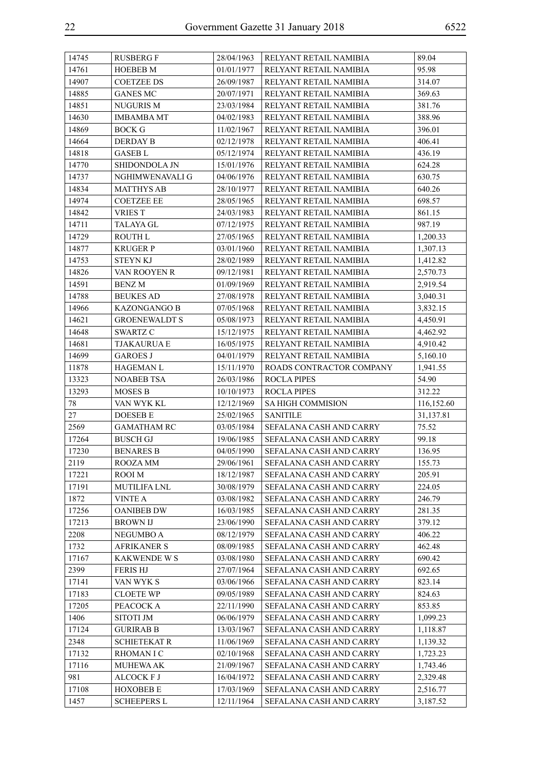| 14745 | <b>RUSBERG F</b>     | 28/04/1963 | RELYANT RETAIL NAMIBIA   | 89.04      |
|-------|----------------------|------------|--------------------------|------------|
| 14761 | <b>HOEBEB M</b>      | 01/01/1977 | RELYANT RETAIL NAMIBIA   | 95.98      |
| 14907 | <b>COETZEE DS</b>    | 26/09/1987 | RELYANT RETAIL NAMIBIA   | 314.07     |
| 14885 | <b>GANES MC</b>      | 20/07/1971 | RELYANT RETAIL NAMIBIA   | 369.63     |
| 14851 | NUGURIS M            | 23/03/1984 | RELYANT RETAIL NAMIBIA   | 381.76     |
| 14630 | <b>IMBAMBA MT</b>    | 04/02/1983 | RELYANT RETAIL NAMIBIA   | 388.96     |
| 14869 | BOCK G               | 11/02/1967 | RELYANT RETAIL NAMIBIA   | 396.01     |
| 14664 | DERDAY B             | 02/12/1978 | RELYANT RETAIL NAMIBIA   | 406.41     |
| 14818 | <b>GASEB L</b>       | 05/12/1974 | RELYANT RETAIL NAMIBIA   | 436.19     |
| 14770 | SHIDONDOLA JN        | 15/01/1976 | RELYANT RETAIL NAMIBIA   | 624.28     |
| 14737 | NGHIMWENAVALI G      | 04/06/1976 | RELYANT RETAIL NAMIBIA   | 630.75     |
| 14834 | <b>MATTHYS AB</b>    | 28/10/1977 | RELYANT RETAIL NAMIBIA   | 640.26     |
| 14974 | <b>COETZEE EE</b>    | 28/05/1965 | RELYANT RETAIL NAMIBIA   | 698.57     |
| 14842 | <b>VRIES T</b>       | 24/03/1983 | RELYANT RETAIL NAMIBIA   | 861.15     |
| 14711 | TALAYA GL            | 07/12/1975 | RELYANT RETAIL NAMIBIA   | 987.19     |
| 14729 | <b>ROUTH L</b>       | 27/05/1965 | RELYANT RETAIL NAMIBIA   | 1,200.33   |
| 14877 | <b>KRUGER P</b>      | 03/01/1960 | RELYANT RETAIL NAMIBIA   | 1,307.13   |
| 14753 | STEYN KJ             | 28/02/1989 | RELYANT RETAIL NAMIBIA   | 1,412.82   |
| 14826 | VAN ROOYEN R         | 09/12/1981 | RELYANT RETAIL NAMIBIA   | 2,570.73   |
| 14591 | <b>BENZ M</b>        | 01/09/1969 | RELYANT RETAIL NAMIBIA   | 2.919.54   |
| 14788 | <b>BEUKES AD</b>     | 27/08/1978 | RELYANT RETAIL NAMIBIA   | 3,040.31   |
| 14966 | KAZONGANGO B         | 07/05/1968 | RELYANT RETAIL NAMIBIA   | 3,832.15   |
| 14621 | <b>GROENEWALDT S</b> | 05/08/1973 | RELYANT RETAIL NAMIBIA   | 4,450.91   |
| 14648 | SWARTZ C             | 15/12/1975 | RELYANT RETAIL NAMIBIA   | 4,462.92   |
| 14681 | TJAKAURUA E          | 16/05/1975 | RELYANT RETAIL NAMIBIA   | 4,910.42   |
| 14699 | <b>GAROES J</b>      | 04/01/1979 | RELYANT RETAIL NAMIBIA   | 5,160.10   |
| 11878 | HAGEMAN L            | 15/11/1970 | ROADS CONTRACTOR COMPANY | 1,941.55   |
| 13323 | <b>NOABEB TSA</b>    | 26/03/1986 | <b>ROCLA PIPES</b>       | 54.90      |
| 13293 | MOSES B              | 10/10/1973 | <b>ROCLA PIPES</b>       | 312.22     |
| 78    | VAN WYK KL           | 12/12/1969 | SA HIGH COMMISION        | 116,152.60 |
| 27    | DOESEB E             | 25/02/1965 | SANITILE                 | 31,137.81  |
| 2569  | <b>GAMATHAM RC</b>   | 03/05/1984 | SEFALANA CASH AND CARRY  | 75.52      |
| 17264 | <b>BUSCH GJ</b>      | 19/06/1985 | SEFALANA CASH AND CARRY  | 99.18      |
| 17230 | <b>BENARES B</b>     | 04/05/1990 | SEFALANA CASH AND CARRY  | 136.95     |
| 2119  | ROOZA MM             | 29/06/1961 | SEFALANA CASH AND CARRY  | 155.73     |
| 17221 | ROOI M               | 18/12/1987 | SEFALANA CASH AND CARRY  | 205.91     |
| 17191 | <b>MUTILIFA LNL</b>  | 30/08/1979 | SEFALANA CASH AND CARRY  | 224.05     |
| 1872  | <b>VINTE A</b>       | 03/08/1982 | SEFALANA CASH AND CARRY  | 246.79     |
| 17256 | <b>OANIBEB DW</b>    | 16/03/1985 | SEFALANA CASH AND CARRY  | 281.35     |
| 17213 | <b>BROWN IJ</b>      | 23/06/1990 | SEFALANA CASH AND CARRY  | 379.12     |
| 2208  | <b>NEGUMBO A</b>     | 08/12/1979 | SEFALANA CASH AND CARRY  | 406.22     |
| 1732  | <b>AFRIKANER S</b>   | 08/09/1985 | SEFALANA CASH AND CARRY  | 462.48     |
| 17167 | <b>KAKWENDE W S</b>  | 03/08/1980 | SEFALANA CASH AND CARRY  | 690.42     |
| 2399  | <b>FERISHJ</b>       | 27/07/1964 | SEFALANA CASH AND CARRY  | 692.65     |
| 17141 | VAN WYK S            | 03/06/1966 | SEFALANA CASH AND CARRY  | 823.14     |
| 17183 | <b>CLOETE WP</b>     | 09/05/1989 | SEFALANA CASH AND CARRY  | 824.63     |
| 17205 | PEACOCK A            | 22/11/1990 | SEFALANA CASH AND CARRY  | 853.85     |
| 1406  | <b>SITOTI JM</b>     | 06/06/1979 | SEFALANA CASH AND CARRY  | 1,099.23   |
| 17124 | <b>GURIRAB B</b>     | 13/03/1967 | SEFALANA CASH AND CARRY  | 1,118.87   |
| 2348  | <b>SCHIETEKAT R</b>  | 11/06/1969 | SEFALANA CASH AND CARRY  | 1,139.32   |
| 17132 | <b>RHOMANIC</b>      | 02/10/1968 | SEFALANA CASH AND CARRY  | 1,723.23   |
| 17116 | <b>MUHEWA AK</b>     | 21/09/1967 | SEFALANA CASH AND CARRY  | 1,743.46   |
| 981   | <b>ALCOCK F J</b>    | 16/04/1972 | SEFALANA CASH AND CARRY  | 2,329.48   |
| 17108 |                      |            |                          |            |
|       | <b>HOXOBEB E</b>     | 17/03/1969 | SEFALANA CASH AND CARRY  | 2,516.77   |
| 1457  | <b>SCHEEPERS L</b>   | 12/11/1964 | SEFALANA CASH AND CARRY  | 3,187.52   |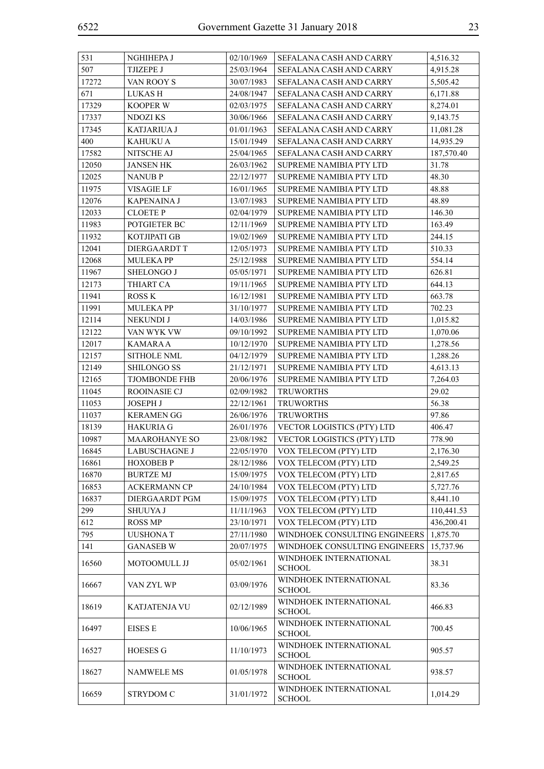| 531   | NGHIHEPA J           | 02/10/1969 | SEFALANA CASH AND CARRY                 | 4,516.32   |
|-------|----------------------|------------|-----------------------------------------|------------|
| 507   | <b>TJIZEPE J</b>     | 25/03/1964 | SEFALANA CASH AND CARRY                 | 4,915.28   |
| 17272 | VAN ROOY S           | 30/07/1983 | SEFALANA CASH AND CARRY                 | 5,505.42   |
| 671   | LUKAS H              | 24/08/1947 | SEFALANA CASH AND CARRY                 | 6,171.88   |
| 17329 | <b>KOOPER W</b>      | 02/03/1975 | SEFALANA CASH AND CARRY                 | 8,274.01   |
| 17337 | NDOZI KS             | 30/06/1966 | SEFALANA CASH AND CARRY                 | 9,143.75   |
| 17345 | <b>KATJARIUA J</b>   | 01/01/1963 | SEFALANA CASH AND CARRY                 | 11,081.28  |
| 400   | <b>KAHUKU A</b>      | 15/01/1949 | SEFALANA CASH AND CARRY                 | 14,935.29  |
| 17582 | NITSCHE AJ           | 25/04/1965 | SEFALANA CASH AND CARRY                 | 187,570.40 |
| 12050 | <b>JANSEN HK</b>     | 26/03/1962 | <b>SUPREME NAMIBIA PTY LTD</b>          | 31.78      |
| 12025 | <b>NANUB P</b>       | 22/12/1977 | SUPREME NAMIBIA PTY LTD                 | 48.30      |
| 11975 | VISAGIE LF           | 16/01/1965 | SUPREME NAMIBIA PTY LTD                 | 48.88      |
| 12076 | <b>KAPENAINA J</b>   | 13/07/1983 | <b>SUPREME NAMIBIA PTY LTD</b>          | 48.89      |
| 12033 | <b>CLOETE P</b>      | 02/04/1979 | SUPREME NAMIBIA PTY LTD                 | 146.30     |
| 11983 | POTGIETER BC         | 12/11/1969 | SUPREME NAMIBIA PTY LTD                 | 163.49     |
| 11932 | KOTJIPATI GB         | 19/02/1969 | SUPREME NAMIBIA PTY LTD                 | 244.15     |
| 12041 | DIERGAARDT T         | 12/05/1973 | SUPREME NAMIBIA PTY LTD                 | 510.33     |
| 12068 | <b>MULEKA PP</b>     | 25/12/1988 | SUPREME NAMIBIA PTY LTD                 | 554.14     |
| 11967 | SHELONGO J           | 05/05/1971 | <b>SUPREME NAMIBIA PTY LTD</b>          | 626.81     |
| 12173 | THIART CA            | 19/11/1965 | <b>SUPREME NAMIBIA PTY LTD</b>          | 644.13     |
| 11941 | <b>ROSS K</b>        | 16/12/1981 | SUPREME NAMIBIA PTY LTD                 | 663.78     |
| 11991 | <b>MULEKA PP</b>     | 31/10/1977 | SUPREME NAMIBIA PTY LTD                 | 702.23     |
| 12114 | NEKUNDI J            | 14/03/1986 | SUPREME NAMIBIA PTY LTD                 | 1,015.82   |
| 12122 | VAN WYK VW           | 09/10/1992 | SUPREME NAMIBIA PTY LTD                 | 1,070.06   |
| 12017 | KAMARA A             | 10/12/1970 | SUPREME NAMIBIA PTY LTD                 | 1,278.56   |
| 12157 | <b>SITHOLE NML</b>   | 04/12/1979 | SUPREME NAMIBIA PTY LTD                 | 1,288.26   |
| 12149 | <b>SHILONGO SS</b>   | 21/12/1971 | SUPREME NAMIBIA PTY LTD                 | 4,613.13   |
| 12165 | <b>TJOMBONDE FHB</b> | 20/06/1976 | SUPREME NAMIBIA PTY LTD                 | 7,264.03   |
| 11045 | <b>ROOINASIE CJ</b>  | 02/09/1982 | <b>TRUWORTHS</b>                        | 29.02      |
| 11053 | <b>JOSEPH J</b>      | 22/12/1961 | <b>TRUWORTHS</b>                        | 56.38      |
| 11037 | <b>KERAMEN GG</b>    | 26/06/1976 | <b>TRUWORTHS</b>                        | 97.86      |
| 18139 | <b>HAKURIA G</b>     | 26/01/1976 | VECTOR LOGISTICS (PTY) LTD              | 406.47     |
| 10987 | <b>MAAROHANYE SO</b> | 23/08/1982 | VECTOR LOGISTICS (PTY) LTD              | 778.90     |
| 16845 | LABUSCHAGNE J        | 22/05/1970 | VOX TELECOM (PTY) LTD                   | 2,176.30   |
| 16861 | <b>HOXOBEB P</b>     | 28/12/1986 | VOX TELECOM (PTY) LTD                   | 2,549.25   |
| 16870 | <b>BURTZE MJ</b>     | 15/09/1975 | VOX TELECOM (PTY) LTD                   | 2,817.65   |
| 16853 | <b>ACKERMANN CP</b>  | 24/10/1984 | VOX TELECOM (PTY) LTD                   | 5,727.76   |
| 16837 | DIERGAARDT PGM       | 15/09/1975 | VOX TELECOM (PTY) LTD                   | 8,441.10   |
| 299   | SHUUYA J             | 11/11/1963 | VOX TELECOM (PTY) LTD                   | 110,441.53 |
| 612   | <b>ROSS MP</b>       | 23/10/1971 | VOX TELECOM (PTY) LTD                   | 436,200.41 |
| 795   | <b>UUSHONAT</b>      | 27/11/1980 | WINDHOEK CONSULTING ENGINEERS           | 1,875.70   |
| 141   | <b>GANASEB W</b>     | 20/07/1975 | WINDHOEK CONSULTING ENGINEERS           | 15,737.96  |
| 16560 | MOTOOMULL JJ         | 05/02/1961 | WINDHOEK INTERNATIONAL                  | 38.31      |
|       |                      |            | <b>SCHOOL</b><br>WINDHOEK INTERNATIONAL |            |
| 16667 | VAN ZYL WP           | 03/09/1976 | <b>SCHOOL</b>                           | 83.36      |
| 18619 | <b>KATJATENJA VU</b> | 02/12/1989 | WINDHOEK INTERNATIONAL<br><b>SCHOOL</b> | 466.83     |
| 16497 | <b>EISES E</b>       | 10/06/1965 | WINDHOEK INTERNATIONAL<br><b>SCHOOL</b> | 700.45     |
| 16527 | <b>HOESES G</b>      | 11/10/1973 | WINDHOEK INTERNATIONAL<br><b>SCHOOL</b> | 905.57     |
| 18627 | <b>NAMWELE MS</b>    | 01/05/1978 | WINDHOEK INTERNATIONAL<br><b>SCHOOL</b> | 938.57     |
| 16659 | STRYDOM C            | 31/01/1972 | WINDHOEK INTERNATIONAL<br><b>SCHOOL</b> | 1,014.29   |
|       |                      |            |                                         |            |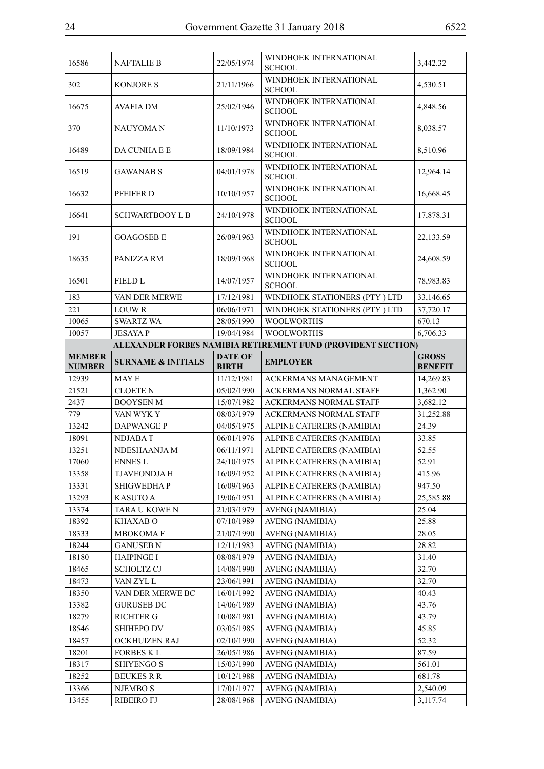| 16586          | <b>NAFTALIE B</b>             | 22/05/1974               | WINDHOEK INTERNATIONAL<br><b>SCHOOL</b>                      | 3,442.32       |
|----------------|-------------------------------|--------------------------|--------------------------------------------------------------|----------------|
|                |                               |                          | WINDHOEK INTERNATIONAL                                       |                |
| 302            | <b>KONJORES</b>               | 21/11/1966               | <b>SCHOOL</b>                                                | 4,530.51       |
| 16675          | <b>AVAFIA DM</b>              | 25/02/1946               | WINDHOEK INTERNATIONAL<br><b>SCHOOL</b>                      | 4,848.56       |
| 370            | <b>NAUYOMAN</b>               | 11/10/1973               | WINDHOEK INTERNATIONAL<br><b>SCHOOL</b>                      | 8,038.57       |
| 16489          | DA CUNHA E E                  | 18/09/1984               | WINDHOEK INTERNATIONAL<br><b>SCHOOL</b>                      | 8,510.96       |
| 16519          | <b>GAWANAB S</b>              | 04/01/1978               | WINDHOEK INTERNATIONAL<br><b>SCHOOL</b>                      | 12,964.14      |
| 16632          | PFEIFER D                     | 10/10/1957               | WINDHOEK INTERNATIONAL<br><b>SCHOOL</b>                      | 16,668.45      |
| 16641          | <b>SCHWARTBOOY L B</b>        | 24/10/1978               | WINDHOEK INTERNATIONAL<br><b>SCHOOL</b>                      | 17,878.31      |
| 191            | <b>GOAGOSEB E</b>             | 26/09/1963               | WINDHOEK INTERNATIONAL<br><b>SCHOOL</b>                      | 22,133.59      |
| 18635          | PANIZZA RM                    | 18/09/1968               | WINDHOEK INTERNATIONAL<br><b>SCHOOL</b>                      | 24,608.59      |
| 16501          | <b>FIELD L</b>                | 14/07/1957               | WINDHOEK INTERNATIONAL<br><b>SCHOOL</b>                      | 78,983.83      |
| 183            | VAN DER MERWE                 | 17/12/1981               | WINDHOEK STATIONERS (PTY) LTD                                | 33,146.65      |
| 221            | <b>LOUWR</b>                  | 06/06/1971               | WINDHOEK STATIONERS (PTY) LTD                                | 37,720.17      |
| 10065          | <b>SWARTZ WA</b>              | 28/05/1990               | <b>WOOLWORTHS</b>                                            | 670.13         |
| 10057          | <b>JESAYAP</b>                | 19/04/1984               | <b>WOOLWORTHS</b>                                            | 6,706.33       |
|                |                               |                          | ALEXANDER FORBES NAMIBIA RETIREMENT FUND (PROVIDENT SECTION) |                |
| <b>MEMBER</b>  | <b>SURNAME &amp; INITIALS</b> | <b>DATE OF</b>           | <b>EMPLOYER</b>                                              | <b>GROSS</b>   |
| <b>NUMBER</b>  |                               | <b>BIRTH</b>             |                                                              | <b>BENEFIT</b> |
|                |                               |                          |                                                              |                |
| 12939          | MAY E                         | 11/12/1981               | <b>ACKERMANS MANAGEMENT</b>                                  | 14,269.83      |
| 21521          | <b>CLOETE N</b>               | 05/02/1990               | ACKERMANS NORMAL STAFF                                       | 1,362.90       |
| 2437           | <b>BOOYSEN M</b>              | 15/07/1982               | ACKERMANS NORMAL STAFF                                       | 3,682.12       |
| 779            | VAN WYK Y                     | 08/03/1979               | ACKERMANS NORMAL STAFF                                       | 31,252.88      |
| 13242          | <b>DAPWANGE P</b>             | 04/05/1975               | ALPINE CATERERS (NAMIBIA)                                    | 24.39          |
| 18091          | <b>NDJABAT</b>                | 06/01/1976               | ALPINE CATERERS (NAMIBIA)                                    | 33.85          |
| 13251          | NDESHAANJA M                  | 06/11/1971               | ALPINE CATERERS (NAMIBIA)                                    | 52.55          |
| 17060          | ENNES L                       | 24/10/1975               | ALPINE CATERERS (NAMIBIA)                                    | 52.91          |
| 13358          | <b>TJAVEONDJA H</b>           | 16/09/1952               | ALPINE CATERERS (NAMIBIA)                                    | 415.96         |
| 13331          | <b>SHIGWEDHAP</b>             | 16/09/1963               | ALPINE CATERERS (NAMIBIA)                                    | 947.50         |
| 13293          | <b>KASUTO A</b>               | 19/06/1951               | ALPINE CATERERS (NAMIBIA)                                    | 25,585.88      |
| 13374          | TARA U KOWE N                 | 21/03/1979               | AVENG (NAMIBIA)                                              | 25.04          |
| 18392          | <b>KHAXABO</b>                | 07/10/1989               | <b>AVENG (NAMIBIA)</b>                                       | 25.88          |
| 18333          | MBOKOMA F                     | 21/07/1990               | <b>AVENG (NAMIBIA)</b>                                       | 28.05          |
| 18244          | <b>GANUSEB N</b>              | 12/11/1983               | <b>AVENG (NAMIBIA)</b>                                       | 28.82          |
| 18180          | <b>HAIPINGE I</b>             | 08/08/1979               | <b>AVENG (NAMIBIA)</b>                                       | 31.40          |
| 18465          | <b>SCHOLTZ CJ</b>             | 14/08/1990               | AVENG (NAMIBIA)                                              | 32.70          |
| 18473          | VAN ZYL L                     | 23/06/1991               | <b>AVENG (NAMIBIA)</b>                                       | 32.70          |
| 18350          | VAN DER MERWE BC              | 16/01/1992               | AVENG (NAMIBIA)                                              | 40.43          |
| 13382          | <b>GURUSEB DC</b>             | 14/06/1989               | AVENG (NAMIBIA)                                              | 43.76          |
| 18279          | RICHTER G                     | 10/08/1981               | <b>AVENG (NAMIBIA)</b>                                       | 43.79          |
| 18546<br>18457 | SHIHEPO DV<br>OCKHUIZEN RAJ   | 03/05/1985<br>02/10/1990 | <b>AVENG (NAMIBIA)</b><br>AVENG (NAMIBIA)                    | 45.85<br>52.32 |
| 18201          | <b>FORBES K L</b>             | 26/05/1986               | <b>AVENG (NAMIBIA)</b>                                       | 87.59          |
| 18317          | <b>SHIYENGO S</b>             | 15/03/1990               | <b>AVENG (NAMIBIA)</b>                                       | 561.01         |
| 18252          | <b>BEUKES R R</b>             | 10/12/1988               | <b>AVENG (NAMIBIA)</b>                                       | 681.78         |
| 13366          | <b>NJEMBO S</b>               | 17/01/1977               | <b>AVENG (NAMIBIA)</b>                                       | 2,540.09       |
| 13455          | <b>RIBEIRO FJ</b>             | 28/08/1968               | <b>AVENG (NAMIBIA)</b>                                       | 3,117.74       |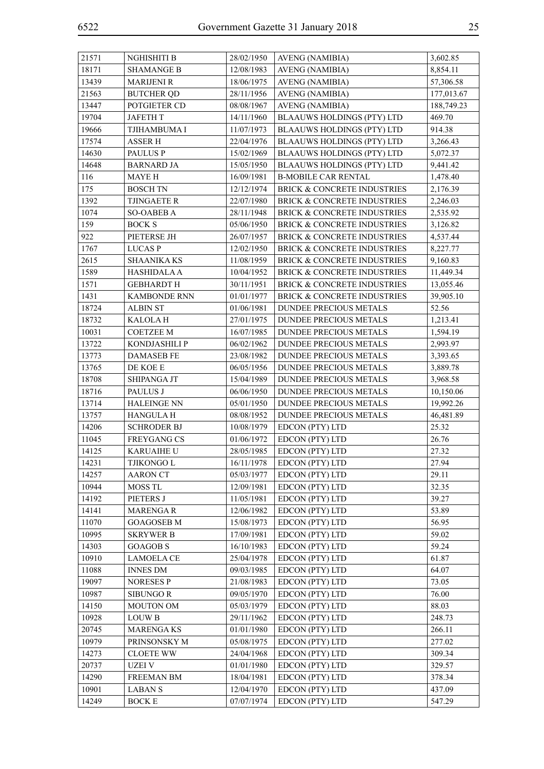| ۰.<br>۰,<br>× |
|---------------|
|---------------|

| 21571 | NGHISHITI B         | 28/02/1950 | <b>AVENG (NAMIBIA)</b>                 | 3,602.85   |
|-------|---------------------|------------|----------------------------------------|------------|
| 18171 | <b>SHAMANGE B</b>   | 12/08/1983 | <b>AVENG (NAMIBIA)</b>                 | 8,854.11   |
| 13439 | <b>MARIJENI R</b>   | 18/06/1975 | <b>AVENG (NAMIBIA)</b>                 | 57,306.58  |
| 21563 | <b>BUTCHER QD</b>   | 28/11/1956 | <b>AVENG (NAMIBIA)</b>                 | 177,013.67 |
| 13447 | POTGIETER CD        | 08/08/1967 | <b>AVENG (NAMIBIA)</b>                 | 188,749.23 |
| 19704 | <b>JAFETH T</b>     | 14/11/1960 | <b>BLAAUWS HOLDINGS (PTY) LTD</b>      | 469.70     |
| 19666 | TJIHAMBUMA I        | 11/07/1973 | <b>BLAAUWS HOLDINGS (PTY) LTD</b>      | 914.38     |
| 17574 | <b>ASSER H</b>      | 22/04/1976 | <b>BLAAUWS HOLDINGS (PTY) LTD</b>      | 3,266.43   |
| 14630 | <b>PAULUS P</b>     | 15/02/1969 | <b>BLAAUWS HOLDINGS (PTY) LTD</b>      | 5,072.37   |
| 14648 | <b>BARNARD JA</b>   | 15/05/1950 | <b>BLAAUWS HOLDINGS (PTY) LTD</b>      | 9,441.42   |
| 116   | MAYE H              | 16/09/1981 | <b>B-MOBILE CAR RENTAL</b>             | 1,478.40   |
| 175   | <b>BOSCH TN</b>     | 12/12/1974 | <b>BRICK &amp; CONCRETE INDUSTRIES</b> | 2,176.39   |
| 1392  | <b>TJINGAETE R</b>  | 22/07/1980 | BRICK & CONCRETE INDUSTRIES            | 2,246.03   |
| 1074  | <b>SO-OABEB A</b>   | 28/11/1948 | BRICK & CONCRETE INDUSTRIES            | 2,535.92   |
| 159   | <b>BOCK S</b>       | 05/06/1950 | BRICK & CONCRETE INDUSTRIES            | 3,126.82   |
| 922   | PIETERSE JH         | 26/07/1957 | BRICK & CONCRETE INDUSTRIES            | 4,537.44   |
| 1767  | <b>LUCASP</b>       | 12/02/1950 | BRICK & CONCRETE INDUSTRIES            | 8,227.77   |
| 2615  | <b>SHAANIKA KS</b>  | 11/08/1959 | BRICK & CONCRETE INDUSTRIES            | 9,160.83   |
| 1589  | <b>HASHIDALA A</b>  | 10/04/1952 | <b>BRICK &amp; CONCRETE INDUSTRIES</b> | 11,449.34  |
| 1571  | <b>GEBHARDT H</b>   | 30/11/1951 | <b>BRICK &amp; CONCRETE INDUSTRIES</b> | 13,055.46  |
| 1431  | <b>KAMBONDE RNN</b> | 01/01/1977 | BRICK & CONCRETE INDUSTRIES            | 39,905.10  |
| 18724 | <b>ALBIN ST</b>     | 01/06/1981 | DUNDEE PRECIOUS METALS                 | 52.56      |
| 18732 | <b>KALOLAH</b>      | 27/01/1975 | <b>DUNDEE PRECIOUS METALS</b>          | 1,213.41   |
| 10031 | <b>COETZEE M</b>    | 16/07/1985 | DUNDEE PRECIOUS METALS                 | 1,594.19   |
| 13722 | KONDJASHILI P       | 06/02/1962 | DUNDEE PRECIOUS METALS                 | 2,993.97   |
| 13773 | <b>DAMASEB FE</b>   | 23/08/1982 | DUNDEE PRECIOUS METALS                 | 3,393.65   |
| 13765 | $\rm DE$ KOE E      | 06/05/1956 | DUNDEE PRECIOUS METALS                 | 3,889.78   |
| 18708 | SHIPANGA JT         | 15/04/1989 | DUNDEE PRECIOUS METALS                 | 3,968.58   |
| 18716 | PAULUS J            | 06/06/1950 | <b>DUNDEE PRECIOUS METALS</b>          | 10,150.06  |
| 13714 | <b>HALEINGE NN</b>  | 05/01/1950 | DUNDEE PRECIOUS METALS                 | 19,992.26  |
| 13757 | HANGULA H           | 08/08/1952 | DUNDEE PRECIOUS METALS                 | 46,481.89  |
| 14206 | <b>SCHRODER BJ</b>  | 10/08/1979 | EDCON (PTY) LTD                        | 25.32      |
| 11045 | <b>FREYGANG CS</b>  | 01/06/1972 | EDCON (PTY) LTD                        | 26.76      |
| 14125 | <b>KARUAIHE U</b>   | 28/05/1985 | EDCON (PTY) LTD                        | 27.32      |
| 14231 | TJIKONGO L          | 16/11/1978 | EDCON (PTY) LTD                        | 27.94      |
| 14257 | <b>AARON CT</b>     | 05/03/1977 | EDCON (PTY) LTD                        | 29.11      |
| 10944 | MOSS TL             | 12/09/1981 | EDCON (PTY) LTD                        | 32.35      |
| 14192 | PIETERS J           | 11/05/1981 | EDCON (PTY) LTD                        | 39.27      |
| 14141 | <b>MARENGAR</b>     | 12/06/1982 | EDCON (PTY) LTD                        | 53.89      |
| 11070 | <b>GOAGOSEB M</b>   | 15/08/1973 | EDCON (PTY) LTD                        | 56.95      |
| 10995 | <b>SKRYWER B</b>    | 17/09/1981 | EDCON (PTY) LTD                        | 59.02      |
| 14303 | <b>GOAGOB S</b>     | 16/10/1983 | EDCON (PTY) LTD                        | 59.24      |
| 10910 | <b>LAMOELA CE</b>   | 25/04/1978 | EDCON (PTY) LTD                        | 61.87      |
| 11088 | <b>INNES DM</b>     | 09/03/1985 | EDCON (PTY) LTD                        | 64.07      |
| 19097 | <b>NORESES P</b>    | 21/08/1983 | EDCON (PTY) LTD                        | 73.05      |
| 10987 | <b>SIBUNGO R</b>    | 09/05/1970 | EDCON (PTY) LTD                        | 76.00      |
| 14150 | MOUTON OM           | 05/03/1979 | EDCON (PTY) LTD                        | 88.03      |
| 10928 | <b>LOUW B</b>       | 29/11/1962 | EDCON (PTY) LTD                        | 248.73     |
| 20745 | <b>MARENGAKS</b>    | 01/01/1980 | EDCON (PTY) LTD                        | 266.11     |
| 10979 | PRINSONSKY M        | 05/08/1975 | EDCON (PTY) LTD                        | 277.02     |
| 14273 | <b>CLOETE WW</b>    | 24/04/1968 | EDCON (PTY) LTD                        | 309.34     |
| 20737 | UZEI V              | 01/01/1980 | EDCON (PTY) LTD                        | 329.57     |
| 14290 | FREEMAN BM          | 18/04/1981 | EDCON (PTY) LTD                        | 378.34     |
| 10901 | <b>LABANS</b>       | 12/04/1970 | EDCON (PTY) LTD                        | 437.09     |
| 14249 | <b>BOCK E</b>       | 07/07/1974 | EDCON (PTY) LTD                        | 547.29     |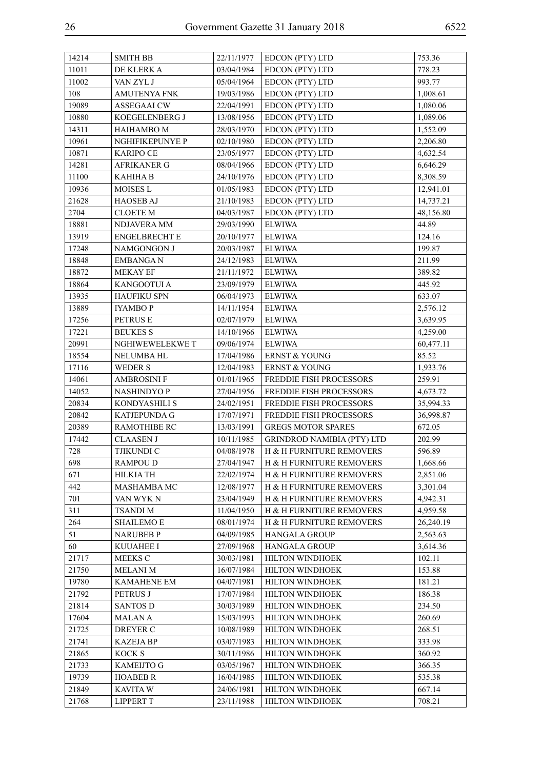| 14214 | <b>SMITH BB</b>      | 22/11/1977 | EDCON (PTY) LTD                   | 753.36    |
|-------|----------------------|------------|-----------------------------------|-----------|
| 11011 | DE KLERK A           | 03/04/1984 | EDCON (PTY) LTD                   | 778.23    |
| 11002 | VAN ZYL J            | 05/04/1964 | EDCON (PTY) LTD                   | 993.77    |
| 108   | <b>AMUTENYA FNK</b>  | 19/03/1986 | EDCON (PTY) LTD                   | 1,008.61  |
| 19089 | <b>ASSEGAAI CW</b>   | 22/04/1991 | EDCON (PTY) LTD                   | 1,080.06  |
| 10880 | KOEGELENBERG J       | 13/08/1956 | EDCON (PTY) LTD                   | 1,089.06  |
| 14311 | HAIHAMBO M           | 28/03/1970 | EDCON (PTY) LTD                   | 1,552.09  |
| 10961 | NGHIFIKEPUNYE P      | 02/10/1980 | EDCON (PTY) LTD                   | 2,206.80  |
| 10871 | <b>KARIPO CE</b>     | 23/05/1977 | EDCON (PTY) LTD                   | 4,632.54  |
| 14281 | <b>AFRIKANER G</b>   | 08/04/1966 | EDCON (PTY) LTD                   | 6,646.29  |
| 11100 | <b>KAHIHA B</b>      | 24/10/1976 | EDCON (PTY) LTD                   | 8,308.59  |
| 10936 | MOISES L             | 01/05/1983 | EDCON (PTY) LTD                   | 12,941.01 |
| 21628 | <b>HAOSEB AJ</b>     | 21/10/1983 | EDCON (PTY) LTD                   | 14,737.21 |
| 2704  | <b>CLOETE M</b>      | 04/03/1987 | EDCON (PTY) LTD                   | 48,156.80 |
| 18881 | NDJAVERA MM          | 29/03/1990 | <b>ELWIWA</b>                     | 44.89     |
| 13919 | <b>ENGELBRECHT E</b> | 20/10/1977 | <b>ELWIWA</b>                     | 124.16    |
| 17248 | NAMGONGON J          | 20/03/1987 | <b>ELWIWA</b>                     | 199.87    |
| 18848 | <b>EMBANGAN</b>      | 24/12/1983 | <b>ELWIWA</b>                     | 211.99    |
| 18872 | <b>MEKAY EF</b>      | 21/11/1972 | <b>ELWIWA</b>                     | 389.82    |
| 18864 | KANGOOTUI A          | 23/09/1979 | <b>ELWIWA</b>                     | 445.92    |
| 13935 | <b>HAUFIKU SPN</b>   | 06/04/1973 | <b>ELWIWA</b>                     | 633.07    |
| 13889 | <b>IYAMBOP</b>       | 14/11/1954 | <b>ELWIWA</b>                     | 2,576.12  |
| 17256 | PETRUS E             | 02/07/1979 | <b>ELWIWA</b>                     | 3,639.95  |
| 17221 | <b>BEUKES S</b>      | 14/10/1966 | <b>ELWIWA</b>                     | 4,259.00  |
| 20991 | NGHIWEWELEKWE T      | 09/06/1974 | <b>ELWIWA</b>                     | 60,477.11 |
| 18554 | <b>NELUMBA HL</b>    | 17/04/1986 | <b>ERNST &amp; YOUNG</b>          | 85.52     |
| 17116 | <b>WEDER S</b>       | 12/04/1983 | <b>ERNST &amp; YOUNG</b>          | 1,933.76  |
| 14061 | <b>AMBROSINI F</b>   | 01/01/1965 | FREDDIE FISH PROCESSORS           | 259.91    |
| 14052 | NASHINDYO P          | 27/04/1956 | FREDDIE FISH PROCESSORS           | 4,673.72  |
| 20834 | KONDYASHILI S        | 24/02/1951 | FREDDIE FISH PROCESSORS           | 35,994.33 |
| 20842 | KATJEPUNDA G         | 17/07/1971 | FREDDIE FISH PROCESSORS           | 36,998.87 |
| 20389 | RAMOTHIBE RC         | 13/03/1991 | <b>GREGS MOTOR SPARES</b>         | 672.05    |
| 17442 | <b>CLAASEN J</b>     | 10/11/1985 | <b>GRINDROD NAMIBIA (PTY) LTD</b> | 202.99    |
| 728   | <b>TJIKUNDI C</b>    | 04/08/1978 | H & H FURNITURE REMOVERS          | 596.89    |
| 698   | RAMPOU D             | 27/04/1947 | H & H FURNITURE REMOVERS          | 1,668.66  |
| 671   | HILKIA TH            | 22/02/1974 | H & H FURNITURE REMOVERS          | 2,851.06  |
| 442   | MASHAMBA MC          | 12/08/1977 | H & H FURNITURE REMOVERS          | 3,301.04  |
| 701   | VAN WYK N            | 23/04/1949 | H & H FURNITURE REMOVERS          | 4,942.31  |
| 311   | <b>TSANDIM</b>       | 11/04/1950 | H & H FURNITURE REMOVERS          | 4,959.58  |
| 264   | <b>SHAILEMO E</b>    | 08/01/1974 | H & H FURNITURE REMOVERS          | 26,240.19 |
| 51    | <b>NARUBEB P</b>     | 04/09/1985 | <b>HANGALA GROUP</b>              | 2,563.63  |
| 60    | <b>KUUAHEE I</b>     | 27/09/1968 | <b>HANGALA GROUP</b>              | 3,614.36  |
| 21717 | MEEKS C              | 30/03/1981 | <b>HILTON WINDHOEK</b>            | 102.11    |
| 21750 | <b>MELANI M</b>      | 16/07/1984 | HILTON WINDHOEK                   | 153.88    |
| 19780 | <b>KAMAHENE EM</b>   | 04/07/1981 | HILTON WINDHOEK                   | 181.21    |
| 21792 | PETRUS J             | 17/07/1984 | HILTON WINDHOEK                   | 186.38    |
| 21814 | <b>SANTOS D</b>      | 30/03/1989 | HILTON WINDHOEK                   | 234.50    |
| 17604 | <b>MALANA</b>        | 15/03/1993 | HILTON WINDHOEK                   | 260.69    |
| 21725 | DREYER C             | 10/08/1989 | HILTON WINDHOEK                   | 268.51    |
| 21741 | <b>KAZEJA BP</b>     | 03/07/1983 | HILTON WINDHOEK                   | 333.98    |
| 21865 | <b>KOCK S</b>        | 30/11/1986 | HILTON WINDHOEK                   | 360.92    |
| 21733 | <b>KAMEIJTO G</b>    | 03/05/1967 | <b>HILTON WINDHOEK</b>            | 366.35    |
| 19739 | <b>HOABEB R</b>      | 16/04/1985 | HILTON WINDHOEK                   | 535.38    |
| 21849 | <b>KAVITA W</b>      | 24/06/1981 | <b>HILTON WINDHOEK</b>            | 667.14    |
| 21768 | <b>LIPPERT T</b>     | 23/11/1988 | HILTON WINDHOEK                   | 708.21    |
|       |                      |            |                                   |           |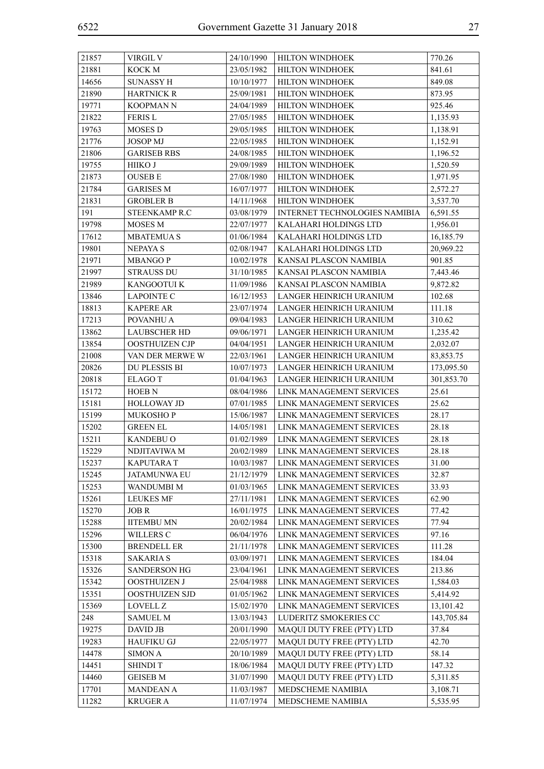| 21857 | VIRGIL V            | 24/10/1990 | <b>HILTON WINDHOEK</b>        | 770.26     |
|-------|---------------------|------------|-------------------------------|------------|
| 21881 | KOCK M              | 23/05/1982 | HILTON WINDHOEK               | 841.61     |
| 14656 | <b>SUNASSY H</b>    | 10/10/1977 | HILTON WINDHOEK               | 849.08     |
| 21890 | <b>HARTNICK R</b>   | 25/09/1981 | HILTON WINDHOEK               | 873.95     |
| 19771 | <b>KOOPMAN N</b>    | 24/04/1989 | HILTON WINDHOEK               | 925.46     |
| 21822 | <b>FERIS L</b>      | 27/05/1985 | HILTON WINDHOEK               | 1,135.93   |
| 19763 | MOSES D             | 29/05/1985 | HILTON WINDHOEK               | 1,138.91   |
| 21776 | <b>JOSOP MJ</b>     | 22/05/1985 | HILTON WINDHOEK               | 1,152.91   |
| 21806 | <b>GARISEB RBS</b>  | 24/08/1985 | HILTON WINDHOEK               | 1,196.52   |
| 19755 | HIIKO J             | 29/09/1989 | <b>HILTON WINDHOEK</b>        | 1,520.59   |
| 21873 | <b>OUSEB E</b>      | 27/08/1980 | HILTON WINDHOEK               | 1,971.95   |
| 21784 | <b>GARISES M</b>    | 16/07/1977 | HILTON WINDHOEK               | 2,572.27   |
| 21831 | <b>GROBLER B</b>    | 14/11/1968 | HILTON WINDHOEK               | 3,537.70   |
| 191   | STEENKAMP R.C       | 03/08/1979 | INTERNET TECHNOLOGIES NAMIBIA | 6,591.55   |
| 19798 | MOSES M             | 22/07/1977 | KALAHARI HOLDINGS LTD         | 1,956.01   |
| 17612 | <b>MBATEMUAS</b>    | 01/06/1984 | KALAHARI HOLDINGS LTD         | 16,185.79  |
| 19801 | <b>NEPAYA S</b>     | 02/08/1947 | KALAHARI HOLDINGS LTD         | 20,969.22  |
| 21971 | <b>MBANGOP</b>      | 10/02/1978 | KANSAI PLASCON NAMIBIA        | 901.85     |
| 21997 | <b>STRAUSS DU</b>   | 31/10/1985 | KANSAI PLASCON NAMIBIA        | 7,443.46   |
| 21989 | KANGOOTUI K         | 11/09/1986 | KANSAI PLASCON NAMIBIA        | 9,872.82   |
| 13846 | <b>LAPOINTE C</b>   | 16/12/1953 | LANGER HEINRICH URANIUM       | 102.68     |
| 18813 | <b>KAPERE AR</b>    | 23/07/1974 | LANGER HEINRICH URANIUM       | 111.18     |
| 17213 | POVANHU A           | 09/04/1983 | LANGER HEINRICH URANIUM       | 310.62     |
| 13862 | <b>LAUBSCHER HD</b> | 09/06/1971 | LANGER HEINRICH URANIUM       | 1,235.42   |
| 13854 | OOSTHUIZEN CJP      | 04/04/1951 | LANGER HEINRICH URANIUM       | 2,032.07   |
| 21008 | VAN DER MERWE W     | 22/03/1961 | LANGER HEINRICH URANIUM       | 83,853.75  |
| 20826 | DU PLESSIS BI       | 10/07/1973 | LANGER HEINRICH URANIUM       | 173,095.50 |
| 20818 | <b>ELAGOT</b>       | 01/04/1963 | LANGER HEINRICH URANIUM       | 301,853.70 |
| 15172 | HOEB <sub>N</sub>   | 08/04/1986 | LINK MANAGEMENT SERVICES      | 25.61      |
| 15181 | <b>HOLLOWAY JD</b>  | 07/01/1985 | LINK MANAGEMENT SERVICES      | 25.62      |
| 15199 | <b>MUKOSHOP</b>     | 15/06/1987 | LINK MANAGEMENT SERVICES      | 28.17      |
| 15202 | <b>GREEN EL</b>     | 14/05/1981 | LINK MANAGEMENT SERVICES      | 28.18      |
| 15211 | <b>KANDEBU O</b>    | 01/02/1989 | LINK MANAGEMENT SERVICES      | 28.18      |
| 15229 | NDJITAVIWA M        | 20/02/1989 | LINK MANAGEMENT SERVICES      | 28.18      |
| 15237 | <b>KAPUTARAT</b>    | 10/03/1987 | LINK MANAGEMENT SERVICES      | 31.00      |
| 15245 | <b>JATAMUNWA EU</b> | 21/12/1979 | LINK MANAGEMENT SERVICES      | 32.87      |
| 15253 | WANDUMBI M          | 01/03/1965 | LINK MANAGEMENT SERVICES      | 33.93      |
| 15261 | <b>LEUKES MF</b>    | 27/11/1981 | LINK MANAGEMENT SERVICES      | 62.90      |
| 15270 | JOB R               | 16/01/1975 | LINK MANAGEMENT SERVICES      | 77.42      |
| 15288 | <b>IITEMBU MN</b>   | 20/02/1984 | LINK MANAGEMENT SERVICES      | 77.94      |
| 15296 | WILLERS C           | 06/04/1976 | LINK MANAGEMENT SERVICES      | 97.16      |
| 15300 | <b>BRENDELL ER</b>  | 21/11/1978 | LINK MANAGEMENT SERVICES      | 111.28     |
| 15318 | <b>SAKARIA S</b>    | 03/09/1971 | LINK MANAGEMENT SERVICES      | 184.04     |
| 15326 | <b>SANDERSON HG</b> | 23/04/1961 | LINK MANAGEMENT SERVICES      | 213.86     |
| 15342 | OOSTHUIZEN J        | 25/04/1988 | LINK MANAGEMENT SERVICES      | 1,584.03   |
| 15351 | OOSTHUIZEN SJD      | 01/05/1962 | LINK MANAGEMENT SERVICES      | 5,414.92   |
| 15369 | LOVELL Z            | 15/02/1970 | LINK MANAGEMENT SERVICES      | 13,101.42  |
| 248   | <b>SAMUEL M</b>     | 13/03/1943 | LUDERITZ SMOKERIES CC         | 143,705.84 |
| 19275 | <b>DAVID JB</b>     | 20/01/1990 | MAQUI DUTY FREE (PTY) LTD     | 37.84      |
| 19283 | <b>HAUFIKU GJ</b>   | 22/05/1977 | MAQUI DUTY FREE (PTY) LTD     | 42.70      |
| 14478 | SIMON A             | 20/10/1989 | MAQUI DUTY FREE (PTY) LTD     | 58.14      |
| 14451 | <b>SHINDIT</b>      | 18/06/1984 | MAQUI DUTY FREE (PTY) LTD     | 147.32     |
| 14460 | <b>GEISEB M</b>     | 31/07/1990 | MAQUI DUTY FREE (PTY) LTD     | 5,311.85   |
| 17701 | <b>MANDEAN A</b>    | 11/03/1987 | MEDSCHEME NAMIBIA             | 3,108.71   |
| 11282 | <b>KRUGER A</b>     | 11/07/1974 | MEDSCHEME NAMIBIA             | 5,535.95   |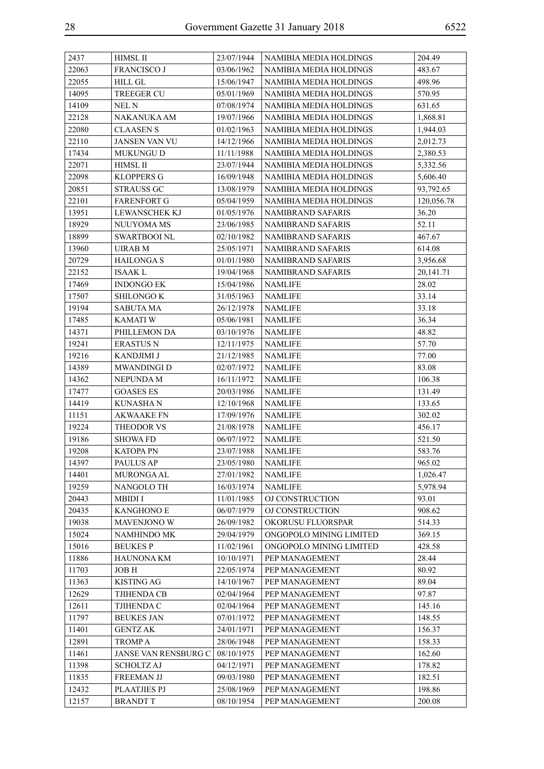| 2437  | <b>HIMSL II</b>      | 23/07/1944 | <b>NAMIBIA MEDIA HOLDINGS</b> | 204.49     |
|-------|----------------------|------------|-------------------------------|------------|
| 22063 | <b>FRANCISCO J</b>   | 03/06/1962 | NAMIBIA MEDIA HOLDINGS        | 483.67     |
| 22055 | <b>HILL GL</b>       | 15/06/1947 | NAMIBIA MEDIA HOLDINGS        | 498.96     |
| 14095 | <b>TREEGER CU</b>    | 05/01/1969 | NAMIBIA MEDIA HOLDINGS        | 570.95     |
| 14109 | NEL N                | 07/08/1974 | <b>NAMIBIA MEDIA HOLDINGS</b> | 631.65     |
| 22128 | NAKANUKA AM          | 19/07/1966 | NAMIBIA MEDIA HOLDINGS        | 1,868.81   |
| 22080 | <b>CLAASEN S</b>     | 01/02/1963 | NAMIBIA MEDIA HOLDINGS        | 1,944.03   |
| 22110 | <b>JANSEN VAN VU</b> | 14/12/1966 | NAMIBIA MEDIA HOLDINGS        | 2,012.73   |
| 17434 | <b>MUKUNGU D</b>     | 11/11/1988 | <b>NAMIBIA MEDIA HOLDINGS</b> | 2,380.53   |
| 22071 | <b>HIMSL II</b>      | 23/07/1944 | NAMIBIA MEDIA HOLDINGS        | 5,332.56   |
| 22098 | <b>KLOPPERS G</b>    | 16/09/1948 | <b>NAMIBIA MEDIA HOLDINGS</b> | 5,606.40   |
| 20851 | <b>STRAUSS GC</b>    | 13/08/1979 | NAMIBIA MEDIA HOLDINGS        | 93,792.65  |
| 22101 | <b>FARENFORT G</b>   | 05/04/1959 | NAMIBIA MEDIA HOLDINGS        | 120,056.78 |
| 13951 | LEWANSCHEK KJ        | 01/05/1976 | <b>NAMIBRAND SAFARIS</b>      | 36.20      |
| 18929 | NUUYOMA MS           | 23/06/1985 | <b>NAMIBRAND SAFARIS</b>      | 52.11      |
| 18899 | <b>SWARTBOOI NL</b>  | 02/10/1982 | NAMIBRAND SAFARIS             | 467.67     |
| 13960 | UIRAB M              | 25/05/1971 | NAMIBRAND SAFARIS             | 614.08     |
| 20729 | <b>HAILONGAS</b>     | 01/01/1980 | NAMIBRAND SAFARIS             | 3,956.68   |
| 22152 | <b>ISAAK L</b>       | 19/04/1968 | NAMIBRAND SAFARIS             | 20,141.71  |
| 17469 | <b>INDONGO EK</b>    | 15/04/1986 | <b>NAMLIFE</b>                | 28.02      |
| 17507 | <b>SHILONGO K</b>    | 31/05/1963 | <b>NAMLIFE</b>                | 33.14      |
| 19194 | <b>SABUTA MA</b>     | 26/12/1978 | <b>NAMLIFE</b>                | 33.18      |
| 17485 | <b>KAMATIW</b>       | 05/06/1981 | <b>NAMLIFE</b>                | 36.34      |
| 14371 | PHILLEMON DA         | 03/10/1976 | <b>NAMLIFE</b>                | 48.82      |
| 19241 | <b>ERASTUS N</b>     | 12/11/1975 | NAMLIFE                       | 57.70      |
| 19216 | KANDJIMI J           | 21/12/1985 | <b>NAMLIFE</b>                | 77.00      |
| 14389 | MWANDINGI D          | 02/07/1972 | <b>NAMLIFE</b>                | 83.08      |
| 14362 | NEPUNDA M            | 16/11/1972 | <b>NAMLIFE</b>                | 106.38     |
| 17477 | <b>GOASES ES</b>     | 20/03/1986 | NAMLIFE                       | 131.49     |
| 14419 | <b>KUNASHA N</b>     | 12/10/1968 | NAMLIFE                       | 133.65     |
| 11151 | <b>AKWAAKE FN</b>    | 17/09/1976 | <b>NAMLIFE</b>                | 302.02     |
| 19224 | THEODOR VS           | 21/08/1978 | <b>NAMLIFE</b>                | 456.17     |
| 19186 | <b>SHOWA FD</b>      | 06/07/1972 | <b>NAMLIFE</b>                | 521.50     |
| 19208 | <b>KATOPA PN</b>     | 23/07/1988 | <b>NAMLIFE</b>                | 583.76     |
| 14397 | PAULUS AP            | 23/05/1980 | <b>NAMLIFE</b>                | 965.02     |
| 14401 | MURONGA AL           | 27/01/1982 | NAMLIFE                       | 1,026.47   |
| 19259 | NANGOLO TH           | 16/03/1974 | <b>NAMLIFE</b>                | 5,978.94   |
| 20443 | <b>MBIDI I</b>       | 11/01/1985 | OJ CONSTRUCTION               | 93.01      |
| 20435 | <b>KANGHONO E</b>    | 06/07/1979 | OJ CONSTRUCTION               | 908.62     |
| 19038 | <b>MAVENJONO W</b>   | 26/09/1982 | OKORUSU FLUORSPAR             | 514.33     |
| 15024 | <b>NAMHINDO MK</b>   | 29/04/1979 | ONGOPOLO MINING LIMITED       | 369.15     |
| 15016 | <b>BEUKESP</b>       | 11/02/1961 | ONGOPOLO MINING LIMITED       | 428.58     |
| 11886 | <b>HAUNONA KM</b>    | 10/10/1971 | PEP MANAGEMENT                | 28.44      |
| 11703 | <b>JOBH</b>          | 22/05/1974 | PEP MANAGEMENT                | 80.92      |
| 11363 | <b>KISTING AG</b>    | 14/10/1967 | PEP MANAGEMENT                | 89.04      |
| 12629 | TJIHENDA CB          | 02/04/1964 | PEP MANAGEMENT                | 97.87      |
| 12611 | TJIHENDA C           | 02/04/1964 | PEP MANAGEMENT                | 145.16     |
| 11797 | <b>BEUKES JAN</b>    | 07/01/1972 | PEP MANAGEMENT                | 148.55     |
| 11401 | <b>GENTZ AK</b>      | 24/01/1971 | PEP MANAGEMENT                | 156.37     |
| 12891 | <b>TROMPA</b>        | 28/06/1948 | PEP MANAGEMENT                | 158.33     |
| 11461 | JANSE VAN RENSBURG C | 08/10/1975 | PEP MANAGEMENT                | 162.60     |
| 11398 | <b>SCHOLTZ AJ</b>    | 04/12/1971 | PEP MANAGEMENT                | 178.82     |
| 11835 | <b>FREEMAN JJ</b>    | 09/03/1980 | PEP MANAGEMENT                | 182.51     |
| 12432 | <b>PLAATJIES PJ</b>  | 25/08/1969 | PEP MANAGEMENT                | 198.86     |
| 12157 | <b>BRANDT T</b>      | 08/10/1954 | PEP MANAGEMENT                | 200.08     |
|       |                      |            |                               |            |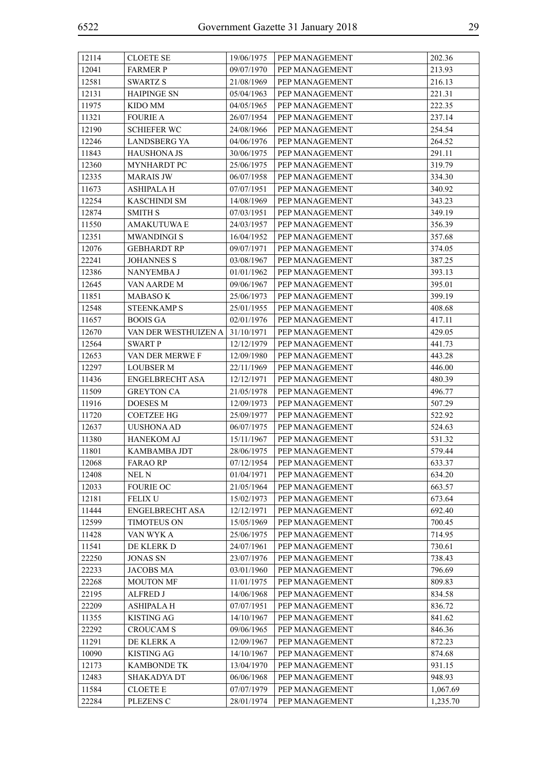| 12114 | <b>CLOETE SE</b>       | 19/06/1975 | PEP MANAGEMENT | 202.36   |
|-------|------------------------|------------|----------------|----------|
| 12041 | <b>FARMER P</b>        | 09/07/1970 | PEP MANAGEMENT | 213.93   |
| 12581 | <b>SWARTZ S</b>        | 21/08/1969 | PEP MANAGEMENT | 216.13   |
| 12131 | <b>HAIPINGE SN</b>     | 05/04/1963 | PEP MANAGEMENT | 221.31   |
| 11975 | KIDO MM                | 04/05/1965 | PEP MANAGEMENT | 222.35   |
| 11321 | <b>FOURIE A</b>        | 26/07/1954 | PEP MANAGEMENT | 237.14   |
| 12190 | <b>SCHIEFER WC</b>     | 24/08/1966 | PEP MANAGEMENT | 254.54   |
| 12246 | <b>LANDSBERG YA</b>    | 04/06/1976 | PEP MANAGEMENT | 264.52   |
| 11843 | <b>HAUSHONA JS</b>     | 30/06/1975 | PEP MANAGEMENT | 291.11   |
| 12360 | MYNHARDT PC            | 25/06/1975 | PEP MANAGEMENT | 319.79   |
| 12335 | <b>MARAIS JW</b>       | 06/07/1958 | PEP MANAGEMENT | 334.30   |
| 11673 | ASHIPALA H             | 07/07/1951 | PEP MANAGEMENT | 340.92   |
| 12254 | <b>KASCHINDI SM</b>    | 14/08/1969 | PEP MANAGEMENT | 343.23   |
| 12874 | <b>SMITH S</b>         | 07/03/1951 | PEP MANAGEMENT | 349.19   |
| 11550 | <b>AMAKUTUWA E</b>     | 24/03/1957 | PEP MANAGEMENT | 356.39   |
| 12351 | <b>MWANDINGI S</b>     | 16/04/1952 | PEP MANAGEMENT | 357.68   |
| 12076 | <b>GEBHARDT RP</b>     | 09/07/1971 | PEP MANAGEMENT | 374.05   |
| 22241 | JOHANNES S             | 03/08/1967 | PEP MANAGEMENT | 387.25   |
| 12386 | NANYEMBA J             | 01/01/1962 | PEP MANAGEMENT | 393.13   |
| 12645 | VAN AARDE M            | 09/06/1967 | PEP MANAGEMENT | 395.01   |
| 11851 | MABASO K               | 25/06/1973 | PEP MANAGEMENT | 399.19   |
| 12548 | <b>STEENKAMP S</b>     | 25/01/1955 | PEP MANAGEMENT | 408.68   |
| 11657 | <b>BOOIS GA</b>        | 02/01/1976 | PEP MANAGEMENT | 417.11   |
| 12670 | VAN DER WESTHUIZEN A   | 31/10/1971 | PEP MANAGEMENT | 429.05   |
| 12564 | <b>SWART P</b>         | 12/12/1979 | PEP MANAGEMENT | 441.73   |
| 12653 | VAN DER MERWE F        | 12/09/1980 | PEP MANAGEMENT | 443.28   |
| 12297 | <b>LOUBSER M</b>       | 22/11/1969 | PEP MANAGEMENT | 446.00   |
| 11436 | ENGELBRECHT ASA        | 12/12/1971 | PEP MANAGEMENT | 480.39   |
| 11509 | <b>GREYTON CA</b>      | 21/05/1978 | PEP MANAGEMENT | 496.77   |
| 11916 | DOESES M               | 12/09/1973 | PEP MANAGEMENT | 507.29   |
| 11720 | <b>COETZEE HG</b>      | 25/09/1977 | PEP MANAGEMENT | 522.92   |
| 12637 | UUSHONA AD             | 06/07/1975 | PEP MANAGEMENT | 524.63   |
| 11380 | <b>HANEKOM AJ</b>      | 15/11/1967 | PEP MANAGEMENT | 531.32   |
| 11801 | <b>KAMBAMBA JDT</b>    | 28/06/1975 | PEP MANAGEMENT | 579.44   |
| 12068 | FARAO RP               | 07/12/1954 | PEP MANAGEMENT | 633.37   |
| 12408 | NEL N                  | 01/04/1971 | PEP MANAGEMENT | 634.20   |
| 12033 | <b>FOURIE OC</b>       | 21/05/1964 | PEP MANAGEMENT | 663.57   |
| 12181 | <b>FELIX U</b>         | 15/02/1973 | PEP MANAGEMENT | 673.64   |
| 11444 | <b>ENGELBRECHT ASA</b> | 12/12/1971 | PEP MANAGEMENT | 692.40   |
| 12599 | <b>TIMOTEUS ON</b>     | 15/05/1969 | PEP MANAGEMENT | 700.45   |
| 11428 | VAN WYK A              | 25/06/1975 | PEP MANAGEMENT | 714.95   |
| 11541 | DE KLERK D             | 24/07/1961 | PEP MANAGEMENT | 730.61   |
| 22250 | <b>JONAS SN</b>        | 23/07/1976 | PEP MANAGEMENT | 738.43   |
| 22233 | <b>JACOBS MA</b>       | 03/01/1960 | PEP MANAGEMENT | 796.69   |
| 22268 | <b>MOUTON MF</b>       | 11/01/1975 | PEP MANAGEMENT | 809.83   |
| 22195 | ALFRED J               | 14/06/1968 | PEP MANAGEMENT | 834.58   |
| 22209 | ASHIPALA H             | 07/07/1951 | PEP MANAGEMENT | 836.72   |
| 11355 | <b>KISTING AG</b>      | 14/10/1967 | PEP MANAGEMENT | 841.62   |
| 22292 | <b>CROUCAM S</b>       | 09/06/1965 | PEP MANAGEMENT | 846.36   |
| 11291 | DE KLERK A             | 12/09/1967 | PEP MANAGEMENT | 872.23   |
| 10090 | <b>KISTING AG</b>      | 14/10/1967 | PEP MANAGEMENT | 874.68   |
| 12173 | <b>KAMBONDE TK</b>     | 13/04/1970 | PEP MANAGEMENT | 931.15   |
| 12483 | SHAKADYA DT            | 06/06/1968 | PEP MANAGEMENT | 948.93   |
| 11584 | <b>CLOETE E</b>        | 07/07/1979 | PEP MANAGEMENT | 1,067.69 |
| 22284 | PLEZENS C              | 28/01/1974 | PEP MANAGEMENT | 1,235.70 |
|       |                        |            |                |          |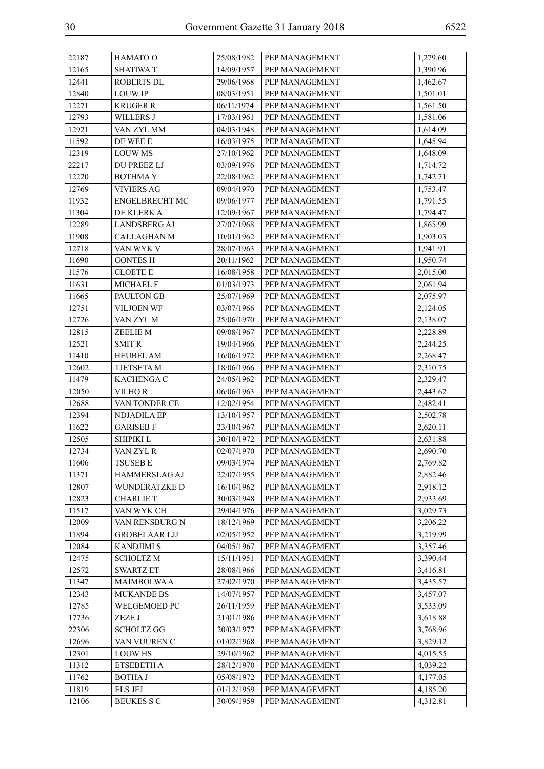| 22187 | HAMATO O              | 25/08/1982 | PEP MANAGEMENT | 1,279.60 |
|-------|-----------------------|------------|----------------|----------|
| 12165 | <b>SHATIWA T</b>      | 14/09/1957 | PEP MANAGEMENT | 1,390.96 |
| 12441 | <b>ROBERTS DL</b>     | 29/06/1968 | PEP MANAGEMENT | 1,462.67 |
| 12840 | <b>LOUW IP</b>        | 08/03/1951 | PEP MANAGEMENT | 1,501.01 |
| 12271 | <b>KRUGER R</b>       | 06/11/1974 | PEP MANAGEMENT | 1,561.50 |
| 12793 | WILLERS J             | 17/03/1961 | PEP MANAGEMENT | 1,581.06 |
| 12921 | VAN ZYL MM            | 04/03/1948 | PEP MANAGEMENT | 1,614.09 |
| 11592 | DE WEE E              | 16/03/1975 | PEP MANAGEMENT | 1,645.94 |
| 12319 | <b>LOUW MS</b>        | 27/10/1962 | PEP MANAGEMENT | 1,648.09 |
| 22217 | <b>DU PREEZ LJ</b>    | 03/09/1976 | PEP MANAGEMENT | 1,714.72 |
| 12220 | <b>BOTHMAY</b>        | 22/08/1962 | PEP MANAGEMENT | 1,742.71 |
| 12769 | <b>VIVIERS AG</b>     | 09/04/1970 | PEP MANAGEMENT | 1,753.47 |
| 11932 | <b>ENGELBRECHT MC</b> | 09/06/1977 | PEP MANAGEMENT | 1,791.55 |
| 11304 | DE KLERK A            | 12/09/1967 | PEP MANAGEMENT | 1,794.47 |
| 12289 | <b>LANDSBERG AJ</b>   | 27/07/1968 | PEP MANAGEMENT | 1,865.99 |
| 11908 | <b>CALLAGHAN M</b>    | 10/01/1962 | PEP MANAGEMENT | 1,903.03 |
| 12718 | VAN WYK V             | 28/07/1963 | PEP MANAGEMENT | 1,941.91 |
| 11690 | <b>GONTES H</b>       | 20/11/1962 | PEP MANAGEMENT | 1,950.74 |
| 11576 | <b>CLOETE E</b>       | 16/08/1958 | PEP MANAGEMENT | 2,015.00 |
| 11631 | MICHAEL F             | 01/03/1973 | PEP MANAGEMENT | 2,061.94 |
| 11665 | PAULTON GB            | 25/07/1969 | PEP MANAGEMENT | 2,075.97 |
| 12751 | <b>VILJOEN WF</b>     | 03/07/1966 | PEP MANAGEMENT | 2,124.05 |
| 12726 | VAN ZYL M             | 25/06/1970 | PEP MANAGEMENT | 2,138.07 |
| 12815 | ZEELIE M              | 09/08/1967 | PEP MANAGEMENT | 2,228.89 |
| 12521 | <b>SMIT R</b>         | 19/04/1966 | PEP MANAGEMENT | 2,244.25 |
| 11410 | <b>HEUBEL AM</b>      | 16/06/1972 | PEP MANAGEMENT | 2,268.47 |
| 12602 | TJETSETA M            | 18/06/1966 | PEP MANAGEMENT | 2,310.75 |
| 11479 | <b>KACHENGA C</b>     | 24/05/1962 | PEP MANAGEMENT | 2,329.47 |
| 12050 | VILHO R               | 06/06/1963 | PEP MANAGEMENT | 2,443.62 |
| 12688 | VAN TONDER CE         | 12/02/1954 | PEP MANAGEMENT | 2,482.41 |
| 12394 | <b>NDJADILA EP</b>    | 13/10/1957 | PEP MANAGEMENT | 2,502.78 |
| 11622 | <b>GARISEB F</b>      | 23/10/1967 | PEP MANAGEMENT | 2,620.11 |
| 12505 | <b>SHIPIKI L</b>      | 30/10/1972 | PEP MANAGEMENT | 2,631.88 |
| 12734 | VAN ZYL R             | 02/07/1970 | PEP MANAGEMENT | 2,690.70 |
| 11606 | TSUSEB E              | 09/03/1974 | PEP MANAGEMENT | 2,769.82 |
| 11371 | HAMMERSLAG AJ         | 22/07/1955 | PEP MANAGEMENT | 2,882.46 |
| 12807 | WUNDERATZKE D         | 16/10/1962 | PEP MANAGEMENT | 2,918.12 |
| 12823 | <b>CHARLIE T</b>      | 30/03/1948 | PEP MANAGEMENT | 2,933.69 |
| 11517 | VAN WYK CH            | 29/04/1976 | PEP MANAGEMENT | 3,029.73 |
| 12009 | VAN RENSBURG N        | 18/12/1969 | PEP MANAGEMENT | 3,206.22 |
| 11894 | <b>GROBELAAR LJJ</b>  | 02/05/1952 | PEP MANAGEMENT | 3,219.99 |
| 12084 | <b>KANDJIMI S</b>     | 04/05/1967 | PEP MANAGEMENT | 3,357.46 |
| 12475 | <b>SCHOLTZ M</b>      | 15/11/1951 | PEP MANAGEMENT | 3,390.44 |
| 12572 | <b>SWARTZ ET</b>      | 28/08/1966 | PEP MANAGEMENT | 3,416.81 |
| 11347 | <b>MAIMBOLWA A</b>    | 27/02/1970 | PEP MANAGEMENT | 3,435.57 |
| 12343 | <b>MUKANDE BS</b>     | 14/07/1957 | PEP MANAGEMENT | 3,457.07 |
| 12785 | WELGEMOED PC          | 26/11/1959 | PEP MANAGEMENT | 3,533.09 |
| 17736 | ZEZE J                | 21/01/1986 | PEP MANAGEMENT | 3,618.88 |
| 22306 | <b>SCHOLTZ GG</b>     | 20/03/1977 | PEP MANAGEMENT | 3,768.96 |
| 12696 | VAN VUUREN C          | 01/02/1968 | PEP MANAGEMENT | 3,829.12 |
| 12301 | <b>LOUW HS</b>        | 29/10/1962 | PEP MANAGEMENT | 4,015.55 |
| 11312 | ETSEBETH A            | 28/12/1970 | PEP MANAGEMENT | 4,039.22 |
| 11762 | <b>BOTHA J</b>        | 05/08/1972 | PEP MANAGEMENT | 4,177.05 |
| 11819 | <b>ELS JEJ</b>        | 01/12/1959 | PEP MANAGEMENT | 4,185.20 |
| 12106 | <b>BEUKES S C</b>     | 30/09/1959 | PEP MANAGEMENT | 4,312.81 |
|       |                       |            |                |          |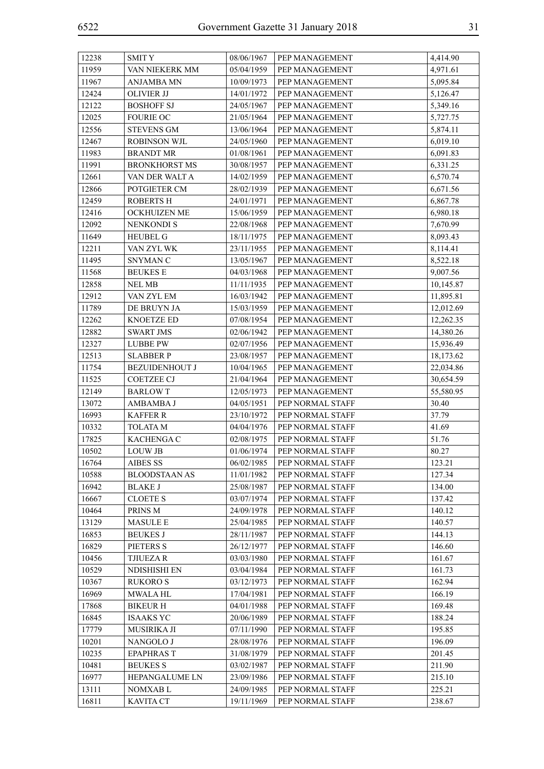| 12238 | <b>SMITY</b>          | 08/06/1967 | PEP MANAGEMENT   | 4,414.90  |
|-------|-----------------------|------------|------------------|-----------|
| 11959 | VAN NIEKERK MM        | 05/04/1959 | PEP MANAGEMENT   | 4,971.61  |
| 11967 | <b>ANJAMBA MN</b>     | 10/09/1973 | PEP MANAGEMENT   | 5,095.84  |
| 12424 | <b>OLIVIER JJ</b>     | 14/01/1972 | PEP MANAGEMENT   | 5,126.47  |
| 12122 | <b>BOSHOFF SJ</b>     | 24/05/1967 | PEP MANAGEMENT   | 5,349.16  |
| 12025 | <b>FOURIE OC</b>      | 21/05/1964 | PEP MANAGEMENT   | 5,727.75  |
| 12556 | <b>STEVENS GM</b>     | 13/06/1964 | PEP MANAGEMENT   | 5,874.11  |
| 12467 | <b>ROBINSON WJL</b>   | 24/05/1960 | PEP MANAGEMENT   | 6,019.10  |
| 11983 | <b>BRANDT MR</b>      | 01/08/1961 | PEP MANAGEMENT   | 6,091.83  |
| 11991 | <b>BRONKHORST MS</b>  | 30/08/1957 | PEP MANAGEMENT   | 6,331.25  |
| 12661 | VAN DER WALT A        | 14/02/1959 | PEP MANAGEMENT   | 6,570.74  |
| 12866 | POTGIETER CM          | 28/02/1939 | PEP MANAGEMENT   | 6,671.56  |
| 12459 | <b>ROBERTS H</b>      | 24/01/1971 | PEP MANAGEMENT   | 6,867.78  |
| 12416 | OCKHUIZEN ME          | 15/06/1959 | PEP MANAGEMENT   | 6,980.18  |
| 12092 | <b>NENKONDI S</b>     | 22/08/1968 | PEP MANAGEMENT   | 7,670.99  |
| 11649 | <b>HEUBEL G</b>       | 18/11/1975 | PEP MANAGEMENT   | 8,093.43  |
| 12211 | VAN ZYL WK            | 23/11/1955 | PEP MANAGEMENT   | 8,114.41  |
| 11495 | SNYMAN C              | 13/05/1967 | PEP MANAGEMENT   | 8,522.18  |
| 11568 | <b>BEUKES E</b>       | 04/03/1968 | PEP MANAGEMENT   | 9,007.56  |
| 12858 | <b>NEL MB</b>         | 11/11/1935 | PEP MANAGEMENT   | 10,145.87 |
| 12912 | VAN ZYL EM            | 16/03/1942 | PEP MANAGEMENT   | 11,895.81 |
| 11789 | DE BRUYN JA           | 15/03/1959 | PEP MANAGEMENT   | 12,012.69 |
| 12262 | <b>KNOETZE ED</b>     | 07/08/1954 | PEP MANAGEMENT   | 12,262.35 |
| 12882 | <b>SWART JMS</b>      | 02/06/1942 | PEP MANAGEMENT   | 14,380.26 |
| 12327 | <b>LUBBE PW</b>       | 02/07/1956 | PEP MANAGEMENT   | 15,936.49 |
| 12513 | <b>SLABBER P</b>      | 23/08/1957 | PEP MANAGEMENT   | 18,173.62 |
| 11754 | <b>BEZUIDENHOUT J</b> | 10/04/1965 | PEP MANAGEMENT   | 22,034.86 |
| 11525 | <b>COETZEE CJ</b>     | 21/04/1964 | PEP MANAGEMENT   | 30,654.59 |
| 12149 | <b>BARLOWT</b>        | 12/05/1973 | PEP MANAGEMENT   | 55,580.95 |
| 13072 | AMBAMBA J             | 04/05/1951 | PEP NORMAL STAFF | 30.40     |
| 16993 | <b>KAFFER R</b>       | 23/10/1972 | PEP NORMAL STAFF | 37.79     |
| 10332 | <b>TOLATA M</b>       | 04/04/1976 | PEP NORMAL STAFF | 41.69     |
| 17825 | <b>KACHENGA C</b>     | 02/08/1975 | PEP NORMAL STAFF | 51.76     |
| 10502 | <b>LOUW JB</b>        | 01/06/1974 | PEP NORMAL STAFF | 80.27     |
| 16764 | AIBES SS              | 06/02/1985 | PEP NORMAL STAFF | 123.21    |
| 10588 | <b>BLOODSTAAN AS</b>  | 11/01/1982 | PEP NORMAL STAFF | 127.34    |
| 16942 | <b>BLAKE J</b>        | 25/08/1987 | PEP NORMAL STAFF | 134.00    |
| 16667 | <b>CLOETE S</b>       | 03/07/1974 | PEP NORMAL STAFF | 137.42    |
| 10464 | PRINS <sub>M</sub>    | 24/09/1978 | PEP NORMAL STAFF | 140.12    |
| 13129 | <b>MASULE E</b>       | 25/04/1985 | PEP NORMAL STAFF | 140.57    |
| 16853 | <b>BEUKES J</b>       | 28/11/1987 | PEP NORMAL STAFF | 144.13    |
| 16829 | PIETERS S             | 26/12/1977 | PEP NORMAL STAFF | 146.60    |
| 10456 | <b>TJIUEZAR</b>       | 03/03/1980 | PEP NORMAL STAFF | 161.67    |
| 10529 | NDISHISHI EN          | 03/04/1984 | PEP NORMAL STAFF | 161.73    |
| 10367 | <b>RUKORO S</b>       | 03/12/1973 | PEP NORMAL STAFF | 162.94    |
| 16969 | <b>MWALA HL</b>       | 17/04/1981 | PEP NORMAL STAFF | 166.19    |
| 17868 | <b>BIKEUR H</b>       | 04/01/1988 | PEP NORMAL STAFF | 169.48    |
| 16845 | <b>ISAAKS YC</b>      | 20/06/1989 | PEP NORMAL STAFF | 188.24    |
| 17779 | <b>MUSIRIKA JI</b>    | 07/11/1990 | PEP NORMAL STAFF | 195.85    |
| 10201 | NANGOLO J             | 28/08/1976 | PEP NORMAL STAFF | 196.09    |
| 10235 | <b>EPAPHRAST</b>      | 31/08/1979 | PEP NORMAL STAFF | 201.45    |
| 10481 | <b>BEUKES S</b>       | 03/02/1987 | PEP NORMAL STAFF | 211.90    |
| 16977 | HEPANGALUME LN        | 23/09/1986 | PEP NORMAL STAFF | 215.10    |
| 13111 | NOMXAB L              | 24/09/1985 | PEP NORMAL STAFF | 225.21    |
| 16811 | <b>KAVITA CT</b>      | 19/11/1969 | PEP NORMAL STAFF | 238.67    |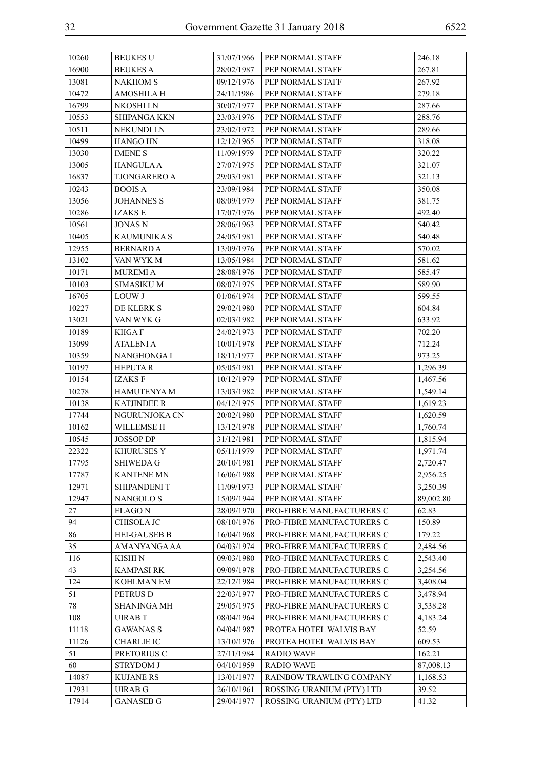| 10260 | <b>BEUKES U</b>     | 31/07/1966 | PEP NORMAL STAFF          | 246.18    |
|-------|---------------------|------------|---------------------------|-----------|
| 16900 | <b>BEUKES A</b>     | 28/02/1987 | PEP NORMAL STAFF          | 267.81    |
| 13081 | <b>NAKHOM S</b>     | 09/12/1976 | PEP NORMAL STAFF          | 267.92    |
| 10472 | AMOSHILA H          | 24/11/1986 | PEP NORMAL STAFF          | 279.18    |
| 16799 | NKOSHI LN           | 30/07/1977 | PEP NORMAL STAFF          | 287.66    |
| 10553 | SHIPANGA KKN        | 23/03/1976 | PEP NORMAL STAFF          | 288.76    |
| 10511 | NEKUNDI LN          | 23/02/1972 | PEP NORMAL STAFF          | 289.66    |
| 10499 | HANGO HN            | 12/12/1965 | PEP NORMAL STAFF          | 318.08    |
| 13030 | <b>IMENE S</b>      | 11/09/1979 | PEP NORMAL STAFF          | 320.22    |
| 13005 | <b>HANGULA A</b>    | 27/07/1975 | PEP NORMAL STAFF          | 321.07    |
| 16837 | <b>TJONGARERO A</b> | 29/03/1981 | PEP NORMAL STAFF          | 321.13    |
| 10243 | <b>BOOIS A</b>      | 23/09/1984 | PEP NORMAL STAFF          | 350.08    |
| 13056 | <b>JOHANNES S</b>   | 08/09/1979 | PEP NORMAL STAFF          | 381.75    |
| 10286 | <b>IZAKS E</b>      | 17/07/1976 | PEP NORMAL STAFF          | 492.40    |
| 10561 | <b>JONAS N</b>      | 28/06/1963 | PEP NORMAL STAFF          | 540.42    |
| 10405 | <b>KAUMUNIKA S</b>  | 24/05/1981 | PEP NORMAL STAFF          | 540.48    |
| 12955 | <b>BERNARD A</b>    | 13/09/1976 | PEP NORMAL STAFF          | 570.02    |
| 13102 | VAN WYK M           | 13/05/1984 | PEP NORMAL STAFF          | 581.62    |
| 10171 | <b>MUREMIA</b>      | 28/08/1976 | PEP NORMAL STAFF          | 585.47    |
| 10103 | <b>SIMASIKU M</b>   | 08/07/1975 | PEP NORMAL STAFF          | 589.90    |
| 16705 | LOUW J              | 01/06/1974 | PEP NORMAL STAFF          | 599.55    |
| 10227 | DE KLERK S          | 29/02/1980 | PEP NORMAL STAFF          | 604.84    |
| 13021 | VAN WYK G           | 02/03/1982 | PEP NORMAL STAFF          | 633.92    |
| 10189 | <b>KIIGAF</b>       | 24/02/1973 | PEP NORMAL STAFF          | 702.20    |
| 13099 | <b>ATALENI A</b>    | 10/01/1978 | PEP NORMAL STAFF          | 712.24    |
| 10359 | NANGHONGA I         | 18/11/1977 | PEP NORMAL STAFF          | 973.25    |
| 10197 | <b>HEPUTAR</b>      | 05/05/1981 | PEP NORMAL STAFF          | 1,296.39  |
| 10154 | <b>IZAKSF</b>       | 10/12/1979 | PEP NORMAL STAFF          | 1,467.56  |
| 10278 | <b>HAMUTENYA M</b>  | 13/03/1982 | PEP NORMAL STAFF          | 1,549.14  |
| 10138 | <b>KATJINDEE R</b>  | 04/12/1975 | PEP NORMAL STAFF          | 1,619.23  |
| 17744 | NGURUNJOKA CN       | 20/02/1980 | PEP NORMAL STAFF          | 1,620.59  |
| 10162 | WILLEMSE H          | 13/12/1978 | PEP NORMAL STAFF          | 1,760.74  |
| 10545 | <b>JOSSOP DP</b>    | 31/12/1981 | PEP NORMAL STAFF          | 1,815.94  |
| 22322 | <b>KHURUSES Y</b>   | 05/11/1979 | PEP NORMAL STAFF          | 1,971.74  |
| 17795 | <b>SHIWEDA G</b>    | 20/10/1981 | PEP NORMAL STAFF          | 2,720.47  |
| 17787 | <b>KANTENE MN</b>   | 16/06/1988 | PEP NORMAL STAFF          | 2,956.25  |
| 12971 | SHIPANDENI T        | 11/09/1973 | PEP NORMAL STAFF          | 3,250.39  |
| 12947 | NANGOLO S           | 15/09/1944 | PEP NORMAL STAFF          | 89,002.80 |
| 27    | <b>ELAGON</b>       | 28/09/1970 | PRO-FIBRE MANUFACTURERS C | 62.83     |
| 94    | CHISOLA JC          | 08/10/1976 | PRO-FIBRE MANUFACTURERS C | 150.89    |
| 86    | <b>HEI-GAUSEB B</b> | 16/04/1968 | PRO-FIBRE MANUFACTURERS C | 179.22    |
| 35    | AMANYANGA AA        | 04/03/1974 | PRO-FIBRE MANUFACTURERS C | 2,484.56  |
| 116   | KISHI N             | 09/03/1980 | PRO-FIBRE MANUFACTURERS C | 2,543.40  |
| 43    | <b>KAMPASI RK</b>   | 09/09/1978 | PRO-FIBRE MANUFACTURERS C | 3,254.56  |
| 124   | KOHLMAN EM          | 22/12/1984 | PRO-FIBRE MANUFACTURERS C | 3,408.04  |
| 51    | PETRUS D            | 22/03/1977 | PRO-FIBRE MANUFACTURERS C | 3,478.94  |
| 78    | <b>SHANINGA MH</b>  | 29/05/1975 | PRO-FIBRE MANUFACTURERS C | 3,538.28  |
| 108   | <b>UIRABT</b>       | 08/04/1964 | PRO-FIBRE MANUFACTURERS C | 4,183.24  |
| 11118 | <b>GAWANAS S</b>    | 04/04/1987 | PROTEA HOTEL WALVIS BAY   | 52.59     |
| 11126 | <b>CHARLIE IC</b>   | 13/10/1976 | PROTEA HOTEL WALVIS BAY   | 609.53    |
| 51    | PRETORIUS C         | 27/11/1984 | <b>RADIO WAVE</b>         | 162.21    |
| 60    | <b>STRYDOM J</b>    | 04/10/1959 | <b>RADIO WAVE</b>         | 87,008.13 |
| 14087 | <b>KUJANE RS</b>    | 13/01/1977 | RAINBOW TRAWLING COMPANY  | 1,168.53  |
| 17931 | <b>UIRAB G</b>      | 26/10/1961 | ROSSING URANIUM (PTY) LTD | 39.52     |
| 17914 | <b>GANASEB G</b>    | 29/04/1977 | ROSSING URANIUM (PTY) LTD | 41.32     |
|       |                     |            |                           |           |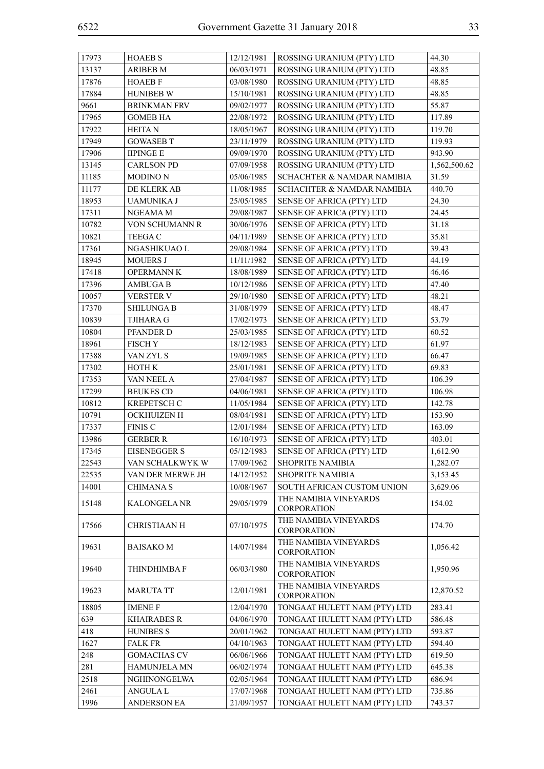| 17973 | <b>HOAEB S</b>      | 12/12/1981 | ROSSING URANIUM (PTY) LTD                   | 44.30        |
|-------|---------------------|------------|---------------------------------------------|--------------|
| 13137 | <b>ARIBEB M</b>     | 06/03/1971 | ROSSING URANIUM (PTY) LTD                   | 48.85        |
| 17876 | <b>HOAEB F</b>      | 03/08/1980 | ROSSING URANIUM (PTY) LTD                   | 48.85        |
| 17884 | <b>HUNIBEB W</b>    | 15/10/1981 | ROSSING URANIUM (PTY) LTD                   | 48.85        |
| 9661  | <b>BRINKMAN FRV</b> | 09/02/1977 | ROSSING URANIUM (PTY) LTD                   | 55.87        |
| 17965 | <b>GOMEB HA</b>     | 22/08/1972 | ROSSING URANIUM (PTY) LTD                   | 117.89       |
| 17922 | <b>HEITAN</b>       | 18/05/1967 | ROSSING URANIUM (PTY) LTD                   | 119.70       |
| 17949 | <b>GOWASEB T</b>    | 23/11/1979 | ROSSING URANIUM (PTY) LTD                   | 119.93       |
| 17906 | <b>IIPINGE E</b>    | 09/09/1970 | ROSSING URANIUM (PTY) LTD                   | 943.90       |
| 13145 | <b>CARLSON PD</b>   | 07/09/1958 | ROSSING URANIUM (PTY) LTD                   | 1,562,500.62 |
| 11185 | <b>MODINO N</b>     | 05/06/1985 | <b>SCHACHTER &amp; NAMDAR NAMIBIA</b>       | 31.59        |
| 11177 | DE KLERK AB         | 11/08/1985 | SCHACHTER & NAMDAR NAMIBIA                  | 440.70       |
| 18953 | UAMUNIKA J          | 25/05/1985 | SENSE OF AFRICA (PTY) LTD                   | 24.30        |
| 17311 | NGEAMA M            | 29/08/1987 | SENSE OF AFRICA (PTY) LTD                   | 24.45        |
| 10782 | VON SCHUMANN R      | 30/06/1976 | SENSE OF AFRICA (PTY) LTD                   | 31.18        |
| 10821 | <b>TEEGA C</b>      | 04/11/1989 | SENSE OF AFRICA (PTY) LTD                   | 35.81        |
| 17361 | NGASHIKUAO L        | 29/08/1984 | SENSE OF AFRICA (PTY) LTD                   | 39.43        |
| 18945 | <b>MOUERS J</b>     | 11/11/1982 | <b>SENSE OF AFRICA (PTY) LTD</b>            | 44.19        |
| 17418 | <b>OPERMANN K</b>   | 18/08/1989 | <b>SENSE OF AFRICA (PTY) LTD</b>            | 46.46        |
| 17396 | <b>AMBUGA B</b>     | 10/12/1986 | SENSE OF AFRICA (PTY) LTD                   | 47.40        |
| 10057 | <b>VERSTER V</b>    | 29/10/1980 | SENSE OF AFRICA (PTY) LTD                   | 48.21        |
| 17370 | <b>SHILUNGA B</b>   | 31/08/1979 | SENSE OF AFRICA (PTY) LTD                   | 48.47        |
| 10839 | <b>TJIHARA G</b>    | 17/02/1973 | SENSE OF AFRICA (PTY) LTD                   | 53.79        |
| 10804 | PFANDER D           | 25/03/1985 | <b>SENSE OF AFRICA (PTY) LTD</b>            | 60.52        |
| 18961 | <b>FISCHY</b>       | 18/12/1983 | SENSE OF AFRICA (PTY) LTD                   | 61.97        |
| 17388 | VAN ZYL S           | 19/09/1985 | SENSE OF AFRICA (PTY) LTD                   | 66.47        |
| 17302 | <b>HOTH K</b>       | 25/01/1981 | SENSE OF AFRICA (PTY) LTD                   | 69.83        |
| 17353 | VAN NEEL A          | 27/04/1987 | SENSE OF AFRICA (PTY) LTD                   | 106.39       |
| 17299 | <b>BEUKES CD</b>    | 04/06/1981 | SENSE OF AFRICA (PTY) LTD                   | 106.98       |
| 10812 | <b>KREPETSCH C</b>  | 11/05/1984 | SENSE OF AFRICA (PTY) LTD                   | 142.78       |
| 10791 | <b>OCKHUIZEN H</b>  | 08/04/1981 | SENSE OF AFRICA (PTY) LTD                   | 153.90       |
| 17337 | <b>FINIS C</b>      | 12/01/1984 | SENSE OF AFRICA (PTY) LTD                   | 163.09       |
| 13986 | <b>GERBER R</b>     | 16/10/1973 | SENSE OF AFRICA (PTY) LTD                   | 403.01       |
| 17345 | <b>EISENEGGER S</b> | 05/12/1983 | <b>SENSE OF AFRICA (PTY) LTD</b>            | 1,612.90     |
| 22543 | VAN SCHALKWYK W     | 17/09/1962 | <b>SHOPRITE NAMIBIA</b>                     | 1,282.07     |
| 22535 | VAN DER MERWE JH    | 14/12/1952 | <b>SHOPRITE NAMIBIA</b>                     | 3,153.45     |
| 14001 | <b>CHIMANAS</b>     | 10/08/1967 | SOUTH AFRICAN CUSTOM UNION                  | 3,629.06     |
| 15148 | KALONGELA NR        | 29/05/1979 | THE NAMIBIA VINEYARDS<br><b>CORPORATION</b> | 154.02       |
| 17566 | <b>CHRISTIAAN H</b> | 07/10/1975 | THE NAMIBIA VINEYARDS<br><b>CORPORATION</b> | 174.70       |
| 19631 | <b>BAISAKO M</b>    | 14/07/1984 | THE NAMIBIA VINEYARDS<br><b>CORPORATION</b> | 1,056.42     |
| 19640 | THINDHIMBA F        | 06/03/1980 | THE NAMIBIA VINEYARDS<br><b>CORPORATION</b> | 1,950.96     |
| 19623 | MARUTA TT           | 12/01/1981 | THE NAMIBIA VINEYARDS<br>CORPORATION        | 12,870.52    |
| 18805 | <b>IMENE F</b>      | 12/04/1970 | TONGAAT HULETT NAM (PTY) LTD                | 283.41       |
| 639   | <b>KHAIRABES R</b>  | 04/06/1970 | TONGAAT HULETT NAM (PTY) LTD                | 586.48       |
| 418   | <b>HUNIBES S</b>    | 20/01/1962 | TONGAAT HULETT NAM (PTY) LTD                | 593.87       |
| 1627  | <b>FALK FR</b>      | 04/10/1963 | TONGAAT HULETT NAM (PTY) LTD                | 594.40       |
| 248   | <b>GOMACHAS CV</b>  | 06/06/1966 | TONGAAT HULETT NAM (PTY) LTD                | 619.50       |
| 281   | HAMUNJELA MN        | 06/02/1974 | TONGAAT HULETT NAM (PTY) LTD                | 645.38       |
| 2518  | NGHINONGELWA        | 02/05/1964 | TONGAAT HULETT NAM (PTY) LTD                | 686.94       |
| 2461  | ANGULA L            | 17/07/1968 | TONGAAT HULETT NAM (PTY) LTD                | 735.86       |
| 1996  | <b>ANDERSON EA</b>  | 21/09/1957 | TONGAAT HULETT NAM (PTY) LTD                | 743.37       |
|       |                     |            |                                             |              |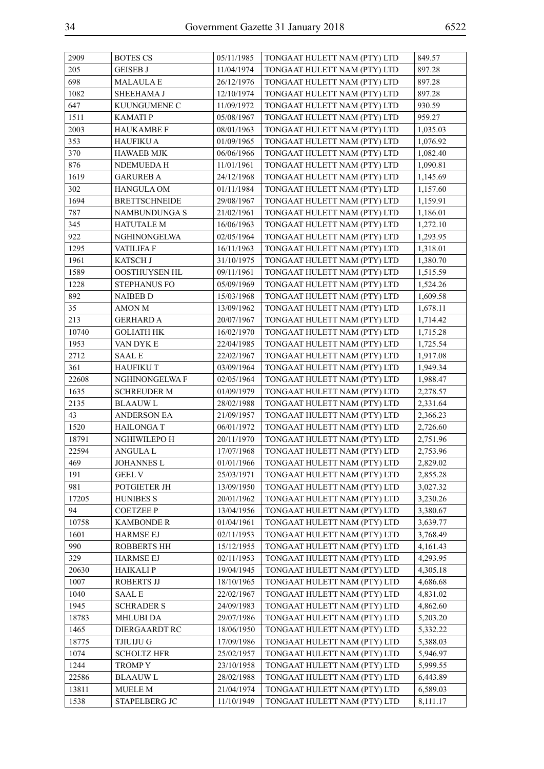| 2909  | <b>BOTES CS</b>                   | 05/11/1985 | TONGAAT HULETT NAM (PTY) LTD | 849.57   |
|-------|-----------------------------------|------------|------------------------------|----------|
| 205   | <b>GEISEB J</b>                   | 11/04/1974 | TONGAAT HULETT NAM (PTY) LTD | 897.28   |
| 698   | <b>MALAULAE</b>                   | 26/12/1976 | TONGAAT HULETT NAM (PTY) LTD | 897.28   |
| 1082  | SHEEHAMA J                        | 12/10/1974 | TONGAAT HULETT NAM (PTY) LTD | 897.28   |
| 647   | KUUNGUMENE C                      | 11/09/1972 | TONGAAT HULETT NAM (PTY) LTD | 930.59   |
| 1511  | <b>KAMATIP</b>                    | 05/08/1967 | TONGAAT HULETT NAM (PTY) LTD | 959.27   |
| 2003  | <b>HAUKAMBE F</b>                 | 08/01/1963 | TONGAAT HULETT NAM (PTY) LTD | 1,035.03 |
| 353   | <b>HAUFIKU A</b>                  | 01/09/1965 | TONGAAT HULETT NAM (PTY) LTD | 1,076.92 |
| 370   | <b>HAWAEB MJK</b>                 | 06/06/1966 | TONGAAT HULETT NAM (PTY) LTD | 1,082.40 |
| 876   | NDEMUEDA H                        | 11/01/1961 | TONGAAT HULETT NAM (PTY) LTD | 1,090.81 |
| 1619  | <b>GARUREB A</b>                  | 24/12/1968 | TONGAAT HULETT NAM (PTY) LTD | 1,145.69 |
| 302   | HANGULA OM                        | 01/11/1984 | TONGAAT HULETT NAM (PTY) LTD | 1,157.60 |
| 1694  | <b>BRETTSCHNEIDE</b>              | 29/08/1967 | TONGAAT HULETT NAM (PTY) LTD | 1,159.91 |
| 787   | NAMBUNDUNGA S                     | 21/02/1961 | TONGAAT HULETT NAM (PTY) LTD | 1,186.01 |
| 345   | <b>HATUTALE M</b>                 | 16/06/1963 | TONGAAT HULETT NAM (PTY) LTD | 1,272.10 |
| 922   | NGHINONGELWA                      | 02/05/1964 | TONGAAT HULETT NAM (PTY) LTD | 1,293.95 |
| 1295  | <b>VATILIFA F</b>                 | 16/11/1963 | TONGAAT HULETT NAM (PTY) LTD | 1,318.01 |
| 1961  | KATSCH J                          | 31/10/1975 | TONGAAT HULETT NAM (PTY) LTD | 1,380.70 |
| 1589  | OOSTHUYSEN HL                     | 09/11/1961 | TONGAAT HULETT NAM (PTY) LTD | 1,515.59 |
| 1228  | <b>STEPHANUS FO</b>               | 05/09/1969 | TONGAAT HULETT NAM (PTY) LTD | 1,524.26 |
| 892   | <b>NAIBEB D</b>                   | 15/03/1968 | TONGAAT HULETT NAM (PTY) LTD | 1,609.58 |
| 35    | AMON M                            | 13/09/1962 | TONGAAT HULETT NAM (PTY) LTD | 1,678.11 |
| 213   | <b>GERHARD A</b>                  | 20/07/1967 | TONGAAT HULETT NAM (PTY) LTD | 1,714.42 |
| 10740 | <b>GOLIATH HK</b>                 | 16/02/1970 | TONGAAT HULETT NAM (PTY) LTD | 1,715.28 |
| 1953  | VAN DYK E                         | 22/04/1985 | TONGAAT HULETT NAM (PTY) LTD | 1,725.54 |
| 2712  | <b>SAALE</b>                      | 22/02/1967 | TONGAAT HULETT NAM (PTY) LTD | 1,917.08 |
| 361   | <b>HAUFIKUT</b>                   | 03/09/1964 | TONGAAT HULETT NAM (PTY) LTD | 1,949.34 |
| 22608 | NGHINONGELWA F                    | 02/05/1964 | TONGAAT HULETT NAM (PTY) LTD | 1,988.47 |
| 1635  | <b>SCHREUDER M</b>                | 01/09/1979 | TONGAAT HULETT NAM (PTY) LTD | 2,278.57 |
| 2135  | <b>BLAAUWL</b>                    | 28/02/1988 | TONGAAT HULETT NAM (PTY) LTD | 2,331.64 |
| 43    | <b>ANDERSON EA</b>                | 21/09/1957 | TONGAAT HULETT NAM (PTY) LTD | 2,366.23 |
| 1520  | <b>HAILONGAT</b>                  | 06/01/1972 | TONGAAT HULETT NAM (PTY) LTD | 2,726.60 |
| 18791 | NGHIWILEPO H                      | 20/11/1970 | TONGAAT HULETT NAM (PTY) LTD | 2,751.96 |
| 22594 | ANGULA L                          | 17/07/1968 | TONGAAT HULETT NAM (PTY) LTD | 2,753.96 |
| 469   | JOHANNES L                        | 01/01/1966 | TONGAAT HULETT NAM (PTY) LTD | 2,829.02 |
| 191   | <b>GEEL V</b>                     | 25/03/1971 | TONGAAT HULETT NAM (PTY) LTD | 2,855.28 |
| 981   | POTGIETER JH                      | 13/09/1950 | TONGAAT HULETT NAM (PTY) LTD | 3,027.32 |
| 17205 | <b>HUNIBES S</b>                  | 20/01/1962 | TONGAAT HULETT NAM (PTY) LTD | 3,230.26 |
| 94    | <b>COETZEE P</b>                  | 13/04/1956 | TONGAAT HULETT NAM (PTY) LTD | 3,380.67 |
| 10758 | <b>KAMBONDE R</b>                 | 01/04/1961 | TONGAAT HULETT NAM (PTY) LTD | 3,639.77 |
| 1601  | <b>HARMSE EJ</b>                  | 02/11/1953 | TONGAAT HULETT NAM (PTY) LTD | 3,768.49 |
| 990   | <b>ROBBERTS HH</b>                | 15/12/1955 | TONGAAT HULETT NAM (PTY) LTD | 4,161.43 |
| 329   | <b>HARMSE EJ</b>                  | 02/11/1953 | TONGAAT HULETT NAM (PTY) LTD | 4,293.95 |
| 20630 | <b>HAIKALIP</b>                   | 19/04/1945 | TONGAAT HULETT NAM (PTY) LTD | 4,305.18 |
| 1007  | <b>ROBERTS JJ</b>                 | 18/10/1965 | TONGAAT HULETT NAM (PTY) LTD | 4,686.68 |
| 1040  | <b>SAAL E</b>                     | 22/02/1967 | TONGAAT HULETT NAM (PTY) LTD | 4,831.02 |
| 1945  | <b>SCHRADER S</b>                 | 24/09/1983 | TONGAAT HULETT NAM (PTY) LTD | 4,862.60 |
| 18783 | <b>MHLUBI DA</b>                  | 29/07/1986 | TONGAAT HULETT NAM (PTY) LTD |          |
|       |                                   |            | TONGAAT HULETT NAM (PTY) LTD | 5,203.20 |
| 1465  | DIERGAARDT RC<br><b>TJIUIJU G</b> | 18/06/1950 |                              | 5,332.22 |
| 18775 |                                   | 17/09/1986 | TONGAAT HULETT NAM (PTY) LTD | 5,388.03 |
| 1074  | <b>SCHOLTZ HFR</b>                | 25/02/1957 | TONGAAT HULETT NAM (PTY) LTD | 5,946.97 |
| 1244  | <b>TROMPY</b>                     | 23/10/1958 | TONGAAT HULETT NAM (PTY) LTD | 5,999.55 |
| 22586 | <b>BLAAUWL</b>                    | 28/02/1988 | TONGAAT HULETT NAM (PTY) LTD | 6,443.89 |
| 13811 | MUELE M                           | 21/04/1974 | TONGAAT HULETT NAM (PTY) LTD | 6,589.03 |
| 1538  | STAPELBERG JC                     | 11/10/1949 | TONGAAT HULETT NAM (PTY) LTD | 8,111.17 |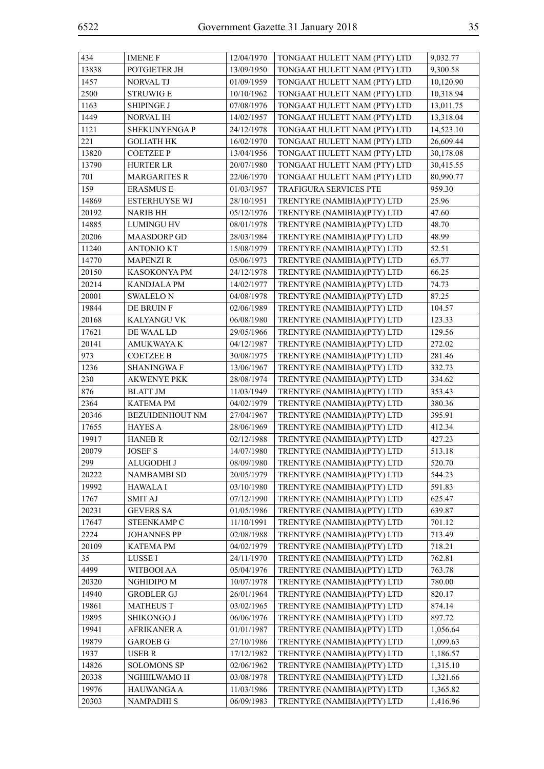| 434   | <b>IMENE F</b>         | 12/04/1970 | TONGAAT HULETT NAM (PTY) LTD | 9,032.77  |
|-------|------------------------|------------|------------------------------|-----------|
| 13838 | POTGIETER JH           | 13/09/1950 | TONGAAT HULETT NAM (PTY) LTD | 9,300.58  |
| 1457  | NORVAL TJ              | 01/09/1959 | TONGAAT HULETT NAM (PTY) LTD | 10,120.90 |
| 2500  | <b>STRUWIG E</b>       | 10/10/1962 | TONGAAT HULETT NAM (PTY) LTD | 10,318.94 |
| 1163  | <b>SHIPINGE J</b>      | 07/08/1976 | TONGAAT HULETT NAM (PTY) LTD | 13,011.75 |
| 1449  | NORVAL IH              | 14/02/1957 | TONGAAT HULETT NAM (PTY) LTD | 13,318.04 |
| 1121  | SHEKUNYENGA P          | 24/12/1978 | TONGAAT HULETT NAM (PTY) LTD | 14,523.10 |
| 221   | <b>GOLIATH HK</b>      | 16/02/1970 | TONGAAT HULETT NAM (PTY) LTD | 26,609.44 |
| 13820 | <b>COETZEE P</b>       | 13/04/1956 | TONGAAT HULETT NAM (PTY) LTD | 30,178.08 |
| 13790 | <b>HURTER LR</b>       | 20/07/1980 | TONGAAT HULETT NAM (PTY) LTD | 30,415.55 |
| 701   | <b>MARGARITES R</b>    | 22/06/1970 | TONGAAT HULETT NAM (PTY) LTD | 80,990.77 |
| 159   | <b>ERASMUS E</b>       | 01/03/1957 | TRAFIGURA SERVICES PTE       | 959.30    |
| 14869 | <b>ESTERHUYSE WJ</b>   | 28/10/1951 | TRENTYRE (NAMIBIA)(PTY) LTD  | 25.96     |
| 20192 | <b>NARIB HH</b>        | 05/12/1976 | TRENTYRE (NAMIBIA)(PTY) LTD  | 47.60     |
| 14885 | <b>LUMINGU HV</b>      | 08/01/1978 | TRENTYRE (NAMIBIA)(PTY) LTD  | 48.70     |
| 20206 | <b>MAASDORP GD</b>     | 28/03/1984 | TRENTYRE (NAMIBIA)(PTY) LTD  | 48.99     |
| 11240 | <b>ANTONIO KT</b>      | 15/08/1979 | TRENTYRE (NAMIBIA)(PTY) LTD  | 52.51     |
| 14770 | <b>MAPENZIR</b>        | 05/06/1973 | TRENTYRE (NAMIBIA)(PTY) LTD  | 65.77     |
| 20150 | KASOKONYA PM           | 24/12/1978 | TRENTYRE (NAMIBIA)(PTY) LTD  | 66.25     |
| 20214 | <b>KANDJALA PM</b>     | 14/02/1977 | TRENTYRE (NAMIBIA)(PTY) LTD  | 74.73     |
| 20001 | <b>SWALELON</b>        | 04/08/1978 | TRENTYRE (NAMIBIA)(PTY) LTD  | 87.25     |
| 19844 | DE BRUIN F             | 02/06/1989 | TRENTYRE (NAMIBIA)(PTY) LTD  | 104.57    |
| 20168 | KALYANGU VK            | 06/08/1980 | TRENTYRE (NAMIBIA)(PTY) LTD  | 123.33    |
| 17621 | DE WAAL LD             | 29/05/1966 | TRENTYRE (NAMIBIA)(PTY) LTD  | 129.56    |
| 20141 | <b>AMUKWAYA K</b>      | 04/12/1987 | TRENTYRE (NAMIBIA)(PTY) LTD  | 272.02    |
| 973   | <b>COETZEE B</b>       | 30/08/1975 | TRENTYRE (NAMIBIA)(PTY) LTD  | 281.46    |
| 1236  | <b>SHANINGWAF</b>      | 13/06/1967 | TRENTYRE (NAMIBIA)(PTY) LTD  | 332.73    |
| 230   | <b>AKWENYE PKK</b>     | 28/08/1974 | TRENTYRE (NAMIBIA)(PTY) LTD  | 334.62    |
| 876   | <b>BLATT JM</b>        | 11/03/1949 | TRENTYRE (NAMIBIA)(PTY) LTD  | 353.43    |
| 2364  | <b>KATEMA PM</b>       | 04/02/1979 | TRENTYRE (NAMIBIA)(PTY) LTD  | 380.36    |
| 20346 | <b>BEZUIDENHOUT NM</b> | 27/04/1967 | TRENTYRE (NAMIBIA)(PTY) LTD  | 395.91    |
| 17655 | <b>HAYES A</b>         | 28/06/1969 | TRENTYRE (NAMIBIA)(PTY) LTD  | 412.34    |
| 19917 | <b>HANEB R</b>         | 02/12/1988 | TRENTYRE (NAMIBIA)(PTY) LTD  | 427.23    |
| 20079 | <b>JOSEF S</b>         | 14/07/1980 | TRENTYRE (NAMIBIA)(PTY) LTD  | 513.18    |
| 299   | ALUGODHI J             | 08/09/1980 | TRENTYRE (NAMIBIA)(PTY) LTD  | 520.70    |
| 20222 | NAMBAMBI SD            | 20/05/1979 | TRENTYRE (NAMIBIA)(PTY) LTD  | 544.23    |
| 19992 | <b>HAWALA I</b>        | 03/10/1980 | TRENTYRE (NAMIBIA)(PTY) LTD  | 591.83    |
| 1767  | <b>SMIT AJ</b>         | 07/12/1990 | TRENTYRE (NAMIBIA)(PTY) LTD  | 625.47    |
| 20231 | <b>GEVERS SA</b>       | 01/05/1986 | TRENTYRE (NAMIBIA)(PTY) LTD  | 639.87    |
| 17647 | STEENKAMP C            | 11/10/1991 | TRENTYRE (NAMIBIA)(PTY) LTD  | 701.12    |
| 2224  | <b>JOHANNES PP</b>     | 02/08/1988 | TRENTYRE (NAMIBIA)(PTY) LTD  | 713.49    |
| 20109 | <b>KATEMA PM</b>       | 04/02/1979 | TRENTYRE (NAMIBIA)(PTY) LTD  | 718.21    |
| 35    | LUSSE I                | 24/11/1970 | TRENTYRE (NAMIBIA)(PTY) LTD  | 762.81    |
| 4499  | WITBOOI AA             | 05/04/1976 | TRENTYRE (NAMIBIA)(PTY) LTD  | 763.78    |
| 20320 | NGHIDIPO M             | 10/07/1978 | TRENTYRE (NAMIBIA)(PTY) LTD  | 780.00    |
| 14940 | <b>GROBLER GJ</b>      | 26/01/1964 | TRENTYRE (NAMIBIA)(PTY) LTD  | 820.17    |
| 19861 | <b>MATHEUS T</b>       | 03/02/1965 | TRENTYRE (NAMIBIA)(PTY) LTD  | 874.14    |
| 19895 | SHIKONGO J             | 06/06/1976 | TRENTYRE (NAMIBIA)(PTY) LTD  | 897.72    |
| 19941 | <b>AFRIKANER A</b>     | 01/01/1987 | TRENTYRE (NAMIBIA)(PTY) LTD  | 1,056.64  |
| 19879 | <b>GAROEB G</b>        | 27/10/1986 | TRENTYRE (NAMIBIA)(PTY) LTD  | 1,099.63  |
| 1937  | <b>USEB R</b>          | 17/12/1982 | TRENTYRE (NAMIBIA)(PTY) LTD  | 1,186.57  |
| 14826 | <b>SOLOMONS SP</b>     | 02/06/1962 | TRENTYRE (NAMIBIA)(PTY) LTD  | 1,315.10  |
| 20338 | NGHIILWAMO H           | 03/08/1978 | TRENTYRE (NAMIBIA)(PTY) LTD  | 1,321.66  |
| 19976 | HAUWANGA A             | 11/03/1986 | TRENTYRE (NAMIBIA)(PTY) LTD  | 1,365.82  |
| 20303 | <b>NAMPADHIS</b>       | 06/09/1983 | TRENTYRE (NAMIBIA)(PTY) LTD  | 1,416.96  |
|       |                        |            |                              |           |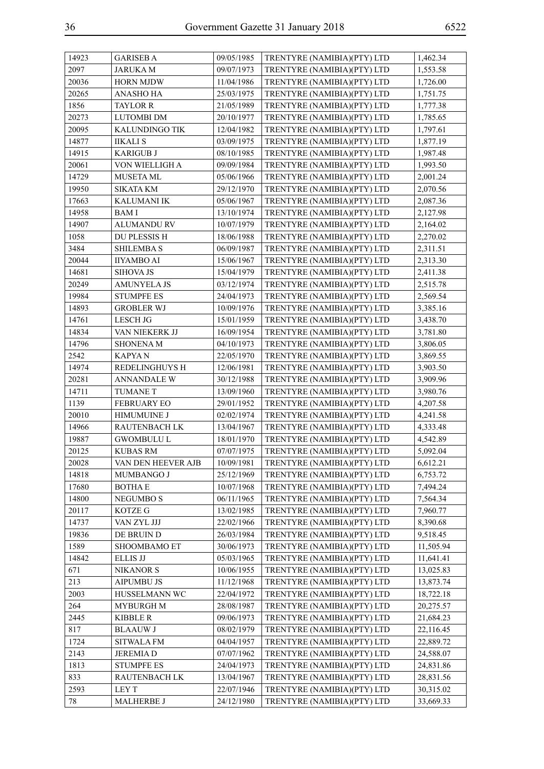| 14923 | <b>GARISEB A</b>   | 09/05/1985 | TRENTYRE (NAMIBIA)(PTY) LTD | 1,462.34  |
|-------|--------------------|------------|-----------------------------|-----------|
| 2097  | <b>JARUKAM</b>     | 09/07/1973 | TRENTYRE (NAMIBIA)(PTY) LTD | 1,553.58  |
| 20036 | <b>HORN MJDW</b>   | 11/04/1986 | TRENTYRE (NAMIBIA)(PTY) LTD | 1,726.00  |
| 20265 | ANASHO HA          | 25/03/1975 | TRENTYRE (NAMIBIA)(PTY) LTD | 1,751.75  |
| 1856  | <b>TAYLOR R</b>    | 21/05/1989 | TRENTYRE (NAMIBIA)(PTY) LTD | 1,777.38  |
| 20273 | <b>LUTOMBI DM</b>  | 20/10/1977 | TRENTYRE (NAMIBIA)(PTY) LTD | 1,785.65  |
| 20095 | KALUNDINGO TIK     | 12/04/1982 | TRENTYRE (NAMIBIA)(PTY) LTD | 1,797.61  |
| 14877 | <b>IIKALI S</b>    | 03/09/1975 | TRENTYRE (NAMIBIA)(PTY) LTD | 1,877.19  |
| 14915 | <b>KARIGUB J</b>   | 08/10/1985 | TRENTYRE (NAMIBIA)(PTY) LTD | 1,987.48  |
| 20061 | VON WIELLIGH A     | 09/09/1984 | TRENTYRE (NAMIBIA)(PTY) LTD | 1,993.50  |
| 14729 | <b>MUSETA ML</b>   | 05/06/1966 | TRENTYRE (NAMIBIA)(PTY) LTD | 2,001.24  |
| 19950 | <b>SIKATA KM</b>   | 29/12/1970 | TRENTYRE (NAMIBIA)(PTY) LTD | 2,070.56  |
| 17663 | <b>KALUMANI IK</b> | 05/06/1967 | TRENTYRE (NAMIBIA)(PTY) LTD | 2,087.36  |
| 14958 | BAM I              | 13/10/1974 | TRENTYRE (NAMIBIA)(PTY) LTD | 2,127.98  |
| 14907 | <b>ALUMANDU RV</b> | 10/07/1979 | TRENTYRE (NAMIBIA)(PTY) LTD | 2,164.02  |
| 1058  | DU PLESSIS H       | 18/06/1988 | TRENTYRE (NAMIBIA)(PTY) LTD | 2,270.02  |
| 3484  | <b>SHILEMBAS</b>   | 06/09/1987 | TRENTYRE (NAMIBIA)(PTY) LTD | 2,311.51  |
| 20044 | IIYAMBO AI         | 15/06/1967 | TRENTYRE (NAMIBIA)(PTY) LTD | 2,313.30  |
| 14681 | <b>SIHOVA JS</b>   | 15/04/1979 | TRENTYRE (NAMIBIA)(PTY) LTD | 2,411.38  |
| 20249 | <b>AMUNYELA JS</b> | 03/12/1974 | TRENTYRE (NAMIBIA)(PTY) LTD | 2,515.78  |
| 19984 | <b>STUMPFE ES</b>  | 24/04/1973 | TRENTYRE (NAMIBIA)(PTY) LTD | 2,569.54  |
| 14893 | <b>GROBLER WJ</b>  | 10/09/1976 | TRENTYRE (NAMIBIA)(PTY) LTD | 3,385.16  |
| 14761 | <b>LESCH JG</b>    | 15/01/1959 | TRENTYRE (NAMIBIA)(PTY) LTD | 3,438.70  |
| 14834 | VAN NIEKERK JJ     | 16/09/1954 | TRENTYRE (NAMIBIA)(PTY) LTD | 3,781.80  |
| 14796 | <b>SHONENA M</b>   | 04/10/1973 | TRENTYRE (NAMIBIA)(PTY) LTD | 3,806.05  |
| 2542  | KAPYA N            | 22/05/1970 | TRENTYRE (NAMIBIA)(PTY) LTD | 3,869.55  |
| 14974 | REDELINGHUYS H     | 12/06/1981 | TRENTYRE (NAMIBIA)(PTY) LTD | 3,903.50  |
| 20281 | <b>ANNANDALE W</b> | 30/12/1988 | TRENTYRE (NAMIBIA)(PTY) LTD | 3,909.96  |
| 14711 | <b>TUMANE T</b>    | 13/09/1960 | TRENTYRE (NAMIBIA)(PTY) LTD | 3,980.76  |
| 1139  | <b>FEBRUARY EO</b> | 29/01/1952 | TRENTYRE (NAMIBIA)(PTY) LTD | 4,207.58  |
| 20010 | HIMUMUINE J        | 02/02/1974 | TRENTYRE (NAMIBIA)(PTY) LTD | 4,241.58  |
| 14966 | RAUTENBACH LK      | 13/04/1967 | TRENTYRE (NAMIBIA)(PTY) LTD | 4,333.48  |
| 19887 | <b>GWOMBULU L</b>  | 18/01/1970 | TRENTYRE (NAMIBIA)(PTY) LTD | 4,542.89  |
| 20125 | KUBAS RM           | 07/07/1975 | TRENTYRE (NAMIBIA)(PTY) LTD | 5,092.04  |
| 20028 | VAN DEN HEEVER AJB | 10/09/1981 | TRENTYRE (NAMIBIA)(PTY) LTD | 6,612.21  |
| 14818 | MUMBANGO J         | 25/12/1969 | TRENTYRE (NAMIBIA)(PTY) LTD | 6,753.72  |
| 17680 | <b>BOTHA E</b>     | 10/07/1968 | TRENTYRE (NAMIBIA)(PTY) LTD | 7,494.24  |
| 14800 | NEGUMBO S          | 06/11/1965 | TRENTYRE (NAMIBIA)(PTY) LTD | 7,564.34  |
| 20117 | KOTZE G            | 13/02/1985 | TRENTYRE (NAMIBIA)(PTY) LTD | 7,960.77  |
| 14737 | VAN ZYL JJJ        | 22/02/1966 | TRENTYRE (NAMIBIA)(PTY) LTD | 8,390.68  |
| 19836 | DE BRUIN D         | 26/03/1984 | TRENTYRE (NAMIBIA)(PTY) LTD | 9,518.45  |
| 1589  | SHOOMBAMO ET       | 30/06/1973 | TRENTYRE (NAMIBIA)(PTY) LTD | 11,505.94 |
| 14842 | <b>ELLIS JJ</b>    | 05/03/1965 | TRENTYRE (NAMIBIA)(PTY) LTD | 11,641.41 |
| 671   | <b>NIKANOR S</b>   | 10/06/1955 | TRENTYRE (NAMIBIA)(PTY) LTD | 13,025.83 |
| 213   | <b>AIPUMBU JS</b>  | 11/12/1968 | TRENTYRE (NAMIBIA)(PTY) LTD | 13,873.74 |
| 2003  | HUSSELMANN WC      | 22/04/1972 | TRENTYRE (NAMIBIA)(PTY) LTD | 18,722.18 |
| 264   | <b>MYBURGH M</b>   | 28/08/1987 | TRENTYRE (NAMIBIA)(PTY) LTD | 20,275.57 |
| 2445  | <b>KIBBLE R</b>    | 09/06/1973 | TRENTYRE (NAMIBIA)(PTY) LTD | 21,684.23 |
| 817   | <b>BLAAUW J</b>    | 08/02/1979 | TRENTYRE (NAMIBIA)(PTY) LTD | 22,116.45 |
| 1724  | SITWALA FM         | 04/04/1957 | TRENTYRE (NAMIBIA)(PTY) LTD | 22,889.72 |
| 2143  | <b>JEREMIAD</b>    | 07/07/1962 | TRENTYRE (NAMIBIA)(PTY) LTD | 24,588.07 |
| 1813  | <b>STUMPFE ES</b>  | 24/04/1973 | TRENTYRE (NAMIBIA)(PTY) LTD | 24,831.86 |
| 833   | RAUTENBACH LK      | 13/04/1967 | TRENTYRE (NAMIBIA)(PTY) LTD | 28,831.56 |
| 2593  | LEY T              | 22/07/1946 | TRENTYRE (NAMIBIA)(PTY) LTD | 30,315.02 |
| 78    | <b>MALHERBE J</b>  | 24/12/1980 | TRENTYRE (NAMIBIA)(PTY) LTD | 33,669.33 |
|       |                    |            |                             |           |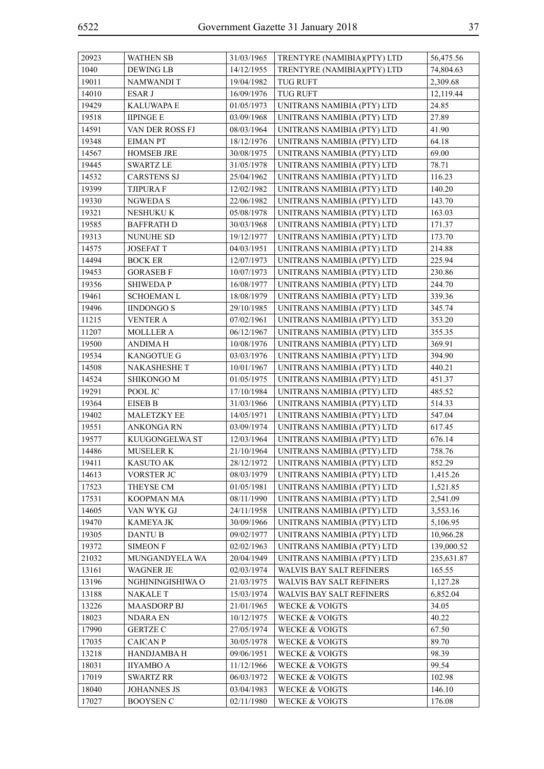| 20923 | <b>WATHEN SB</b>    | 31/03/1965 | TRENTYRE (NAMIBIA)(PTY) LTD     | 56,475.56  |
|-------|---------------------|------------|---------------------------------|------------|
| 1040  | <b>DEWING LB</b>    | 14/12/1955 | TRENTYRE (NAMIBIA)(PTY) LTD     | 74,804.63  |
| 19011 | NAMWANDI T          | 19/04/1982 | <b>TUG RUFT</b>                 | 2,309.68   |
| 14010 | ESAR J              | 16/09/1976 | <b>TUG RUFT</b>                 | 12,119.44  |
| 19429 | <b>KALUWAPA E</b>   | 01/05/1973 | UNITRANS NAMIBIA (PTY) LTD      | 24.85      |
| 19518 | <b>IIPINGE E</b>    | 03/09/1968 | UNITRANS NAMIBIA (PTY) LTD      | 27.89      |
| 14591 | VAN DER ROSS FJ     | 08/03/1964 | UNITRANS NAMIBIA (PTY) LTD      | 41.90      |
| 19348 | <b>EIMAN PT</b>     | 18/12/1976 | UNITRANS NAMIBIA (PTY) LTD      | 64.18      |
| 14567 | <b>HOMSEB JRE</b>   | 30/08/1975 | UNITRANS NAMIBIA (PTY) LTD      | 69.00      |
| 19445 | <b>SWARTZ LE</b>    | 31/05/1978 | UNITRANS NAMIBIA (PTY) LTD      | 78.71      |
| 14532 | <b>CARSTENS SJ</b>  | 25/04/1962 | UNITRANS NAMIBIA (PTY) LTD      | 116.23     |
| 19399 | <b>TJIPURA F</b>    | 12/02/1982 | UNITRANS NAMIBIA (PTY) LTD      | 140.20     |
| 19330 | NGWEDA S            | 22/06/1982 | UNITRANS NAMIBIA (PTY) LTD      | 143.70     |
| 19321 | NESHUKU K           | 05/08/1978 | UNITRANS NAMIBIA (PTY) LTD      | 163.03     |
| 19585 | <b>BAFFRATH D</b>   | 30/03/1968 | UNITRANS NAMIBIA (PTY) LTD      | 171.37     |
| 19313 | <b>NUNUHE SD</b>    | 19/12/1977 | UNITRANS NAMIBIA (PTY) LTD      | 173.70     |
| 14575 | <b>JOSEFATT</b>     | 04/03/1951 | UNITRANS NAMIBIA (PTY) LTD      | 214.88     |
| 14494 | <b>BOCK ER</b>      | 12/07/1973 | UNITRANS NAMIBIA (PTY) LTD      | 225.94     |
| 19453 | <b>GORASEB F</b>    | 10/07/1973 | UNITRANS NAMIBIA (PTY) LTD      | 230.86     |
| 19356 | <b>SHIWEDAP</b>     | 16/08/1977 | UNITRANS NAMIBIA (PTY) LTD      | 244.70     |
| 19461 | SCHOEMAN L          | 18/08/1979 | UNITRANS NAMIBIA (PTY) LTD      | 339.36     |
| 19496 | <b>IINDONGO S</b>   | 29/10/1985 | UNITRANS NAMIBIA (PTY) LTD      | 345.74     |
| 11215 | VENTER A            | 07/02/1961 | UNITRANS NAMIBIA (PTY) LTD      | 353.20     |
| 11207 | <b>MOLLLER A</b>    | 06/12/1967 | UNITRANS NAMIBIA (PTY) LTD      | 355.35     |
| 19500 | <b>ANDIMAH</b>      | 10/08/1976 | UNITRANS NAMIBIA (PTY) LTD      | 369.91     |
| 19534 | <b>KANGOTUE G</b>   | 03/03/1976 | UNITRANS NAMIBIA (PTY) LTD      | 394.90     |
| 14508 | <b>NAKASHESHE T</b> | 10/01/1967 | UNITRANS NAMIBIA (PTY) LTD      | 440.21     |
| 14524 | SHIKONGO M          | 01/05/1975 | UNITRANS NAMIBIA (PTY) LTD      | 451.37     |
| 19291 | POOL JC             | 17/10/1984 | UNITRANS NAMIBIA (PTY) LTD      | 485.52     |
| 19364 | <b>EISEB B</b>      | 31/03/1966 | UNITRANS NAMIBIA (PTY) LTD      | 514.33     |
| 19402 | <b>MALETZKY EE</b>  | 14/05/1971 | UNITRANS NAMIBIA (PTY) LTD      | 547.04     |
| 19551 | <b>ANKONGARN</b>    | 03/09/1974 | UNITRANS NAMIBIA (PTY) LTD      | 617.45     |
| 19577 | KUUGONGELWA ST      | 12/03/1964 | UNITRANS NAMIBIA (PTY) LTD      | 676.14     |
| 14486 | <b>MUSELER K</b>    | 21/10/1964 | UNITRANS NAMIBIA (PTY) LTD      | 758.76     |
| 19411 | <b>KASUTO AK</b>    | 28/12/1972 | UNITRANS NAMIBIA (PTY) LTD      | 852.29     |
| 14613 | VORSTER JC          | 08/03/1979 | UNITRANS NAMIBIA (PTY) LTD      | 1,415.26   |
| 17523 | THEYSE CM           | 01/05/1981 | UNITRANS NAMIBIA (PTY) LTD      | 1,521.85   |
| 17531 | KOOPMAN MA          | 08/11/1990 | UNITRANS NAMIBIA (PTY) LTD      | 2,541.09   |
| 14605 | VAN WYK GJ          | 24/11/1958 | UNITRANS NAMIBIA (PTY) LTD      | 3,553.16   |
| 19470 | KAMEYA JK           | 30/09/1966 | UNITRANS NAMIBIA (PTY) LTD      | 5,106.95   |
| 19305 | DANTU B             | 09/02/1977 | UNITRANS NAMIBIA (PTY) LTD      | 10,966.28  |
| 19372 | <b>SIMEON F</b>     | 02/02/1963 | UNITRANS NAMIBIA (PTY) LTD      | 139,000.52 |
| 21032 | MUNGANDYELA WA      | 20/04/1949 | UNITRANS NAMIBIA (PTY) LTD      | 235,631.87 |
| 13161 | <b>WAGNER JE</b>    | 02/03/1974 | WALVIS BAY SALT REFINERS        | 165.55     |
| 13196 | NGHININGISHIWA O    | 21/03/1975 | WALVIS BAY SALT REFINERS        | 1,127.28   |
| 13188 | <b>NAKALET</b>      | 15/03/1974 | <b>WALVIS BAY SALT REFINERS</b> | 6,852.04   |
| 13226 | <b>MAASDORP BJ</b>  | 21/01/1965 | <b>WECKE &amp; VOIGTS</b>       | 34.05      |
| 18023 | <b>NDARA EN</b>     | 10/12/1975 | <b>WECKE &amp; VOIGTS</b>       | 40.22      |
| 17990 | <b>GERTZE C</b>     | 27/05/1974 | <b>WECKE &amp; VOIGTS</b>       | 67.50      |
| 17035 | <b>CAICAN P</b>     | 30/05/1978 | <b>WECKE &amp; VOIGTS</b>       | 89.70      |
| 13218 | HANDJAMBA H         | 09/06/1951 | <b>WECKE &amp; VOIGTS</b>       | 98.39      |
| 18031 | <b>IIYAMBO A</b>    | 11/12/1966 | <b>WECKE &amp; VOIGTS</b>       | 99.54      |
| 17019 | <b>SWARTZ RR</b>    | 06/03/1972 | <b>WECKE &amp; VOIGTS</b>       | 102.98     |
| 18040 | <b>JOHANNES JS</b>  | 03/04/1983 | <b>WECKE &amp; VOIGTS</b>       | 146.10     |
| 17027 | <b>BOOYSEN C</b>    | 02/11/1980 | <b>WECKE &amp; VOIGTS</b>       | 176.08     |